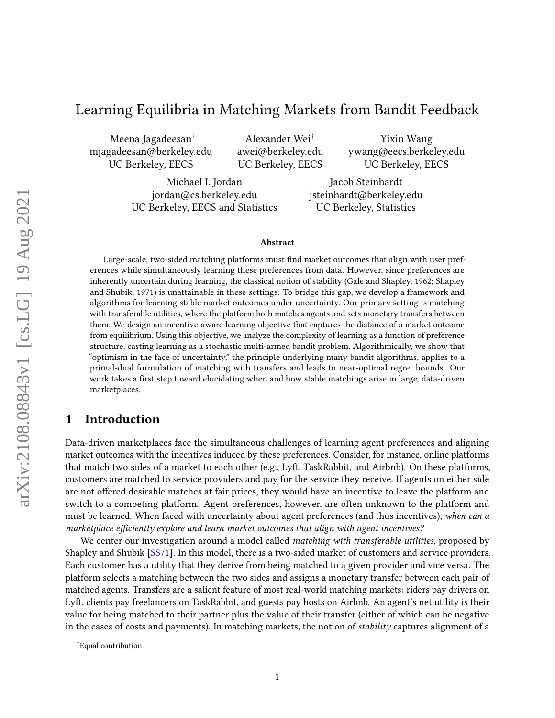# Learning Equilibria in Matching Markets from Bandit Feedback

Meena Jagadeesan† mjagadeesan@berkeley.edu UC Berkeley, EECS

Alexander Wei† awei@berkeley.edu UC Berkeley, EECS

Yixin Wang ywang@eecs.berkeley.edu UC Berkeley, EECS

Michael I. Jordan jordan@cs.berkeley.edu UC Berkeley, EECS and Statistics

Jacob Steinhardt jsteinhardt@berkeley.edu UC Berkeley, Statistics

#### Abstract

Large-scale, two-sided matching platforms must find market outcomes that align with user preferences while simultaneously learning these preferences from data. However, since preferences are inherently uncertain during learning, the classical notion of stability (Gale and Shapley, 1962; Shapley and Shubik, 1971) is unattainable in these settings. To bridge this gap, we develop a framework and algorithms for learning stable market outcomes under uncertainty. Our primary setting is matching with transferable utilities, where the platform both matches agents and sets monetary transfers between them. We design an incentive-aware learning objective that captures the distance of a market outcome from equilibrium. Using this objective, we analyze the complexity of learning as a function of preference structure, casting learning as a stochastic multi-armed bandit problem. Algorithmically, we show that "optimism in the face of uncertainty," the principle underlying many bandit algorithms, applies to a primal-dual formulation of matching with transfers and leads to near-optimal regret bounds. Our work takes a first step toward elucidating when and how stable matchings arise in large, data-driven marketplaces.

# 1 Introduction

Data-driven marketplaces face the simultaneous challenges of learning agent preferences and aligning market outcomes with the incentives induced by these preferences. Consider, for instance, online platforms that match two sides of a market to each other (e.g., Lyft, TaskRabbit, and Airbnb). On these platforms, customers are matched to service providers and pay for the service they receive. If agents on either side are not offered desirable matches at fair prices, they would have an incentive to leave the platform and switch to a competing platform. Agent preferences, however, are often unknown to the platform and must be learned. When faced with uncertainty about agent preferences (and thus incentives), when can a marketplace efficiently explore and learn market outcomes that align with agent incentives?

We center our investigation around a model called *matching with transferable utilities*, proposed by Shapley and Shubik [\[SS71\]](#page-24-0). In this model, there is a two-sided market of customers and service providers. Each customer has a utility that they derive from being matched to a given provider and vice versa. The platform selects a matching between the two sides and assigns a monetary transfer between each pair of matched agents. Transfers are a salient feature of most real-world matching markets: riders pay drivers on Lyft, clients pay freelancers on TaskRabbit, and guests pay hosts on Airbnb. An agent's net utility is their value for being matched to their partner plus the value of their transfer (either of which can be negative in the cases of costs and payments). In matching markets, the notion of stability captures alignment of a

<sup>†</sup> Equal contribution.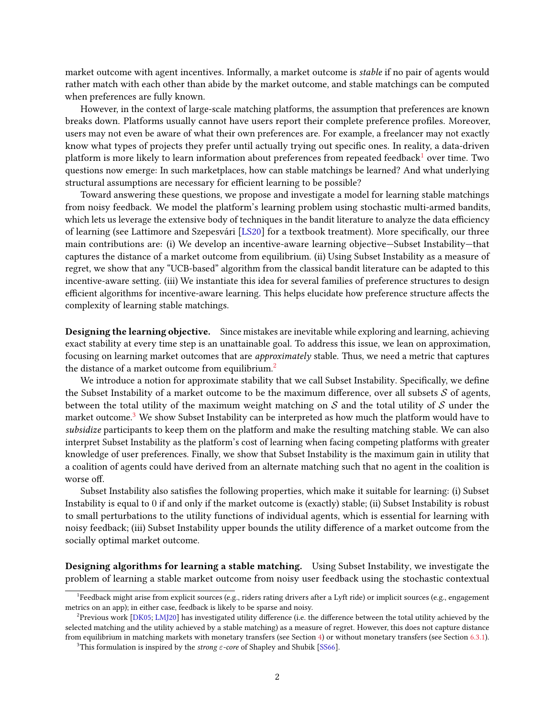market outcome with agent incentives. Informally, a market outcome is stable if no pair of agents would rather match with each other than abide by the market outcome, and stable matchings can be computed when preferences are fully known.

However, in the context of large-scale matching platforms, the assumption that preferences are known breaks down. Platforms usually cannot have users report their complete preference profiles. Moreover, users may not even be aware of what their own preferences are. For example, a freelancer may not exactly know what types of projects they prefer until actually trying out specific ones. In reality, a data-driven platform is more likely to learn information about preferences from repeated feedback<sup>[1](#page-1-0)</sup> over time. Two questions now emerge: In such marketplaces, how can stable matchings be learned? And what underlying structural assumptions are necessary for efficient learning to be possible?

Toward answering these questions, we propose and investigate a model for learning stable matchings from noisy feedback. We model the platform's learning problem using stochastic multi-armed bandits, which lets us leverage the extensive body of techniques in the bandit literature to analyze the data efficiency of learning (see Lattimore and Szepesvári [\[LS20\]](#page-24-1) for a textbook treatment). More specifically, our three main contributions are: (i) We develop an incentive-aware learning objective—Subset Instability—that captures the distance of a market outcome from equilibrium. (ii) Using Subset Instability as a measure of regret, we show that any "UCB-based" algorithm from the classical bandit literature can be adapted to this incentive-aware setting. (iii) We instantiate this idea for several families of preference structures to design efficient algorithms for incentive-aware learning. This helps elucidate how preference structure affects the complexity of learning stable matchings.

Designing the learning objective. Since mistakes are inevitable while exploring and learning, achieving exact stability at every time step is an unattainable goal. To address this issue, we lean on approximation, focusing on learning market outcomes that are approximately stable. Thus, we need a metric that captures the distance of a market outcome from equilibrium.<sup>[2](#page-1-1)</sup>

We introduce a notion for approximate stability that we call Subset Instability. Specifically, we define the Subset Instability of a market outcome to be the maximum difference, over all subsets  $S$  of agents, between the total utility of the maximum weight matching on  $S$  and the total utility of  $S$  under the market outcome.<sup>[3](#page-1-2)</sup> We show Subset Instability can be interpreted as how much the platform would have to subsidize participants to keep them on the platform and make the resulting matching stable. We can also interpret Subset Instability as the platform's cost of learning when facing competing platforms with greater knowledge of user preferences. Finally, we show that Subset Instability is the maximum gain in utility that a coalition of agents could have derived from an alternate matching such that no agent in the coalition is worse off.

Subset Instability also satisfies the following properties, which make it suitable for learning: (i) Subset Instability is equal to 0 if and only if the market outcome is (exactly) stable; (ii) Subset Instability is robust to small perturbations to the utility functions of individual agents, which is essential for learning with noisy feedback; (iii) Subset Instability upper bounds the utility difference of a market outcome from the socially optimal market outcome.

Designing algorithms for learning a stable matching. Using Subset Instability, we investigate the problem of learning a stable market outcome from noisy user feedback using the stochastic contextual

<span id="page-1-0"></span><sup>&</sup>lt;sup>1</sup> Feedback might arise from explicit sources (e.g., riders rating drivers after a Lyft ride) or implicit sources (e.g., engagement metrics on an app); in either case, feedback is likely to be sparse and noisy.

<span id="page-1-1"></span> $^2$ Previous work [\[DK05;](#page-22-0) [LMJ20\]](#page-23-0) has investigated utility difference (i.e. the difference between the total utility achieved by the selected matching and the utility achieved by a stable matching) as a measure of regret. However, this does not capture distance from equilibrium in matching markets with monetary transfers (see Section [4\)](#page-6-0) or without monetary transfers (see Section [6.3.1\)](#page-20-0).

<span id="page-1-2"></span><sup>&</sup>lt;sup>3</sup>This formulation is inspired by the strong  $\varepsilon$ -core of Shapley and Shubik [\[SS66\]](#page-24-2).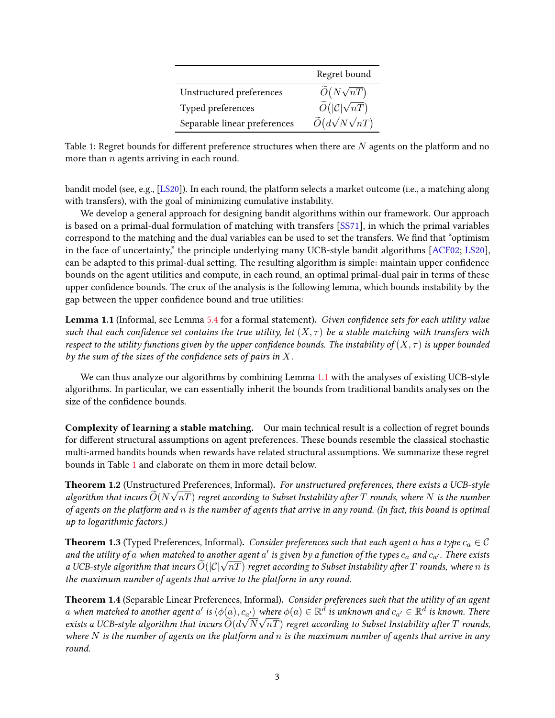|                              | Regret bound                            |
|------------------------------|-----------------------------------------|
| Unstructured preferences     | $\widetilde{O}(N\sqrt{nT})$             |
| Typed preferences            | $\widetilde{O}( \mathcal{C} \sqrt{nT})$ |
| Separable linear preferences | $\widetilde{O}(d\sqrt{N}\sqrt{nT})$     |

<span id="page-2-1"></span>Table 1: Regret bounds for different preference structures when there are  $N$  agents on the platform and no more than  $n$  agents arriving in each round.

bandit model (see, e.g., [\[LS20\]](#page-24-1)). In each round, the platform selects a market outcome (i.e., a matching along with transfers), with the goal of minimizing cumulative instability.

We develop a general approach for designing bandit algorithms within our framework. Our approach is based on a primal-dual formulation of matching with transfers [\[SS71\]](#page-24-0), in which the primal variables correspond to the matching and the dual variables can be used to set the transfers. We find that "optimism" in the face of uncertainty," the principle underlying many UCB-style bandit algorithms [\[ACF02;](#page-22-1) [LS20\]](#page-24-1), can be adapted to this primal-dual setting. The resulting algorithm is simple: maintain upper confidence bounds on the agent utilities and compute, in each round, an optimal primal-dual pair in terms of these upper confidence bounds. The crux of the analysis is the following lemma, which bounds instability by the gap between the upper confidence bound and true utilities:

<span id="page-2-0"></span>**Lemma 1.1** (Informal, see Lemma [5.4](#page-12-0) for a formal statement). Given confidence sets for each utility value such that each confidence set contains the true utility, let  $(X, \tau)$  be a stable matching with transfers with respect to the utility functions given by the upper confidence bounds. The instability of  $(X, \tau)$  is upper bounded by the sum of the sizes of the confidence sets of pairs in  $X$ .

We can thus analyze our algorithms by combining Lemma [1.1](#page-2-0) with the analyses of existing UCB-style algorithms. In particular, we can essentially inherit the bounds from traditional bandits analyses on the size of the confidence bounds.

Complexity of learning a stable matching. Our main technical result is a collection of regret bounds for different structural assumptions on agent preferences. These bounds resemble the classical stochastic multi-armed bandits bounds when rewards have related structural assumptions. We summarize these regret bounds in Table [1](#page-2-1) and elaborate on them in more detail below.

<span id="page-2-2"></span>**Theorem 1.2** (Unstructured Preferences, Informal). For unstructured preferences, there exists a UCB-style algorithm that incurs  $\widetilde{O}(N\sqrt{nT})$  regret according to Subset Instability after T rounds, where N is the number of agents on the platform and  $n$  is the number of agents that arrive in any round. (In fact, this bound is optimal up to logarithmic factors.)

<span id="page-2-3"></span>**Theorem 1.3** (Typed Preferences, Informal). Consider preferences such that each agent a has a type  $c_a \in \mathcal{C}$ and the utility of  $a$  when matched to another agent  $a'$  is given by a function of the types  $c_a$  and  $c_{a'}$ . There exists ana the utility of a when matchea to another agent  $a$  is given by a function of the types  $c_a$  ana  $c_{a'}$ . There exists a UCB-style algorithm that incurs  $\widetilde{O}(|\mathcal{C}|\sqrt{nT})$  regret according to Subset Instability after the maximum number of agents that arrive to the platform in any round.

<span id="page-2-4"></span>Theorem 1.4 (Separable Linear Preferences, Informal). Consider preferences such that the utility of an agent a when matched to another agent  $a'$  is  $\langle \phi(a), c_{a'} \rangle$  where  $\phi(a) \in \mathbb{R}^{\overline{d}}$  is unknown and  $c_{a'} \in \mathbb{R}^d$  is known. There exists a UCB-style algorithm that incurs  $\widetilde{O}(d\sqrt{N}\sqrt{nT})$  regret according to Subset Instability after  $T$  rounds, where N is the number of agents on the platform and n is the maximum number of agents that arrive in any round.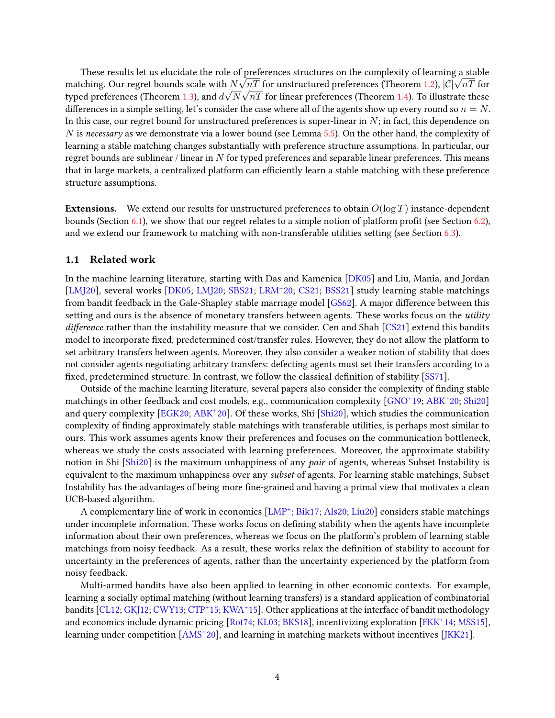These results let us elucidate the role of preferences structures on the complexity of learning a stable These results let us elucidate the role of preferences structures on the complexity of learning a stable<br>matching. Our regret bounds scale with  $N\sqrt{nT}$  for unstructured preferences (Theorem [1.2\)](#page-2-2),  $|C|\sqrt{nT}$  for typed preferences (Theorem [1.3\)](#page-2-3), and  $d\sqrt{N}\sqrt{nT}$  for linear preferences (Theorem [1.4\)](#page-2-4). To illustrate these differences in a simple setting, let's consider the case where all of the agents show up every round so  $n = N$ . In this case, our regret bound for unstructured preferences is super-linear in  $N$ ; in fact, this dependence on  $N$  is necessary as we demonstrate via a lower bound (see Lemma [5.5\)](#page-16-0). On the other hand, the complexity of learning a stable matching changes substantially with preference structure assumptions. In particular, our regret bounds are sublinear / linear in  $N$  for typed preferences and separable linear preferences. This means that in large markets, a centralized platform can efficiently learn a stable matching with these preference structure assumptions.

**Extensions.** We extend our results for unstructured preferences to obtain  $O(\log T)$  instance-dependent bounds (Section [6.1\)](#page-17-0), we show that our regret relates to a simple notion of platform profit (see Section [6.2\)](#page-18-0), and we extend our framework to matching with non-transferable utilities setting (see Section [6.3\)](#page-19-0).

## 1.1 Related work

In the machine learning literature, starting with Das and Kamenica [\[DK05\]](#page-22-0) and Liu, Mania, and Jordan [\[LMJ20\]](#page-23-0), several works [\[DK05;](#page-22-0) [LMJ20;](#page-23-0) [SBS21;](#page-24-3) [LRM](#page-23-1)<sup>+</sup> 20; [CS21;](#page-22-2) [BSS21\]](#page-22-3) study learning stable matchings from bandit feedback in the Gale-Shapley stable marriage model [\[GS62\]](#page-23-2). A major difference between this setting and ours is the absence of monetary transfers between agents. These works focus on the *utility*  $d$ ifference rather than the instability measure that we consider. Cen and Shah  $[CS21]$  extend this bandits model to incorporate fixed, predetermined cost/transfer rules. However, they do not allow the platform to set arbitrary transfers between agents. Moreover, they also consider a weaker notion of stability that does not consider agents negotiating arbitrary transfers: defecting agents must set their transfers according to a fixed, predetermined structure. In contrast, we follow the classical definition of stability [\[SS71\]](#page-24-0).

Outside of the machine learning literature, several papers also consider the complexity of finding stable matchings in other feedback and cost models, e.g., communication complexity [\[GNO](#page-23-3)<sup>+</sup> 19; [ABK](#page-22-4)<sup>+</sup> 20; [Shi20\]](#page-24-4) and query complexity [\[EGK20;](#page-23-4) [ABK](#page-22-4)<sup>+</sup> 20]. Of these works, Shi [\[Shi20\]](#page-24-4), which studies the communication complexity of nding approximately stable matchings with transferable utilities, is perhaps most similar to ours. This work assumes agents know their preferences and focuses on the communication bottleneck, whereas we study the costs associated with learning preferences. Moreover, the approximate stability notion in Shi [\[Shi20\]](#page-24-4) is the maximum unhappiness of any *pair* of agents, whereas Subset Instability is equivalent to the maximum unhappiness over any subset of agents. For learning stable matchings, Subset Instability has the advantages of being more fine-grained and having a primal view that motivates a clean UCB-based algorithm.

A complementary line of work in economics [\[LMP](#page-23-5)<sup>+</sup>; [Bik17;](#page-22-5) [Als20;](#page-22-6) [Liu20\]](#page-23-6) considers stable matchings under incomplete information. These works focus on defining stability when the agents have incomplete information about their own preferences, whereas we focus on the platform's problem of learning stable matchings from noisy feedback. As a result, these works relax the definition of stability to account for uncertainty in the preferences of agents, rather than the uncertainty experienced by the platform from noisy feedback.

Multi-armed bandits have also been applied to learning in other economic contexts. For example, learning a socially optimal matching (without learning transfers) is a standard application of combinatorial bandits [CL12: GKI12: CWY13: [CTP](#page-22-9)<sup>+</sup>15: [KWA](#page-23-8)<sup>+</sup>15]. Other applications at the interface of bandit methodology and economics include dynamic pricing [Rot74: KL03: [BKS18\]](#page-22-10), incentivizing exploration [\[FKK](#page-23-10)<sup>+</sup>14: [MSS15\]](#page-24-6). learning under competition [\[AMS](#page-22-11)<sup>+</sup>20], and learning in matching markets without incentives [IKK21].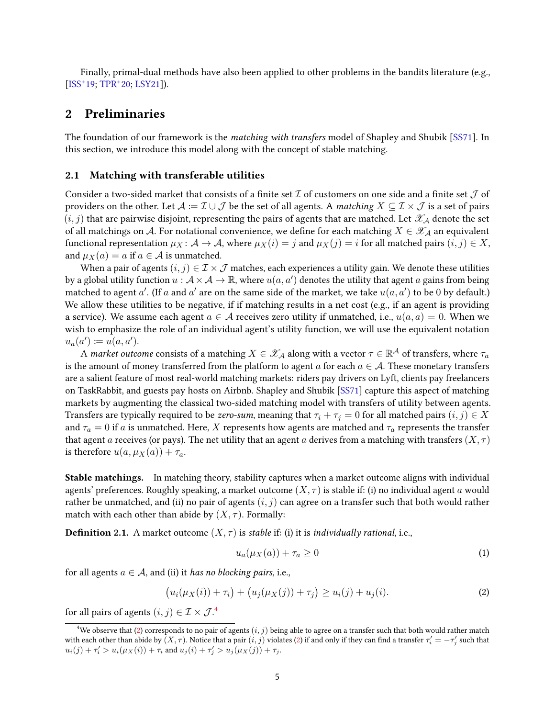Finally, primal-dual methods have also been applied to other problems in the bandits literature (e.g., [\[ISS](#page-23-12)<sup>+</sup>19; [TPR](#page-24-7)<sup>+</sup>20; [LSY21\]](#page-24-8)).

# 2 Preliminaries

The foundation of our framework is the *matching with transfers* model of Shapley and Shubik [\[SS71\]](#page-24-0). In this section, we introduce this model along with the concept of stable matching.

### 2.1 Matching with transferable utilities

Consider a two-sided market that consists of a finite set  $\mathcal I$  of customers on one side and a finite set  $\mathcal J$  of providers on the other. Let  $\mathcal{A} := \mathcal{I} \cup \mathcal{J}$  be the set of all agents. A matching  $X \subseteq \mathcal{I} \times \mathcal{J}$  is a set of pairs  $(i, j)$  that are pairwise disjoint, representing the pairs of agents that are matched. Let  $\mathscr{X}_{\mathcal{A}}$  denote the set of all matchings on A. For notational convenience, we define for each matching  $X \in \mathscr{X}_{\mathcal{A}}$  an equivalent functional representation  $\mu_X : A \to A$ , where  $\mu_X(i) = j$  and  $\mu_X(j) = i$  for all matched pairs  $(i, j) \in X$ , and  $\mu_X(a) = a$  if  $a \in \mathcal{A}$  is unmatched.

When a pair of agents  $(i, j) \in \mathcal{I} \times \mathcal{J}$  matches, each experiences a utility gain. We denote these utilities by a global utility function  $u: \mathcal{A} \times \mathcal{A} \to \mathbb{R}$ , where  $u(a,a')$  denotes the utility that agent  $a$  gains from being matched to agent a'. (If a and a' are on the same side of the market, we take  $u(a, a')$  to be 0 by default.) We allow these utilities to be negative, if if matching results in a net cost (e.g., if an agent is providing a service). We assume each agent  $a \in \mathcal{A}$  receives zero utility if unmatched, i.e.,  $u(a, a) = 0$ . When we wish to emphasize the role of an individual agent's utility function, we will use the equivalent notation  $u_a(a') \coloneqq u(a,a').$ 

A *market outcome* consists of a matching  $X\in\mathscr{X}_\mathcal{A}$  along with a vector  $\tau\in\mathbb{R}^\mathcal{A}$  of transfers, where  $\tau_a$ is the amount of money transferred from the platform to agent a for each  $a \in A$ . These monetary transfers are a salient feature of most real-world matching markets: riders pay drivers on Lyft, clients pay freelancers on TaskRabbit, and guests pay hosts on Airbnb. Shapley and Shubik [\[SS71\]](#page-24-0) capture this aspect of matching markets by augmenting the classical two-sided matching model with transfers of utility between agents. Transfers are typically required to be zero-sum, meaning that  $\tau_i + \tau_j = 0$  for all matched pairs  $(i, j) \in X$ and  $\tau_a = 0$  if a is unmatched. Here, X represents how agents are matched and  $\tau_a$  represents the transfer that agent a receives (or pays). The net utility that an agent a derives from a matching with transfers  $(X, \tau)$ is therefore  $u(a, \mu_X(a)) + \tau_a$ .

Stable matchings. In matching theory, stability captures when a market outcome aligns with individual agents' preferences. Roughly speaking, a market outcome  $(X, \tau)$  is stable if: (i) no individual agent a would rather be unmatched, and (ii) no pair of agents  $(i, j)$  can agree on a transfer such that both would rather match with each other than abide by  $(X, \tau)$ . Formally:

<span id="page-4-2"></span>**Definition 2.1.** A market outcome  $(X, \tau)$  is *stable* if: (i) it is *individually rational, i.e.,* 

$$
u_a(\mu_X(a)) + \tau_a \ge 0 \tag{1}
$$

for all agents  $a \in \mathcal{A}$ , and (ii) it has no blocking pairs, i.e.,

<span id="page-4-1"></span>
$$
(u_i(\mu_X(i)) + \tau_i) + (u_j(\mu_X(j)) + \tau_j) \ge u_i(j) + u_j(i).
$$
\n(2)

for all pairs of agents  $(i, j) \in \mathcal{I} \times \mathcal{J}^{A}$ 

<span id="page-4-0"></span><sup>&</sup>lt;sup>4</sup>We observe that [\(2\)](#page-4-1) corresponds to no pair of agents  $(i, j)$  being able to agree on a transfer such that both would rather match with each other than abide by  $(X, \tau)$ . Notice that a pair  $(i, j)$  violates [\(2\)](#page-4-1) if and only if they can find a transfer  $\tau'_i = -\tau'_j$  such that  $u_i(j) + \tau'_i > u_i(\mu_X(i)) + \tau_i$  and  $u_j(i) + \tau'_j > u_j(\mu_X(j)) + \tau_j$ .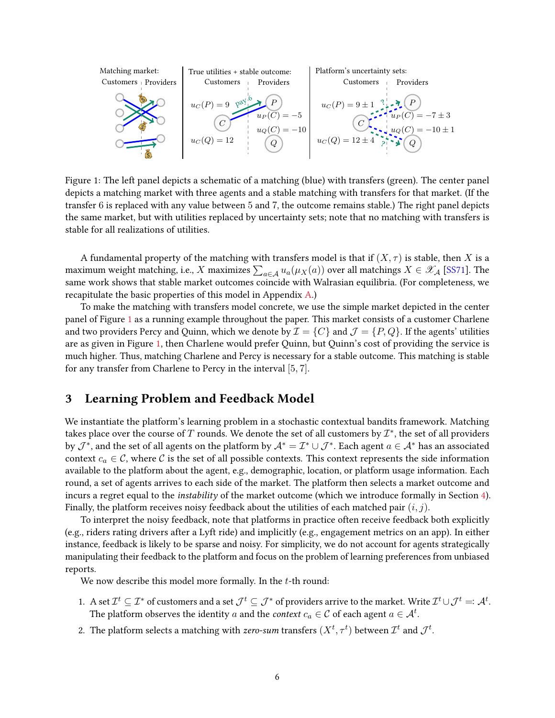

<span id="page-5-0"></span>Figure 1: The left panel depicts a schematic of a matching (blue) with transfers (green). The center panel depicts a matching market with three agents and a stable matching with transfers for that market. (If the transfer 6 is replaced with any value between 5 and 7, the outcome remains stable.) The right panel depicts the same market, but with utilities replaced by uncertainty sets; note that no matching with transfers is stable for all realizations of utilities.

A fundamental property of the matching with transfers model is that if  $(X, \tau)$  is stable, then X is a maximum weight matching, i.e.,  $X$  maximizes  $\sum_{a \in \mathcal{A}} u_a(\mu_X(a))$  over all matchings  $X \in \mathscr{X}_{\mathcal{A}}$  [\[SS71\]](#page-24-0). The same work shows that stable market outcomes coincide with Walrasian equilibria. (For completeness, we recapitulate the basic properties of this model in Appendix [A.](#page-25-0))

To make the matching with transfers model concrete, we use the simple market depicted in the center panel of Figure [1](#page-5-0) as a running example throughout the paper. This market consists of a customer Charlene and two providers Percy and Quinn, which we denote by  $\mathcal{I} = \{C\}$  and  $\mathcal{J} = \{P, Q\}$ . If the agents' utilities are as given in Figure [1,](#page-5-0) then Charlene would prefer Quinn, but Quinn's cost of providing the service is much higher. Thus, matching Charlene and Percy is necessary for a stable outcome. This matching is stable for any transfer from Charlene to Percy in the interval [5, 7].

# <span id="page-5-1"></span>3 Learning Problem and Feedback Model

We instantiate the platform's learning problem in a stochastic contextual bandits framework. Matching takes place over the course of  $T$  rounds. We denote the set of all customers by  $\mathcal{I}^*$ , the set of all providers by  $\mathcal{J}^*$ , and the set of all agents on the platform by  $\mathcal{A}^*=\mathcal{I}^*\cup\mathcal{J}^*$ . Each agent  $a\in\mathcal{A}^*$  has an associated context  $c_a \in \mathcal{C}$ , where  $\mathcal{C}$  is the set of all possible contexts. This context represents the side information available to the platform about the agent, e.g., demographic, location, or platform usage information. Each round, a set of agents arrives to each side of the market. The platform then selects a market outcome and incurs a regret equal to the instability of the market outcome (which we introduce formally in Section [4\)](#page-6-0). Finally, the platform receives noisy feedback about the utilities of each matched pair  $(i, j)$ .

To interpret the noisy feedback, note that platforms in practice often receive feedback both explicitly (e.g., riders rating drivers after a Lyft ride) and implicitly (e.g., engagement metrics on an app). In either instance, feedback is likely to be sparse and noisy. For simplicity, we do not account for agents strategically manipulating their feedback to the platform and focus on the problem of learning preferences from unbiased reports.

We now describe this model more formally. In the t-th round:

- 1. A set  $\mathcal{I}^t\subseteq\mathcal{I}^*$  of customers and a set  $\mathcal{J}^t\subseteq\mathcal{J}^*$  of providers arrive to the market. Write  $\mathcal{I}^t\cup\mathcal{J}^t =: \mathcal{A}^t.$ The platform observes the identity  $a$  and the *context*  $c_a \in \mathcal{C}$  of each agent  $a \in \mathcal{A}^t.$
- 2. The platform selects a matching with zero-sum transfers  $(X^t, \tau^t)$  between  $\mathcal{I}^t$  and  $\mathcal{J}^t$ .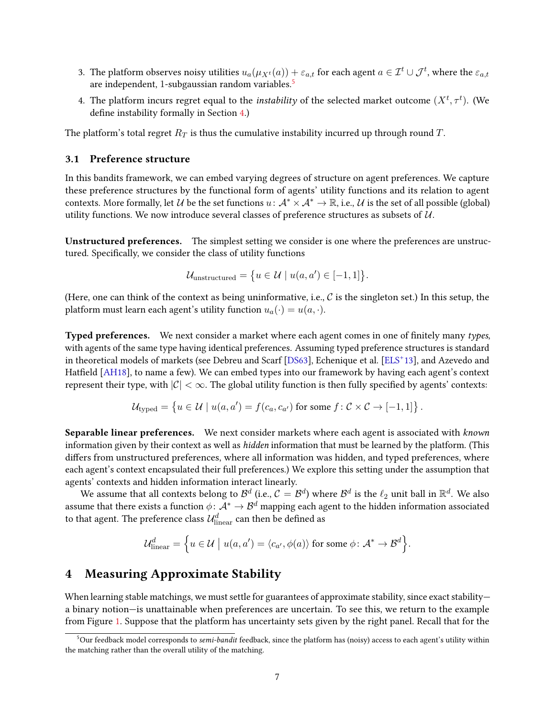- 3. The platform observes noisy utilities  $u_a(\mu_{X^t}(a))+\varepsilon_{a,t}$  for each agent  $a\in\mathcal{I}^t\cup\mathcal{J}^t,$  where the  $\varepsilon_{a,t}$ are independent, 1-subgaussian random variables.<sup>[5](#page-6-1)</sup>
- 4. The platform incurs regret equal to the *instability* of the selected market outcome  $(X^t, \tau^t)$ . (We define instability formally in Section [4.](#page-6-0))

The platform's total regret  $R_T$  is thus the cumulative instability incurred up through round  $T$ .

## 3.1 Preference structure

In this bandits framework, we can embed varying degrees of structure on agent preferences. We capture these preference structures by the functional form of agents' utility functions and its relation to agent contexts. More formally, let U be the set functions  $u: \mathcal{A}^* \times \mathcal{A}^* \to \mathbb{R}$ , i.e., U is the set of all possible (global) utility functions. We now introduce several classes of preference structures as subsets of  $\mathcal{U}$ .

Unstructured preferences. The simplest setting we consider is one where the preferences are unstructured. Specifically, we consider the class of utility functions

$$
\mathcal{U}_{\text{unstructured}} = \{ u \in \mathcal{U} \mid u(a, a') \in [-1, 1] \}.
$$

(Here, one can think of the context as being uninformative, i.e.,  $\mathcal C$  is the singleton set.) In this setup, the platform must learn each agent's utility function  $u_a(\cdot) = u(a, \cdot)$ .

Typed preferences. We next consider a market where each agent comes in one of finitely many types, with agents of the same type having identical preferences. Assuming typed preference structures is standard in theoretical models of markets (see Debreu and Scarf [\[DS63\]](#page-23-13), Echenique et al. [\[ELS](#page-23-14)<sup>+</sup> 13], and Azevedo and Hatfield [\[AH18\]](#page-22-12), to name a few). We can embed types into our framework by having each agent's context represent their type, with  $|\mathcal{C}| < \infty$ . The global utility function is then fully specified by agents' contexts:

$$
\mathcal{U}_{\text{typed}} = \left\{ u \in \mathcal{U} \mid u(a, a') = f(c_a, c_{a'}) \text{ for some } f \colon \mathcal{C} \times \mathcal{C} \to [-1, 1] \right\}.
$$

Separable linear preferences. We next consider markets where each agent is associated with *known* information given by their context as well as *hidden* information that must be learned by the platform. (This differs from unstructured preferences, where all information was hidden, and typed preferences, where each agent's context encapsulated their full preferences.) We explore this setting under the assumption that agents' contexts and hidden information interact linearly.

We assume that all contexts belong to  $\mathcal{B}^d$  (i.e.,  $\mathcal{C}=\mathcal{B}^d$ ) where  $\mathcal{B}^d$  is the  $\ell_2$  unit ball in  $\mathbb{R}^d$ . We also assume that there exists a function  $\phi\colon \mathcal A^*\to \mathcal B^d$  mapping each agent to the hidden information associated to that agent. The preference class  $\mathcal{U}^d_\text{linear}$  can then be defined as

$$
\mathcal{U}_{\text{linear}}^d = \left\{ u \in \mathcal{U} \mid u(a, a') = \langle c_{a'}, \phi(a) \rangle \text{ for some } \phi \colon A^* \to B^d \right\}.
$$

## <span id="page-6-0"></span>4 Measuring Approximate Stability

When learning stable matchings, we must settle for guarantees of approximate stability, since exact stability a binary notion—is unattainable when preferences are uncertain. To see this, we return to the example from Figure [1.](#page-5-0) Suppose that the platform has uncertainty sets given by the right panel. Recall that for the

<span id="page-6-1"></span><sup>&</sup>lt;sup>5</sup>Our feedback model corresponds to semi-bandit feedback, since the platform has (noisy) access to each agent's utility within the matching rather than the overall utility of the matching.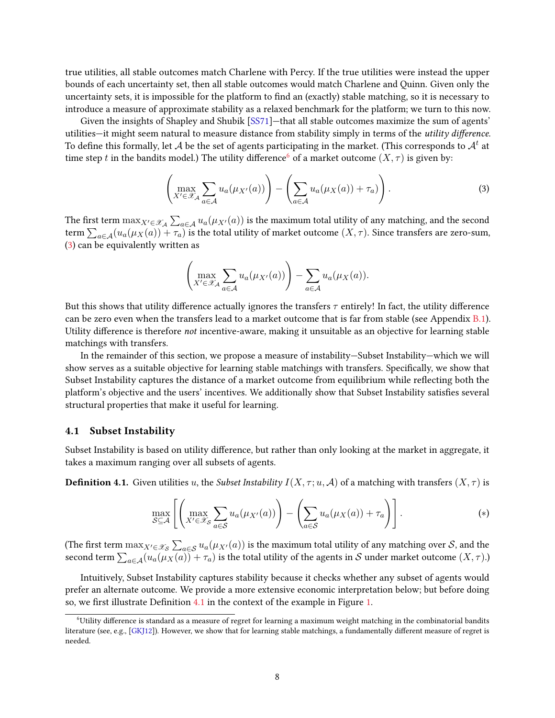true utilities, all stable outcomes match Charlene with Percy. If the true utilities were instead the upper bounds of each uncertainty set, then all stable outcomes would match Charlene and Quinn. Given only the uncertainty sets, it is impossible for the platform to find an (exactly) stable matching, so it is necessary to introduce a measure of approximate stability as a relaxed benchmark for the platform; we turn to this now.

Given the insights of Shapley and Shubik [\[SS71\]](#page-24-0)—that all stable outcomes maximize the sum of agents' utilities—it might seem natural to measure distance from stability simply in terms of the *utility difference*. To define this formally, let  ${\cal A}$  be the set of agents participating in the market. (This corresponds to  ${\cal A}^t$  at time step t in the bandits model.) The utility difference<sup>[6](#page-7-0)</sup> of a market outcome  $(X, \tau)$  is given by:

<span id="page-7-1"></span>
$$
\left(\max_{X' \in \mathcal{X}_\mathcal{A}} \sum_{a \in \mathcal{A}} u_a(\mu_{X'}(a))\right) - \left(\sum_{a \in \mathcal{A}} u_a(\mu_X(a)) + \tau_a)\right). \tag{3}
$$

The first term  $\max_{X'\in\mathscr{X}_\mathcal{A}}\sum_{a\in\mathcal{A}}u_a(\mu_{X'}(a))$  is the maximum total utility of any matching, and the second term  $\sum_{a\in\mathcal{A}}(u_a(\mu_X(a))+\tau_a)$  is the total utility of market outcome  $(X,\tau)$ . Since transfers are zero-sum, [\(3\)](#page-7-1) can be equivalently written as

$$
\left(\max_{X' \in \mathscr{X}_{\mathcal{A}}} \sum_{a \in \mathcal{A}} u_a(\mu_{X'}(a))\right) - \sum_{a \in \mathcal{A}} u_a(\mu_X(a)).
$$

But this shows that utility difference actually ignores the transfers  $\tau$  entirely! In fact, the utility difference can be zero even when the transfers lead to a market outcome that is far from stable (see Appendix  $B.1$ ). Utility difference is therefore not incentive-aware, making it unsuitable as an objective for learning stable matchings with transfers.

In the remainder of this section, we propose a measure of instability—Subset Instability—which we will show serves as a suitable objective for learning stable matchings with transfers. Specifically, we show that Subset Instability captures the distance of a market outcome from equilibrium while reflecting both the platform's objective and the users' incentives. We additionally show that Subset Instability satisfies several structural properties that make it useful for learning.

### 4.1 Subset Instability

Subset Instability is based on utility difference, but rather than only looking at the market in aggregate, it takes a maximum ranging over all subsets of agents.

<span id="page-7-2"></span>**Definition 4.1.** Given utilities u, the Subset Instability  $I(X, \tau; u, \mathcal{A})$  of a matching with transfers  $(X, \tau)$  is

<span id="page-7-3"></span>
$$
\max_{\mathcal{S}\subseteq\mathcal{A}}\left[\left(\max_{X'\in\mathcal{X}_{\mathcal{S}}} \sum_{a\in\mathcal{S}} u_a(\mu_{X'}(a))\right) - \left(\sum_{a\in\mathcal{S}} u_a(\mu_X(a)) + \tau_a\right)\right].\tag{*}
$$

(The first term  $\max_{X'\in\mathscr{X}_{\mathcal{S}}}\sum_{a\in\mathcal{S}}u_a(\mu_{X'}(a))$  is the maximum total utility of any matching over  $\mathcal{S},$  and the second term  $\sum_{a\in\mathcal{A}}(u_a(\mu_X(a))+\tau_a)$  is the total utility of the agents in  $\mathcal S$  under market outcome  $(X,\tau).$ 

Intuitively, Subset Instability captures stability because it checks whether any subset of agents would prefer an alternate outcome. We provide a more extensive economic interpretation below; but before doing so, we first illustrate Definition [4.1](#page-7-2) in the context of the example in Figure [1.](#page-5-0)

<span id="page-7-0"></span> $6$ Utility difference is standard as a measure of regret for learning a maximum weight matching in the combinatorial bandits literature (see, e.g., [\[GKJ12\]](#page-23-7)). However, we show that for learning stable matchings, a fundamentally different measure of regret is needed.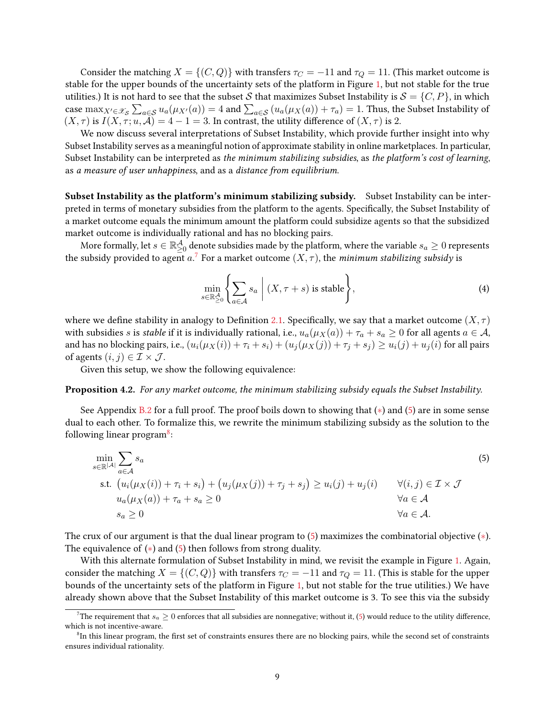Consider the matching  $X = \{(C, Q)\}\$  with transfers  $\tau_C = -11$  and  $\tau_Q = 11$ . (This market outcome is stable for the upper bounds of the uncertainty sets of the platform in Figure [1,](#page-5-0) but not stable for the true utilities.) It is not hard to see that the subset S that maximizes Subset Instability is  $S = \{C, P\}$ , in which case  $\max_{X'\in\mathscr{X}_{\mathcal{S}}}\sum_{a\in\mathcal{S}}u_a(\mu_{X'}(a))=4$  and  $\sum_{a\in\mathcal{S}}(u_a(\mu_X(a))+\tau_a)=1$ . Thus, the Subset Instability of  $(X, \tau)$  is  $I(X, \tau; u, \mathcal{A}) = 4 - 1 = 3$ . In contrast, the utility difference of  $(X, \tau)$  is 2.

We now discuss several interpretations of Subset Instability, which provide further insight into why Subset Instability serves as a meaningful notion of approximate stability in online marketplaces. In particular, Subset Instability can be interpreted as the minimum stabilizing subsidies, as the platform's cost of learning, as a measure of user unhappiness, and as a distance from equilibrium.

Subset Instability as the platform's minimum stabilizing subsidy. Subset Instability can be interpreted in terms of monetary subsidies from the platform to the agents. Specifically, the Subset Instability of a market outcome equals the minimum amount the platform could subsidize agents so that the subsidized market outcome is individually rational and has no blocking pairs.

More formally, let  $s\in\mathbb{R}_{\geq0}^\mathcal{A}$  denote subsidies made by the platform, where the variable  $s_a\geq0$  represents the subsidy provided to agent a.<sup>[7](#page-8-0)</sup> For a market outcome  $(X, \tau)$ , the minimum stabilizing subsidy is

<span id="page-8-3"></span><span id="page-8-1"></span>
$$
\min_{s \in \mathbb{R}^{\mathcal{A}}_{\geq 0}} \left\{ \sum_{a \in \mathcal{A}} s_a \; \middle| \; (X, \tau + s) \text{ is stable} \right\},\tag{4}
$$

where we define stability in analogy to Definition [2.1.](#page-4-2) Specifically, we say that a market outcome  $(X, \tau)$ with subsidies s is stable if it is individually rational, i.e.,  $u_a(\mu_X(a)) + \tau_a + s_a \ge 0$  for all agents  $a \in \mathcal{A}$ , and has no blocking pairs, i.e.,  $(u_i(\mu_X(i)) + \tau_i + s_i) + (u_i(\mu_X(j)) + \tau_i + s_i) \ge u_i(j) + u_i(i)$  for all pairs of agents  $(i, j) \in \mathcal{I} \times \mathcal{J}$ .

Given this setup, we show the following equivalence:

<span id="page-8-4"></span>Proposition 4.2. For any market outcome, the minimum stabilizing subsidy equals the Subset Instability.

See Appendix [B.2](#page-26-1) for a full proof. The proof boils down to showing that  $(*)$  and  $(5)$  are in some sense dual to each other. To formalize this, we rewrite the minimum stabilizing subsidy as the solution to the following linear program<sup>[8](#page-8-2)</sup>:

$$
\min_{s \in \mathbb{R}^{|\mathcal{A}|}} \sum_{a \in \mathcal{A}} s_a
$$
\n
$$
\text{s.t. } (u_i(\mu_X(i)) + \tau_i + s_i) + (u_j(\mu_X(j)) + \tau_j + s_j) \ge u_i(j) + u_j(i) \qquad \forall (i, j) \in \mathcal{I} \times \mathcal{J}
$$
\n
$$
u_a(\mu_X(a)) + \tau_a + s_a \ge 0 \qquad \forall a \in \mathcal{A}
$$
\n
$$
s_a \ge 0 \qquad \forall a \in \mathcal{A}.
$$
\n
$$
(5)
$$

The crux of our argument is that the dual linear program to [\(5\)](#page-8-1) maximizes the combinatorial objective ([∗](#page-7-3)). The equivalence of  $(*)$  and  $(5)$  then follows from strong duality.

With this alternate formulation of Subset Instability in mind, we revisit the example in Figure [1.](#page-5-0) Again, consider the matching  $X = \{(C, Q)\}\$  with transfers  $\tau_C = -11$  and  $\tau_Q = 11$ . (This is stable for the upper bounds of the uncertainty sets of the platform in Figure [1,](#page-5-0) but not stable for the true utilities.) We have already shown above that the Subset Instability of this market outcome is 3. To see this via the subsidy

<span id="page-8-0"></span><sup>&</sup>lt;sup>7</sup>The requirement that  $s_a \geq 0$  enforces that all subsidies are nonnegative; without it, [\(5\)](#page-8-1) would reduce to the utility difference, which is not incentive-aware.

<span id="page-8-2"></span> ${}^{8}$ In this linear program, the first set of constraints ensures there are no blocking pairs, while the second set of constraints ensures individual rationality.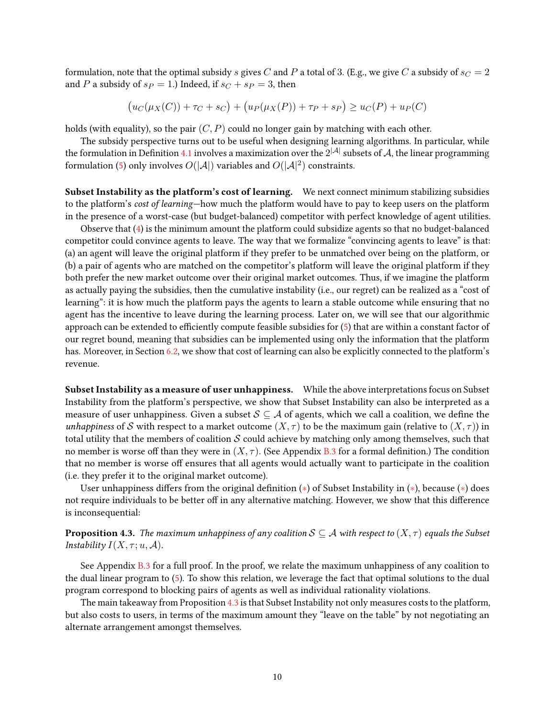formulation, note that the optimal subsidy s gives C and P a total of 3. (E.g., we give C a subsidy of  $s_C = 2$ and P a subsidy of  $s_P = 1$ .) Indeed, if  $s_C + s_P = 3$ , then

$$
(u_C(\mu_X(C)) + \tau_C + s_C) + (u_P(\mu_X(P)) + \tau_P + s_P) \ge u_C(P) + u_P(C)
$$

holds (with equality), so the pair  $(C, P)$  could no longer gain by matching with each other.

The subsidy perspective turns out to be useful when designing learning algorithms. In particular, while the formulation in Definition [4.1](#page-7-2) involves a maximization over the  $2^{|\mathcal{A}|}$  subsets of  $\mathcal{A}$ , the linear programming formulation [\(5\)](#page-8-1) only involves  $O(|\mathcal{A}|)$  variables and  $O(|\mathcal{A}|^2)$  constraints.

Subset Instability as the platform's cost of learning. We next connect minimum stabilizing subsidies to the platform's cost of learning—how much the platform would have to pay to keep users on the platform in the presence of a worst-case (but budget-balanced) competitor with perfect knowledge of agent utilities.

Observe that [\(4\)](#page-8-3) is the minimum amount the platform could subsidize agents so that no budget-balanced competitor could convince agents to leave. The way that we formalize "convincing agents to leave" is that: (a) an agent will leave the original platform if they prefer to be unmatched over being on the platform, or (b) a pair of agents who are matched on the competitor's platform will leave the original platform if they both prefer the new market outcome over their original market outcomes. Thus, if we imagine the platform as actually paying the subsidies, then the cumulative instability (i.e., our regret) can be realized as a "cost of learning": it is how much the platform pays the agents to learn a stable outcome while ensuring that no agent has the incentive to leave during the learning process. Later on, we will see that our algorithmic approach can be extended to efficiently compute feasible subsidies for [\(5\)](#page-8-1) that are within a constant factor of our regret bound, meaning that subsidies can be implemented using only the information that the platform has. Moreover, in Section [6.2,](#page-18-0) we show that cost of learning can also be explicitly connected to the platform's revenue.

Subset Instability as a measure of user unhappiness. While the above interpretations focus on Subset Instability from the platform's perspective, we show that Subset Instability can also be interpreted as a measure of user unhappiness. Given a subset  $S \subseteq A$  of agents, which we call a coalition, we define the unhappiness of S with respect to a market outcome  $(X, \tau)$  to be the maximum gain (relative to  $(X, \tau)$ ) in total utility that the members of coalition  $S$  could achieve by matching only among themselves, such that no member is worse off than they were in  $(X, \tau)$ . (See Appendix [B.3](#page-27-0) for a formal definition.) The condition that no member is worse off ensures that all agents would actually want to participate in the coalition (i.e. they prefer it to the original market outcome).

User unhappiness differs from the original definition  $(*)$  of Subset Instability in  $(*)$ , because  $(*)$  does not require individuals to be better off in any alternative matching. However, we show that this difference is inconsequential:

<span id="page-9-0"></span>**Proposition 4.3.** The maximum unhappiness of any coalition  $S \subseteq A$  with respect to  $(X, \tau)$  equals the Subset Instability  $I(X, \tau; u, \mathcal{A}).$ 

See Appendix [B.3](#page-27-0) for a full proof. In the proof, we relate the maximum unhappiness of any coalition to the dual linear program to [\(5\)](#page-8-1). To show this relation, we leverage the fact that optimal solutions to the dual program correspond to blocking pairs of agents as well as individual rationality violations.

The main takeaway from Proposition [4.3](#page-9-0) is that Subset Instability not only measures costs to the platform, but also costs to users, in terms of the maximum amount they "leave on the table" by not negotiating an alternate arrangement amongst themselves.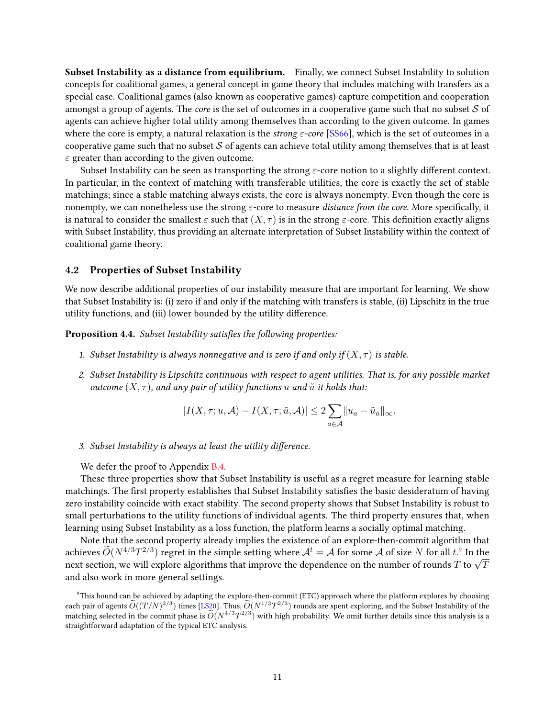Subset Instability as a distance from equilibrium. Finally, we connect Subset Instability to solution concepts for coalitional games, a general concept in game theory that includes matching with transfers as a special case. Coalitional games (also known as cooperative games) capture competition and cooperation amongst a group of agents. The *core* is the set of outcomes in a cooperative game such that no subset  $S$  of agents can achieve higher total utility among themselves than according to the given outcome. In games where the core is empty, a natural relaxation is the *strong*  $\varepsilon$ *-core* [\[SS66\]](#page-24-2), which is the set of outcomes in a cooperative game such that no subset  $S$  of agents can achieve total utility among themselves that is at least  $\varepsilon$  greater than according to the given outcome.

Subset Instability can be seen as transporting the strong  $\varepsilon$ -core notion to a slightly different context. In particular, in the context of matching with transferable utilities, the core is exactly the set of stable matchings; since a stable matching always exists, the core is always nonempty. Even though the core is nonempty, we can nonetheless use the strong  $\varepsilon$ -core to measure *distance from the core*. More specifically, it is natural to consider the smallest  $\varepsilon$  such that  $(X, \tau)$  is in the strong  $\varepsilon$ -core. This definition exactly aligns with Subset Instability, thus providing an alternate interpretation of Subset Instability within the context of coalitional game theory.

### 4.2 Properties of Subset Instability

We now describe additional properties of our instability measure that are important for learning. We show that Subset Instability is: (i) zero if and only if the matching with transfers is stable, (ii) Lipschitz in the true utility functions, and (iii) lower bounded by the utility difference.

<span id="page-10-1"></span>Proposition 4.4. Subset Instability satisfies the following properties:

- 1. Subset Instability is always nonnegative and is zero if and only if  $(X, \tau)$  is stable.
- 2. Subset Instability is Lipschitz continuous with respect to agent utilities. That is, for any possible market outcome  $(X, \tau)$ , and any pair of utility functions u and  $\tilde{u}$  it holds that:

$$
|I(X,\tau;u,\mathcal{A})-I(X,\tau;\tilde{u},\mathcal{A})|\leq 2\sum_{a\in\mathcal{A}}||u_a-\tilde{u}_a||_{\infty}.
$$

3. Subset Instability is always at least the utility difference.

We defer the proof to Appendix [B.4.](#page-28-0)

These three properties show that Subset Instability is useful as a regret measure for learning stable matchings. The first property establishes that Subset Instability satisfies the basic desideratum of having zero instability coincide with exact stability. The second property shows that Subset Instability is robust to small perturbations to the utility functions of individual agents. The third property ensures that, when learning using Subset Instability as a loss function, the platform learns a socially optimal matching.

Note that the second property already implies the existence of an explore-then-commit algorithm that achieves  $\widetilde{O}(N^{4/3}T^{2/3})$  regret in the simple setting where  $\mathcal{A}^t = \mathcal{A}$  for some  $\mathcal{A}$  of size N for all  $t$ . In the acnieves  $O(N^{2/3}T^{1/3})$  regret in the simple setting where  $\mathcal{A}^\circ=\mathcal{A}$  for some  $\mathcal{A}$  of size *I*v for all  $t$ . In the<br>next section, we will explore algorithms that improve the dependence on the number of rounds and also work in more general settings.

<span id="page-10-0"></span> $9$ This bound can be achieved by adapting the explore-then-commit (ETC) approach where the platform explores by choosing each pair of agents  $\widetilde{O}((T/N)^{2/3})$  times [\[LS20\]](#page-24-1). Thus,  $\widetilde{O}(N^{1/3}T^{2/3})$  rounds are spent exploring, and the Subset Instability of the matching selected in the commit phase is  $\widetilde{O}(N^{4/3}T^{2/3})$  with high probability. We omit further details since this analysis is a straightforward adaptation of the typical ETC analysis.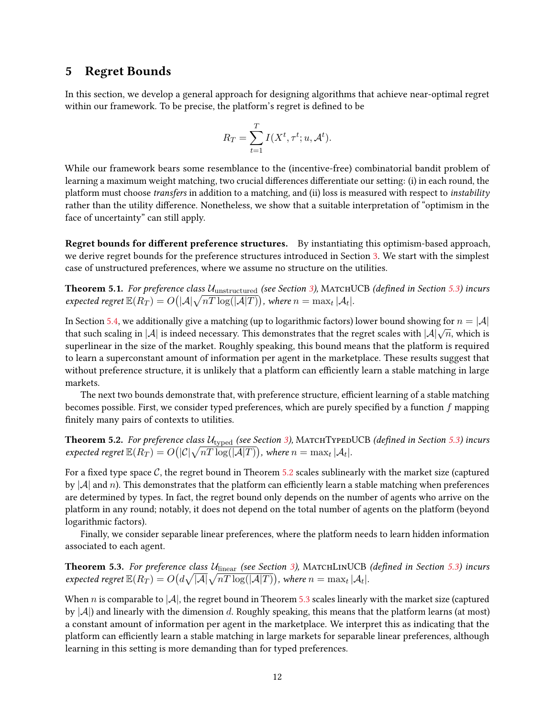# <span id="page-11-3"></span>5 Regret Bounds

In this section, we develop a general approach for designing algorithms that achieve near-optimal regret within our framework. To be precise, the platform's regret is defined to be

$$
R_T = \sum_{t=1}^T I(X^t, \tau^t; u, \mathcal{A}^t).
$$

While our framework bears some resemblance to the (incentive-free) combinatorial bandit problem of learning a maximum weight matching, two crucial differences differentiate our setting: (i) in each round, the platform must choose transfers in addition to a matching, and (ii) loss is measured with respect to instability rather than the utility difference. Nonetheless, we show that a suitable interpretation of "optimism in the face of uncertainty" can still apply.

Regret bounds for different preference structures. By instantiating this optimism-based approach, we derive regret bounds for the preference structures introduced in Section [3.](#page-5-1) We start with the simplest case of unstructured preferences, where we assume no structure on the utilities.

<span id="page-11-2"></span>**Theorem 5.1.** For preference class  $U_{\text{unstructured}}$  (see Section [3\)](#page-5-1), MATCHUCB (defined in Section [5.3\)](#page-14-0) incurs expected regret  $\mathbb{E}(R_T) = O\big(|\mathcal{A}|\sqrt{nT\log(|\mathcal{A}|T)}\big)$ , where  $n = \max_t |\mathcal{A}_t|.$ 

In Section [5.4,](#page-16-1) we additionally give a matching (up to logarithmic factors) lower bound showing for  $n = |\mathcal{A}|$ that such scaling in  $|A|$  is indeed necessary. This demonstrates that the regret scales with  $|A|\sqrt{n}$ , which is superlinear in the size of the market. Roughly speaking, this bound means that the platform is required to learn a superconstant amount of information per agent in the marketplace. These results suggest that without preference structure, it is unlikely that a platform can efficiently learn a stable matching in large markets.

The next two bounds demonstrate that, with preference structure, efficient learning of a stable matching becomes possible. First, we consider typed preferences, which are purely specified by a function  $f$  mapping finitely many pairs of contexts to utilities.

<span id="page-11-0"></span>**Theorem 5.2.** For preference class  $U_{\text{typed}}$  (see Section [3\)](#page-5-1), MATCHTYPEDUCB (defined in Section [5.3\)](#page-14-0) incurs expected regret  $\mathbb{E}(R_T)=O\big(|\mathcal{C}|\sqrt{nT\log(|\mathcal{A}|T)}\big)$ , where  $n=\max_t|\mathcal{A}_t|.$ 

For a fixed type space  $C$ , the regret bound in Theorem [5.2](#page-11-0) scales sublinearly with the market size (captured by  $|\mathcal{A}|$  and n). This demonstrates that the platform can efficiently learn a stable matching when preferences are determined by types. In fact, the regret bound only depends on the number of agents who arrive on the platform in any round; notably, it does not depend on the total number of agents on the platform (beyond logarithmic factors).

Finally, we consider separable linear preferences, where the platform needs to learn hidden information associated to each agent.

<span id="page-11-1"></span>**Theorem 5.3.** For preference class  $U_{linear}$  (see Section [3\)](#page-5-1), MATCHLINUCB (defined in Section [5.3\)](#page-14-0) incurs expected regret  $\mathbb{E}(R_T)=O\big(d\sqrt{|\mathcal{A}|}\sqrt{nT\log(|\mathcal{A}|T)}\big)$ , where  $n=\max_t|\mathcal{A}_t|.$ 

When n is comparable to  $|\mathcal{A}|$ , the regret bound in Theorem [5.3](#page-11-1) scales linearly with the market size (captured by  $|\mathcal{A}|$ ) and linearly with the dimension d. Roughly speaking, this means that the platform learns (at most) a constant amount of information per agent in the marketplace. We interpret this as indicating that the platform can efficiently learn a stable matching in large markets for separable linear preferences, although learning in this setting is more demanding than for typed preferences.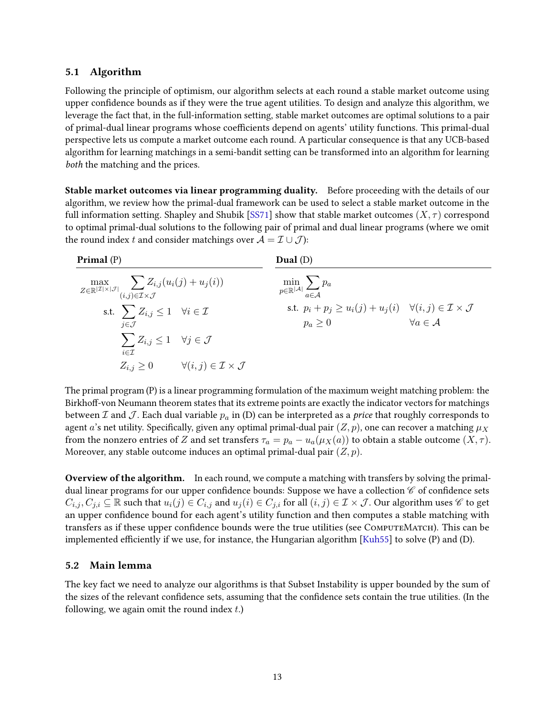## <span id="page-12-1"></span>5.1 Algorithm

Following the principle of optimism, our algorithm selects at each round a stable market outcome using upper confidence bounds as if they were the true agent utilities. To design and analyze this algorithm, we leverage the fact that, in the full-information setting, stable market outcomes are optimal solutions to a pair of primal-dual linear programs whose coefficients depend on agents' utility functions. This primal-dual perspective lets us compute a market outcome each round. A particular consequence is that any UCB-based algorithm for learning matchings in a semi-bandit setting can be transformed into an algorithm for learning both the matching and the prices.

Stable market outcomes via linear programming duality. Before proceeding with the details of our algorithm, we review how the primal-dual framework can be used to select a stable market outcome in the full information setting. Shapley and Shubik [\[SS71\]](#page-24-0) show that stable market outcomes  $(X, \tau)$  correspond to optimal primal-dual solutions to the following pair of primal and dual linear programs (where we omit the round index t and consider matchings over  $A = \mathcal{I} \cup \mathcal{J}$ :

| Primal $(P)$                                                                                                                            | Dual(D)                                                                                                     |                             |
|-----------------------------------------------------------------------------------------------------------------------------------------|-------------------------------------------------------------------------------------------------------------|-----------------------------|
| $\max_{Z \in \mathbb{R}^{ \mathcal{I}  \times  \mathcal{J} }} \sum_{(i,j) \in \mathcal{I} \times \mathcal{J}} Z_{i,j}(u_i(j) + u_j(i))$ | $\min_{p \in \mathbb{R}^{ \mathcal{A} }} \sum_{a \in \mathcal{A}} p_a$                                      |                             |
| s.t. $\sum Z_{i,j} \leq 1 \quad \forall i \in \mathcal{I}$<br>$i \in \mathcal{J}$                                                       | s.t. $p_i + p_j \ge u_i(j) + u_j(i) \quad \forall (i, j) \in \mathcal{I} \times \mathcal{J}$<br>$p_a\geq 0$ | $\forall a \in \mathcal{A}$ |
| $\sum Z_{i,j} \leq 1 \quad \forall j \in \mathcal{J}$<br>$i \in \mathcal{I}$                                                            |                                                                                                             |                             |
| $\forall (i, j) \in \mathcal{I} \times \mathcal{J}$<br>$Z_{i,j}\geq 0$                                                                  |                                                                                                             |                             |

The primal program (P) is a linear programming formulation of the maximum weight matching problem: the Birkhoff-von Neumann theorem states that its extreme points are exactly the indicator vectors for matchings between  $\mathcal I$  and  $\mathcal J$ . Each dual variable  $p_a$  in (D) can be interpreted as a *price* that roughly corresponds to agent a's net utility. Specifically, given any optimal primal-dual pair  $(Z, p)$ , one can recover a matching  $\mu_X$ from the nonzero entries of Z and set transfers  $\tau_a = p_a - u_a(\mu_X(a))$  to obtain a stable outcome  $(X, \tau)$ . Moreover, any stable outcome induces an optimal primal-dual pair  $(Z, p)$ .

Overview of the algorithm. In each round, we compute a matching with transfers by solving the primaldual linear programs for our upper confidence bounds: Suppose we have a collection  $\mathscr C$  of confidence sets  $C_{i,j}, C_{j,i} \subseteq \mathbb{R}$  such that  $u_i(j) \in C_{i,j}$  and  $u_j(i) \in C_{j,i}$  for all  $(i,j) \in \mathcal{I} \times \mathcal{J}$ . Our algorithm uses  $\mathscr{C}$  to get an upper confidence bound for each agent's utility function and then computes a stable matching with transfers as if these upper confidence bounds were the true utilities (see COMPUTEMATCH). This can be implemented efficiently if we use, for instance, the Hungarian algorithm [\[Kuh55\]](#page-23-15) to solve  $(P)$  and  $(D)$ .

## 5.2 Main lemma

<span id="page-12-0"></span>The key fact we need to analyze our algorithms is that Subset Instability is upper bounded by the sum of the sizes of the relevant confidence sets, assuming that the confidence sets contain the true utilities. (In the following, we again omit the round index  $t$ .)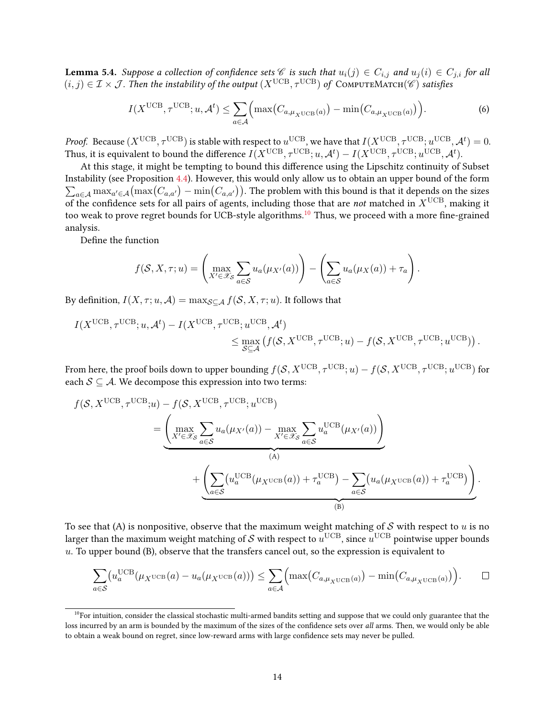**Lemma 5.4.** Suppose a collection of confidence sets  $\mathscr C$  is such that  $u_i(j) \in C_{i,j}$  and  $u_j(i) \in C_{j,i}$  for all  $(i, j) \in \mathcal{I} \times \mathcal{J}$ . Then the instability of the output  $(X^{\text{UCB}}, \tau^{\text{UCB}})$  of COMPUTEMATCH( $\mathscr{C})$  satisfies

$$
I(X^{\text{UCB}}, \tau^{\text{UCB}}; u, \mathcal{A}^t) \le \sum_{a \in \mathcal{A}} \Big( \max \big( C_{a, \mu_X \text{UCB}}(a) \big) - \min \big( C_{a, \mu_X \text{UCB}}(a) \big) \Big). \tag{6}
$$

*Proof.* Because  $(X^{\text{UCB}}, \tau^{\text{UCB}})$  is stable with respect to  $u^{\text{UCB}}$ , we have that  $I(X^{\text{UCB}}, \tau^{\text{UCB}}; u^{\text{UCB}}, \mathcal{A}^t) = 0$ . Thus, it is equivalent to bound the difference  $I(X^\text{UCB}, \tau^\text{UCB} ; u, \mathcal{A}^t) - I(X^\text{UCB}, \tau^\text{UCB} ; u^\text{UCB}, \mathcal{A}^t).$ 

At this stage, it might be tempting to bound this difference using the Lipschitz continuity of Subset Instability (see Proposition [4.4\)](#page-10-1). However, this would only allow us to obtain an upper bound of the form  $\sum_{a\in\mathcal{A}} \max_{a'\in\mathcal{A}} (\max(C_{a,a'}) - \min(C_{a,a'}))$ . The problem with this bound is that it depends on the sizes of the confidence sets for all pairs of agents, including those that are not matched in  $X^{\text{UCB}}$ , making it too weak to prove regret bounds for UCB-style algorithms.<sup>[10](#page-13-0)</sup> Thus, we proceed with a more fine-grained analysis.

Define the function

$$
f(S, X, \tau; u) = \left(\max_{X' \in \mathscr{X}_{\mathcal{S}}} \sum_{a \in \mathcal{S}} u_a(\mu_{X'}(a))\right) - \left(\sum_{a \in \mathcal{S}} u_a(\mu_X(a)) + \tau_a\right).
$$

By definition,  $I(X, \tau; u, \mathcal{A}) = \max_{\mathcal{S} \subset \mathcal{A}} f(\mathcal{S}, X, \tau; u)$ . It follows that

$$
I(X^{\text{UCB}}, \tau^{\text{UCB}}; u, \mathcal{A}^t) - I(X^{\text{UCB}}, \tau^{\text{UCB}}; u^{\text{UCB}}, \mathcal{A}^t) \le \max_{\mathcal{S} \subseteq \mathcal{A}} \left( f(\mathcal{S}, X^{\text{UCB}}, \tau^{\text{UCB}}; u) - f(\mathcal{S}, X^{\text{UCB}}, \tau^{\text{UCB}}; u^{\text{UCB}}) \right).
$$

From here, the proof boils down to upper bounding  $f(\mathcal{S},X^{\text{UCB}},\tau^{\text{UCB}};u)-f(\mathcal{S},X^{\text{UCB}},\tau^{\text{UCB}};u^{\text{UCB}})$  for each  $S \subseteq A$ . We decompose this expression into two terms:

$$
f(S, X^{UCB}, \tau^{UCB}; u) - f(S, X^{UCB}, \tau^{UCB}; u^{UCB})
$$
  
= 
$$
\underbrace{\left(\max_{X' \in \mathcal{X}_S} \sum_{a \in S} u_a(\mu_{X'}(a)) - \max_{X' \in \mathcal{X}_S} \sum_{a \in S} u_a^{UCB}(\mu_{X'}(a))\right)}_{(A)} + \underbrace{\left(\sum_{a \in S} (u_a^{UCB}(\mu_{X^{UCB}}(a)) + \tau_a^{UCB}) - \sum_{a \in S} (u_a(\mu_{X^{UCB}}(a)) + \tau_a^{UCB})\right)}_{(B)}.
$$

To see that (A) is nonpositive, observe that the maximum weight matching of S with respect to u is no larger than the maximum weight matching of  ${\cal S}$  with respect to  $u^{\text{UCB}}$ , since  $u^{\text{UCB}}$  pointwise upper bounds  $u$ . To upper bound  $(B)$ , observe that the transfers cancel out, so the expression is equivalent to

$$
\sum_{a\in\mathcal{S}} \left(u_a^{\text{UCB}}(\mu_X \text{UCB}(a) - u_a(\mu_X \text{UCB}(a))\right) \leq \sum_{a\in\mathcal{A}} \left(\max\left(C_{a,\mu_X \text{UCB}(a)}\right) - \min\left(C_{a,\mu_X \text{UCB}(a)}\right)\right). \qquad \Box
$$

<span id="page-13-0"></span> $10$ For intuition, consider the classical stochastic multi-armed bandits setting and suppose that we could only guarantee that the loss incurred by an arm is bounded by the maximum of the sizes of the confidence sets over all arms. Then, we would only be able to obtain a weak bound on regret, since low-reward arms with large confidence sets may never be pulled.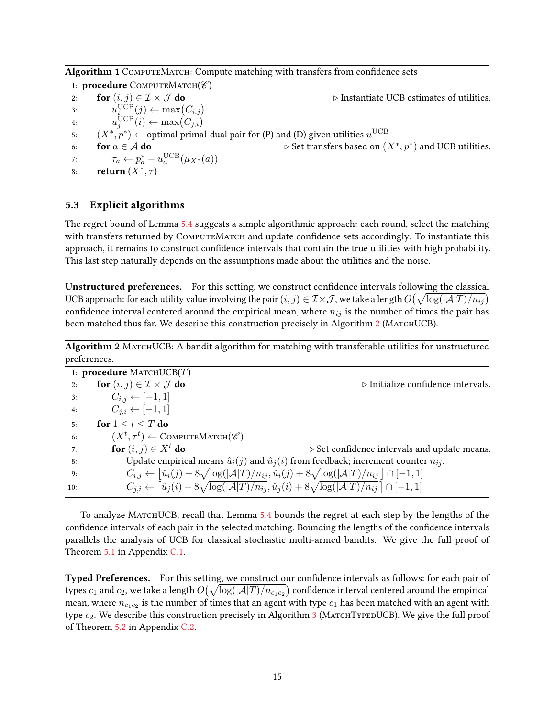| Algorithm 1 COMPUTEMATCH: Compute matching with transfers from confidence sets |  |  |  |
|--------------------------------------------------------------------------------|--|--|--|
|                                                                                |  |  |  |

1: procedure  $COMPUTEMATCH(\mathscr{C})$ 2: for  $(i, j) \in \mathcal{I} \times \mathcal{J}$  do  $\triangleright$  Instantiate UCB estimates of utilities. 3:  $u_{i_{\text{new}}}^{\text{UCB}}(j) \leftarrow \max(C_{i,j})$ 4:  $u_j^{\text{UCB}}(i) \leftarrow \max(C_{j,i})$ 5:  $(X^*, p^*)$  ← optimal primal-dual pair for (P) and (D) given utilities  $u^{\text{UCB}}$ 6: **for**  $a \in \mathcal{A}$  **do**  $\triangleright$  Set transfers based on  $(X^*, p^*)$  and UCB utilities. 7:  $\tau_a \leftarrow p_a^* - u_a^{\text{UCB}}(\mu_{X^*}(a))$ 8: return  $(X^*, \tau)$ 

### <span id="page-14-0"></span>5.3 Explicit algorithms

The regret bound of Lemma [5.4](#page-12-0) suggests a simple algorithmic approach: each round, select the matching with transfers returned by COMPUTEMATCH and update confidence sets accordingly. To instantiate this approach, it remains to construct condence intervals that contain the true utilities with high probability. This last step naturally depends on the assumptions made about the utilities and the noise.

Unstructured preferences. For this setting, we construct confidence intervals following the classical UCB approach: for each utility value involving the pair  $(i,j)\in\mathcal{I}\times\mathcal{J}$  , we take a length  $O\big(\sqrt{\log(|\mathcal{A}|T)/n_{ij}}\big)$ confidence interval centered around the empirical mean, where  $n_{ij}$  is the number of times the pair has been matched thus far. We describe this construction precisely in Algorithm [2](#page-14-1) (MATCHUCB).

<span id="page-14-1"></span>Algorithm 2 MATCHUCB: A bandit algorithm for matching with transferable utilities for unstructured preferences.

|     | 1: <b>procedure</b> MATCHUCB $(T)$                          |                                                                                                                                                        |
|-----|-------------------------------------------------------------|--------------------------------------------------------------------------------------------------------------------------------------------------------|
| 2:  | for $(i, j) \in \mathcal{I} \times \mathcal{J}$ do          | $\triangleright$ Initialize confidence intervals.                                                                                                      |
| 3:  | $C_{i,j} \leftarrow [-1,1]$                                 |                                                                                                                                                        |
| 4:  | $C_{i,i} \leftarrow [-1,1]$                                 |                                                                                                                                                        |
| 5:  | for $1 \le t \le T$ do                                      |                                                                                                                                                        |
| 6:  | $(X^t, \tau^t) \leftarrow \text{COMPUTEMATEH}(\mathscr{C})$ |                                                                                                                                                        |
| 7:  | for $(i, j) \in X^t$ do                                     | $\triangleright$ Set confidence intervals and update means.                                                                                            |
| 8:  |                                                             | Update empirical means $\hat{u}_i(j)$ and $\hat{u}_j(i)$ from feedback; increment counter $n_{ij}$ .                                                   |
| 9:  |                                                             | $C_{i,j} \leftarrow \left[ \hat{u}_i(j) - 8\sqrt{\log( \mathcal{A} T)/n_{ij}}, \hat{u}_i(j) + 8\sqrt{\log( \mathcal{A} T)/n_{ij}} \right] \cap [-1,1]$ |
| 10: |                                                             | $C_{j,i} \leftarrow \left[ \hat{u}_j(i) - 8\sqrt{\log( \mathcal{A} T)/n_{ij}}, \hat{u}_j(i) + 8\sqrt{\log( \mathcal{A} T)/n_{ij}} \right] \cap [-1,1]$ |
|     |                                                             |                                                                                                                                                        |

To analyze MATCHUCB, recall that Lemma [5.4](#page-12-0) bounds the regret at each step by the lengths of the confidence intervals of each pair in the selected matching. Bounding the lengths of the confidence intervals parallels the analysis of UCB for classical stochastic multi-armed bandits. We give the full proof of Theorem [5.1](#page-11-2) in Appendix [C.1.](#page-29-0)

Typed Preferences. For this setting, we construct our confidence intervals as follows: for each pair of types  $c_1$  and  $c_2$ , we take a length  $O(\sqrt{\log(|\mathcal{A}|T)/n_{c_1c_2}})$  confidence interval centered around the empirical mean, where  $n_{c_1c_2}$  is the number of times that an agent with type  $c_1$  has been matched with an agent with type  $c_2$ . We describe this construction precisely in Algorithm [3](#page-15-0) (MATCHTYPEDUCB). We give the full proof of Theorem [5.2](#page-11-0) in Appendix [C.2.](#page-31-0)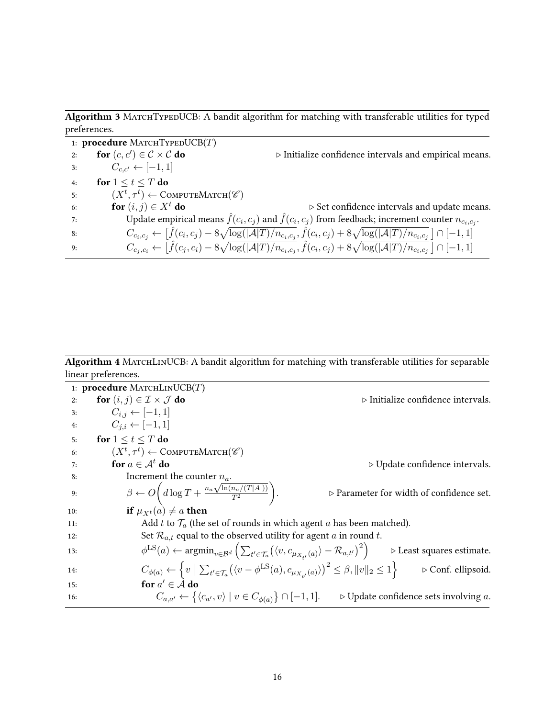<span id="page-15-0"></span>Algorithm 3 MATCHTYPEDUCB: A bandit algorithm for matching with transferable utilities for typed preferences.

1: procedure MATCHTYPEDUCB $(T)$ 2: for  $(c, c') \in \mathcal{C} \times \mathcal{C}$  do ⊳ Initialize confidence intervals and empirical means. 3:  $C_{c,c'} \leftarrow [-1,1]$ 4: for  $1 \le t \le T$  do 5:  $(X^t, \tau^t) \leftarrow \text{COMPUTEMATCH}(\mathscr{C})$ 6: **for**  $(i, j) \in X^t$  **do**  $\triangleright$  Set confidence intervals and update means. 7: Update empirical means  $\hat{f}(c_i, c_j)$  and  $\hat{f}(c_i, c_j)$  from feedback; increment counter  $n_{c_i, c_j}$ . 8:  $C_{c_i,c_j} \leftarrow \left[ \hat{f}(c_i,c_j) - 8\sqrt{\log(|\mathcal{A}|T)/n_{c_i,c_j}}, \hat{f}(c_i,c_j) + 8\sqrt{\log(|\mathcal{A}|T)/n_{c_i,c_j}} \right] \cap [-1,1]$ 9:  $C_{c_j, c_i} \leftarrow \left[ \hat{f}(c_j, c_i) - 8\sqrt{\log(|\mathcal{A}|T)/n_{c_i, c_j}}, \hat{f}(c_i, c_j) + 8\sqrt{\log(|\mathcal{A}|T)/n_{c_i, c_j}} \right] \cap [-1, 1]$ 

<span id="page-15-1"></span>Algorithm 4 MATCHLINUCB: A bandit algorithm for matching with transferable utilities for separable linear preferences.

1: procedure MATCHLINUCB $(T)$ 2: for  $(i, j) \in \mathcal{I} \times \mathcal{J}$  do  $\triangleright$  Initialize confidence intervals. 3:  $C_{i,j}$  ← [-1, 1] 4:  $C_{i,i} \leftarrow [-1,1]$ 5: for  $1 \leq t \leq T$  do 6:  $(X^t, \tau^t) \leftarrow \text{ComputerMarten}(\mathscr{C})$ 7: **for**  $a \in A^t$  **do**  $\triangleright$  Update confidence intervals. 8: Increment the counter  $n_a$ . 9:  $\beta \leftarrow O\left(d\log T + \frac{n_a\sqrt{\ln(n_a/(T|A|))}}{T^2}\right)$  $\overline{T^2}$  $\setminus$  $\triangleright$  Parameter for width of confidence set. 10: **if**  $\mu_{X^t}(a) \neq a$  **then** 11: Add t to  $\mathcal{T}_a$  (the set of rounds in which agent a has been matched). 12: Set  $\mathcal{R}_{a,t}$  equal to the observed utility for agent a in round t. 13:  $\phi$  $\text{Ls}(a) \leftarrow \text{argmin}_{v \in \mathcal{B}^d} \left( \sum_{t' \in \mathcal{T}_a} \left( \langle v, c_{\mu_{X_{t'}}(a)} \rangle - \mathcal{R}_{a,t'} \rangle^2 \right)$  $\triangleright$  Least squares estimate. 14:  $C_{\phi(a)} \leftarrow \left\{ v \mid \sum_{t' \in \mathcal{T}_a} (\langle v - \phi^{\text{LS}}(a), c_{\mu_{X_{t'}}(a)} \rangle)^2 \leq \beta, ||v||_2 \leq 1 \right\}$ . Conf. ellipsoid. 15: **for**  $a' \in \mathcal{A}$  do 16:  $C_{a,a'} \leftarrow \{ \langle c_{a'}, v \rangle \mid v \in C_{\phi(a)} \} \cap [-1,1].$   $\Rightarrow$  Update confidence sets involving a.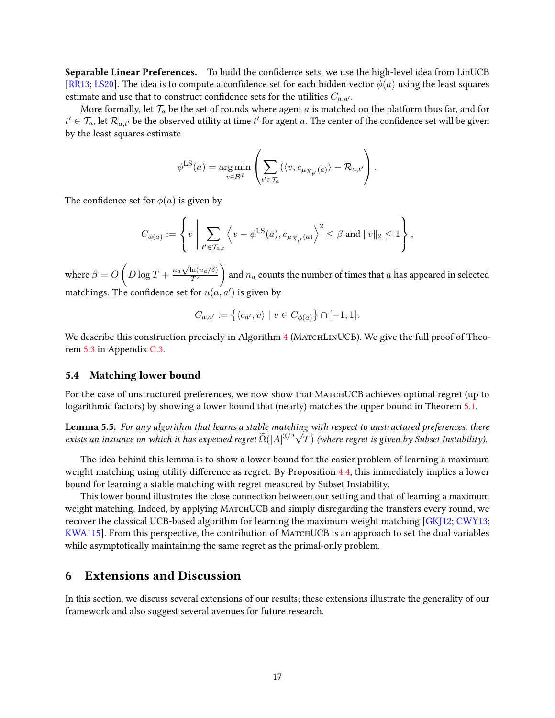Separable Linear Preferences. To build the confidence sets, we use the high-level idea from LinUCB [\[RR13;](#page-24-9) [LS20\]](#page-24-1). The idea is to compute a confidence set for each hidden vector  $\phi(a)$  using the least squares estimate and use that to construct confidence sets for the utilities  $C_{a,a'}$ .

More formally, let  $\mathcal{T}_a$  be the set of rounds where agent a is matched on the platform thus far, and for  $t'\in\mathcal{T}_a$ , let  $\mathcal{R}_{a,t'}$  be the observed utility at time  $t'$  for agent  $a.$  The center of the confidence set will be given by the least squares estimate

$$
\phi^{\text{LS}}(a) = \underset{v \in \mathcal{B}^d}{\arg \min} \left( \sum_{t' \in \mathcal{T}_a} (\langle v, c_{\mu_{X_{t'}}(a)} \rangle - \mathcal{R}_{a,t'} \right).
$$

The confidence set for  $\phi(a)$  is given by

$$
C_{\phi(a)}:=\left\{v\,\left|\,\sum_{t'\in\mathcal{T}_{a,t}}\left\langle v-\phi^{\text{LS}}(a),c_{\mu_{X_{t'}}(a)}\right\rangle^2\leq \beta\text{ and }\|v\|_2\leq 1\right.\right\},
$$

where  $\beta = O\left(D\log T + \frac{n_a\sqrt{\ln(n_a/\delta)}}{T^2}\right)$  $\overline{T^2}$ ) and  $n_a$  counts the number of times that  $a$  has appeared in selected matchings. The confidence set for  $u(a,a')$  is given by

$$
C_{a,a'} := \left\{ \langle c_{a'}, v \rangle \mid v \in C_{\phi(a)} \right\} \cap [-1,1].
$$

We describe this construction precisely in Algorithm [4](#page-15-1) (MATCHLINUCB). We give the full proof of Theorem [5.3](#page-11-1) in Appendix [C.3.](#page-32-0)

### <span id="page-16-1"></span>5.4 Matching lower bound

For the case of unstructured preferences, we now show that MATCHUCB achieves optimal regret (up to logarithmic factors) by showing a lower bound that (nearly) matches the upper bound in Theorem [5.1.](#page-11-2)

<span id="page-16-0"></span>**Lemma 5.5.** For any algorithm that learns a stable matching with respect to unstructured preferences, there exists an instance on which it has expected regret  $\widetilde{\Omega}(|A|^{3/2}\sqrt{T})$  (where regret is given by Subset Instability).

The idea behind this lemma is to show a lower bound for the easier problem of learning a maximum weight matching using utility difference as regret. By Proposition [4.4,](#page-10-1) this immediately implies a lower bound for learning a stable matching with regret measured by Subset Instability.

This lower bound illustrates the close connection between our setting and that of learning a maximum weight matching. Indeed, by applying MATCHUCB and simply disregarding the transfers every round, we recover the classical UCB-based algorithm for learning the maximum weight matching [\[GKJ12;](#page-23-7) [CWY13;](#page-22-8)  $KWA<sup>+</sup>15$  $KWA<sup>+</sup>15$ . From this perspective, the contribution of MATCHUCB is an approach to set the dual variables while asymptotically maintaining the same regret as the primal-only problem.

## 6 Extensions and Discussion

In this section, we discuss several extensions of our results; these extensions illustrate the generality of our framework and also suggest several avenues for future research.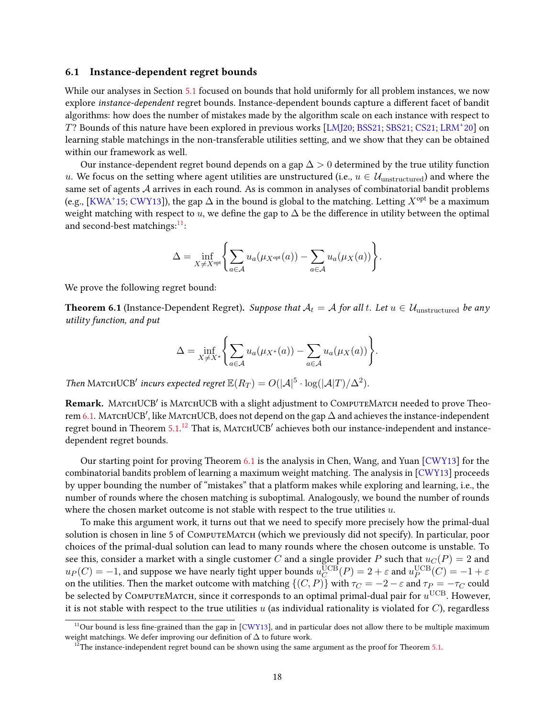### <span id="page-17-0"></span>6.1 Instance-dependent regret bounds

While our analyses in Section [5.1](#page-12-1) focused on bounds that hold uniformly for all problem instances, we now explore instance-dependent regret bounds. Instance-dependent bounds capture a different facet of bandit algorithms: how does the number of mistakes made by the algorithm scale on each instance with respect to T? Bounds of this nature have been explored in previous works [\[LMJ20;](#page-23-0) [BSS21;](#page-22-3) [SBS21;](#page-24-3) [CS21;](#page-22-2) [LRM](#page-23-1)<sup>+</sup> 20] on learning stable matchings in the non-transferable utilities setting, and we show that they can be obtained within our framework as well.

Our instance-dependent regret bound depends on a gap  $\Delta > 0$  determined by the true utility function u. We focus on the setting where agent utilities are unstructured (i.e.,  $u \in \mathcal{U}_{\text{unstructured}}$ ) and where the same set of agents A arrives in each round. As is common in analyses of combinatorial bandit problems (e.g., [\[KWA](#page-23-8)<sup>+</sup>15; [CWY13\]](#page-22-8)), the gap  $\Delta$  in the bound is global to the matching. Letting  $X^{\text{opt}}$  be a maximum weight matching with respect to u, we define the gap to  $\Delta$  be the difference in utility between the optimal and second-best matchings: $^{11}$  $^{11}$  $^{11}$ :

$$
\Delta = \inf_{X \neq X^{\text{opt}}} \left\{ \sum_{a \in \mathcal{A}} u_a(\mu_{X^{\text{opt}}}(a)) - \sum_{a \in \mathcal{A}} u_a(\mu_X(a)) \right\}.
$$

<span id="page-17-2"></span>We prove the following regret bound:

**Theorem 6.1** (Instance-Dependent Regret). Suppose that  $A_t = A$  for all t. Let  $u \in \mathcal{U}_{unstructured}$  be any utility function, and put

$$
\Delta = \inf_{X \neq X^*} \left\{ \sum_{a \in \mathcal{A}} u_a(\mu_{X^*}(a)) - \sum_{a \in \mathcal{A}} u_a(\mu_X(a)) \right\}.
$$

Then MATCHUCB' incurs expected regret  $\mathbb{E}(R_T) = O(|A|^5 \cdot \log(|A|T)/\Delta^2)$ .

Remark. MATCHUCB' is MATCHUCB with a slight adjustment to COMPUTEMATCH needed to prove Theo-rem [6.1.](#page-17-2) МатснUCB', like МатснUCB, does not depend on the gap  $\Delta$  and achieves the instance-independent regret bound in Theorem [5.1.](#page-11-2)<sup>[12](#page-17-3)</sup> That is, MATCHUCB<sup>'</sup> achieves both our instance-independent and instancedependent regret bounds.

Our starting point for proving Theorem [6.1](#page-17-2) is the analysis in Chen, Wang, and Yuan [\[CWY13\]](#page-22-8) for the combinatorial bandits problem of learning a maximum weight matching. The analysis in [\[CWY13\]](#page-22-8) proceeds by upper bounding the number of "mistakes" that a platform makes while exploring and learning, i.e., the number of rounds where the chosen matching is suboptimal. Analogously, we bound the number of rounds where the chosen market outcome is not stable with respect to the true utilities  $u$ .

To make this argument work, it turns out that we need to specify more precisely how the primal-dual solution is chosen in line 5 of COMPUTEMATCH (which we previously did not specify). In particular, poor choices of the primal-dual solution can lead to many rounds where the chosen outcome is unstable. To see this, consider a market with a single customer C and a single provider P such that  $u_C(P) = 2$  and  $u_P(C) = -1$ , and suppose we have nearly tight upper bounds  $u_C^{\text{UCB}}(P) = 2 + \varepsilon$  and  $u_P^{\text{UCB}}(C) = -1 + \varepsilon$ on the utilities. Then the market outcome with matching  $\{(C, P)\}\$  with  $\tau_C = -2 - \varepsilon$  and  $\tau_P = -\tau_C$  could be selected by COMPUTEMATCH, since it corresponds to an optimal primal-dual pair for  $u^{\text{UCB}}$ . However, it is not stable with respect to the true utilities  $u$  (as individual rationality is violated for  $C$ ), regardless

<span id="page-17-1"></span><sup>&</sup>lt;sup>11</sup>Our bound is less fine-grained than the gap in  $\lceil$  CWY13], and in particular does not allow there to be multiple maximum weight matchings. We defer improving our definition of  $\Delta$  to future work.

<span id="page-17-3"></span> $12$ The instance-independent regret bound can be shown using the same argument as the proof for Theorem [5.1.](#page-11-2)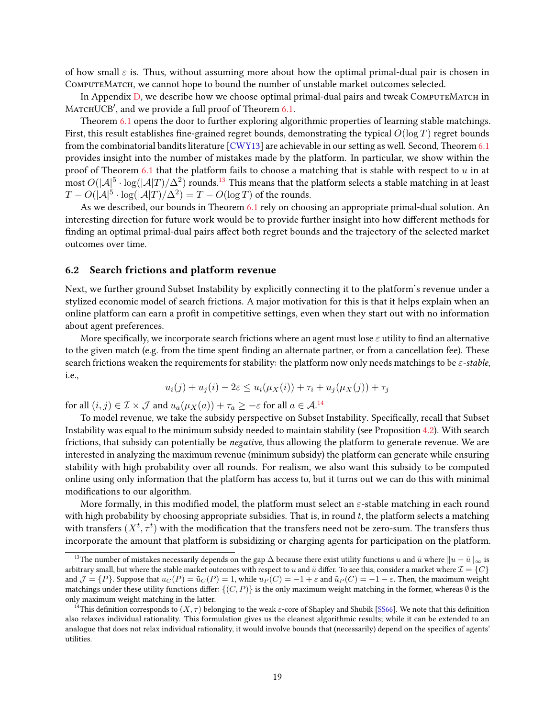of how small  $\varepsilon$  is. Thus, without assuming more about how the optimal primal-dual pair is chosen in ComputeMatch, we cannot hope to bound the number of unstable market outcomes selected.

In Appendix [D,](#page-36-0) we describe how we choose optimal primal-dual pairs and tweak ComputeMatch in  $M$ ATCHUCB', and we provide a full proof of Theorem [6.1.](#page-17-2)

Theorem [6.1](#page-17-2) opens the door to further exploring algorithmic properties of learning stable matchings. First, this result establishes fine-grained regret bounds, demonstrating the typical  $O(\log T)$  regret bounds from the combinatorial bandits literature [\[CWY13\]](#page-22-8) are achievable in our setting as well. Second, Theorem [6.1](#page-17-2) provides insight into the number of mistakes made by the platform. In particular, we show within the proof of Theorem [6.1](#page-17-2) that the platform fails to choose a matching that is stable with respect to  $u$  in at  $\frac{1}{2}$  most  $O(|A|^5 \cdot \log(|A|T)/\Delta^2)$  rounds.<sup>[13](#page-18-1)</sup> This means that the platform selects a stable matching in at least  $T - O(|\mathcal{A}|^5 \cdot \log(|\mathcal{A}|T)/\Delta^2) = T - O(\log T)$  of the rounds.

As we described, our bounds in Theorem [6.1](#page-17-2) rely on choosing an appropriate primal-dual solution. An interesting direction for future work would be to provide further insight into how different methods for finding an optimal primal-dual pairs affect both regret bounds and the trajectory of the selected market outcomes over time.

### <span id="page-18-0"></span>6.2 Search frictions and platform revenue

Next, we further ground Subset Instability by explicitly connecting it to the platform's revenue under a stylized economic model of search frictions. A major motivation for this is that it helps explain when an online platform can earn a profit in competitive settings, even when they start out with no information about agent preferences.

More specifically, we incorporate search frictions where an agent must lose  $\varepsilon$  utility to find an alternative to the given match (e.g. from the time spent finding an alternate partner, or from a cancellation fee). These search frictions weaken the requirements for stability: the platform now only needs matchings to be  $\varepsilon$ -stable, i.e.,

$$
u_i(j) + u_j(i) - 2\varepsilon \le u_i(\mu_X(i)) + \tau_i + u_j(\mu_X(j)) + \tau_j
$$

for all  $(i, j) \in \mathcal{I} \times \mathcal{J}$  and  $u_a(\mu_X(a)) + \tau_a \geq -\varepsilon$  for all  $a \in \mathcal{A}^{.14}$  $a \in \mathcal{A}^{.14}$  $a \in \mathcal{A}^{.14}$ 

To model revenue, we take the subsidy perspective on Subset Instability. Specifically, recall that Subset Instability was equal to the minimum subsidy needed to maintain stability (see Proposition [4.2\)](#page-8-4). With search frictions, that subsidy can potentially be negative, thus allowing the platform to generate revenue. We are interested in analyzing the maximum revenue (minimum subsidy) the platform can generate while ensuring stability with high probability over all rounds. For realism, we also want this subsidy to be computed online using only information that the platform has access to, but it turns out we can do this with minimal modifications to our algorithm.

More formally, in this modified model, the platform must select an  $\varepsilon$ -stable matching in each round with high probability by choosing appropriate subsidies. That is, in round  $t$ , the platform selects a matching with transfers  $(X^t, \tau^t)$  with the modification that the transfers need not be zero-sum. The transfers thus incorporate the amount that platform is subsidizing or charging agents for participation on the platform.

<span id="page-18-1"></span><sup>&</sup>lt;sup>13</sup>The number of mistakes necessarily depends on the gap  $\Delta$  because there exist utility functions u and  $\tilde{u}$  where  $||u - \tilde{u}||_{\infty}$  is arbitrary small, but where the stable market outcomes with respect to u and  $\tilde{u}$  differ. To see this, consider a market where  $\mathcal{I} = \{C\}$ and  $\mathcal{J} = \{P\}$ . Suppose that  $u_C(P) = \tilde{u}_C(P) = 1$ , while  $u_P(C) = -1 + \varepsilon$  and  $\tilde{u}_P(C) = -1 - \varepsilon$ . Then, the maximum weight matchings under these utility functions differ:  $\{(C, P)\}\$ is the only maximum weight matching in the former, whereas Ø is the only maximum weight matching in the latter.

<span id="page-18-2"></span><sup>&</sup>lt;sup>14</sup>This definition corresponds to  $(X, \tau)$  belonging to the weak  $\varepsilon$ -core of Shapley and Shubik [\[SS66\]](#page-24-2). We note that this definition also relaxes individual rationality. This formulation gives us the cleanest algorithmic results; while it can be extended to an analogue that does not relax individual rationality, it would involve bounds that (necessarily) depend on the specifics of agents' utilities.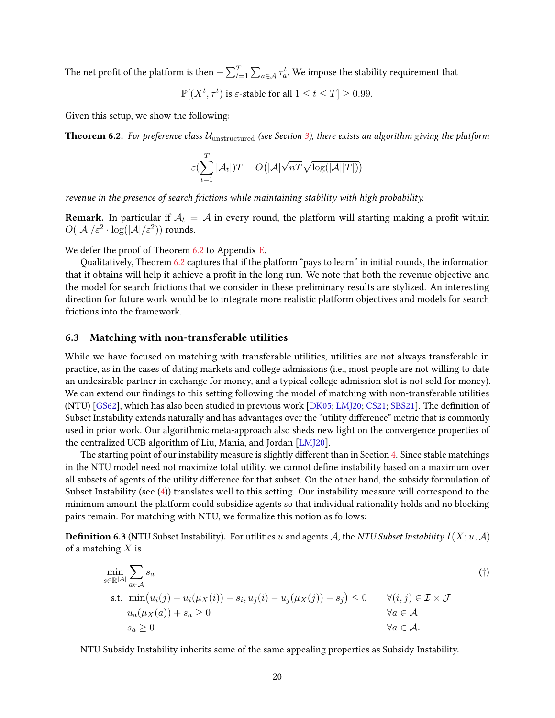The net profit of the platform is then  $-\sum_{t=1}^T\sum_{a\in\mathcal{A}}\tau_a^t.$  We impose the stability requirement that

 $\mathbb{P}[(X^t, \tau^t)$  is  $\varepsilon$ -stable for all  $1 \le t \le T] \ge 0.99$ .

<span id="page-19-1"></span>Given this setup, we show the following:

**Theorem 6.2.** For preference class  $\mathcal{U}_{\text{unstructured}}$  (see Section [3\)](#page-5-1), there exists an algorithm giving the platform

$$
\varepsilon(\sum_{t=1}^T |\mathcal{A}_t|)T - O\big(|\mathcal{A}|\sqrt{nT}\sqrt{\log(|\mathcal{A}||T|)}\big)
$$

revenue in the presence of search frictions while maintaining stability with high probability.

**Remark.** In particular if  $A_t = A$  in every round, the platform will starting making a profit within  $O(|\mathcal{A}|/\varepsilon^2 \cdot \log(|\mathcal{A}|/\varepsilon^2))$  rounds.

We defer the proof of Theorem [6.2](#page-19-1) to Appendix [E.](#page-42-0)

Qualitatively, Theorem [6.2](#page-19-1) captures that if the platform "pays to learn" in initial rounds, the information that it obtains will help it achieve a profit in the long run. We note that both the revenue objective and the model for search frictions that we consider in these preliminary results are stylized. An interesting direction for future work would be to integrate more realistic platform objectives and models for search frictions into the framework.

### <span id="page-19-0"></span>6.3 Matching with non-transferable utilities

While we have focused on matching with transferable utilities, utilities are not always transferable in practice, as in the cases of dating markets and college admissions (i.e., most people are not willing to date an undesirable partner in exchange for money, and a typical college admission slot is not sold for money). We can extend our findings to this setting following the model of matching with non-transferable utilities  $(NTU)$  [\[GS62\]](#page-23-2), which has also been studied in previous work [\[DK05;](#page-22-0) [LMJ20;](#page-23-0) [CS21;](#page-22-2) [SBS21\]](#page-24-3). The definition of Subset Instability extends naturally and has advantages over the "utility difference" metric that is commonly used in prior work. Our algorithmic meta-approach also sheds new light on the convergence properties of the centralized UCB algorithm of Liu, Mania, and Jordan [\[LMJ20\]](#page-23-0).

The starting point of our instability measure is slightly different than in Section [4.](#page-6-0) Since stable matchings in the NTU model need not maximize total utility, we cannot define instability based on a maximum over all subsets of agents of the utility difference for that subset. On the other hand, the subsidy formulation of Subset Instability (see [\(4\)](#page-8-3)) translates well to this setting. Our instability measure will correspond to the minimum amount the platform could subsidize agents so that individual rationality holds and no blocking pairs remain. For matching with NTU, we formalize this notion as follows:

<span id="page-19-4"></span>**Definition 6.3** (NTU Subset Instability). For utilities u and agents A, the NTU Subset Instability  $I(X; u, \mathcal{A})$ of a matching  $X$  is

<span id="page-19-2"></span>
$$
\min_{s \in \mathbb{R}^{|\mathcal{A}|}} \sum_{a \in \mathcal{A}} s_a
$$
\n
$$
\text{s.t. } \min(u_i(j) - u_i(\mu_X(i)) - s_i, u_j(i) - u_j(\mu_X(j)) - s_j) \le 0 \quad \forall (i, j) \in \mathcal{I} \times \mathcal{J}
$$
\n
$$
u_a(\mu_X(a)) + s_a \ge 0 \quad \forall a \in \mathcal{A}
$$
\n
$$
s_a \ge 0 \quad \forall a \in \mathcal{A}.
$$
\n
$$
(†)
$$

<span id="page-19-3"></span>NTU Subsidy Instability inherits some of the same appealing properties as Subsidy Instability.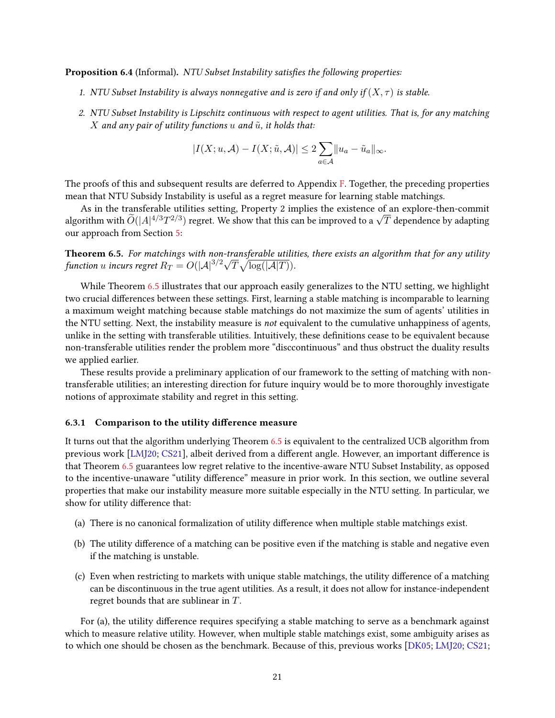Proposition 6.4 (Informal). NTU Subset Instability satisfies the following properties:

- 1. NTU Subset Instability is always nonnegative and is zero if and only if  $(X, \tau)$  is stable.
- 2. NTU Subset Instability is Lipschitz continuous with respect to agent utilities. That is, for any matching X and any pair of utility functions u and  $\tilde{u}$ , it holds that:

$$
|I(X; u, \mathcal{A}) - I(X; \tilde{u}, \mathcal{A})| \leq 2 \sum_{a \in \mathcal{A}} ||u_a - \tilde{u}_a||_{\infty}.
$$

The proofs of this and subsequent results are deferred to Appendix [F.](#page-43-0) Together, the preceding properties mean that NTU Subsidy Instability is useful as a regret measure for learning stable matchings.

As in the transferable utilities setting, Property 2 implies the existence of an explore-then-commit As in the transferable utilities setting, Property 2 implies the existence of an explore-then-commit<br>algorithm with  $\tilde{O}(|A|^{4/3}T^{2/3})$  regret. We show that this can be improved to a  $\sqrt{T}$  dependence by adapting our approach from Section [5:](#page-11-3)

<span id="page-20-1"></span>**Theorem 6.5.** For matchings with non-transferable utilities, there exists an algorithm that for any utility **Theorem 6.5.** For matchings with non-transferable utility<br>function u incurs regret  $R_T = O(|A|^{3/2}\sqrt{T}\sqrt{\log(|A|T)})$ .

While Theorem [6.5](#page-20-1) illustrates that our approach easily generalizes to the NTU setting, we highlight two crucial differences between these settings. First, learning a stable matching is incomparable to learning a maximum weight matching because stable matchings do not maximize the sum of agents' utilities in the NTU setting. Next, the instability measure is not equivalent to the cumulative unhappiness of agents, unlike in the setting with transferable utilities. Intuitively, these definitions cease to be equivalent because non-transferable utilities render the problem more "disccontinuous" and thus obstruct the duality results we applied earlier.

These results provide a preliminary application of our framework to the setting of matching with nontransferable utilities; an interesting direction for future inquiry would be to more thoroughly investigate notions of approximate stability and regret in this setting.

#### <span id="page-20-0"></span>6.3.1 Comparison to the utility difference measure

It turns out that the algorithm underlying Theorem [6.5](#page-20-1) is equivalent to the centralized UCB algorithm from previous work [\[LMJ20;](#page-23-0) [CS21\]](#page-22-2), albeit derived from a different angle. However, an important difference is that Theorem [6.5](#page-20-1) guarantees low regret relative to the incentive-aware NTU Subset Instability, as opposed to the incentive-unaware "utility difference" measure in prior work. In this section, we outline several properties that make our instability measure more suitable especially in the NTU setting. In particular, we show for utility difference that:

- (a) There is no canonical formalization of utility difference when multiple stable matchings exist.
- (b) The utility difference of a matching can be positive even if the matching is stable and negative even if the matching is unstable.
- (c) Even when restricting to markets with unique stable matchings, the utility difference of a matching can be discontinuous in the true agent utilities. As a result, it does not allow for instance-independent regret bounds that are sublinear in T.

For (a), the utility difference requires specifying a stable matching to serve as a benchmark against which to measure relative utility. However, when multiple stable matchings exist, some ambiguity arises as to which one should be chosen as the benchmark. Because of this, previous works [\[DK05;](#page-22-0) [LMJ20;](#page-23-0) [CS21;](#page-22-2)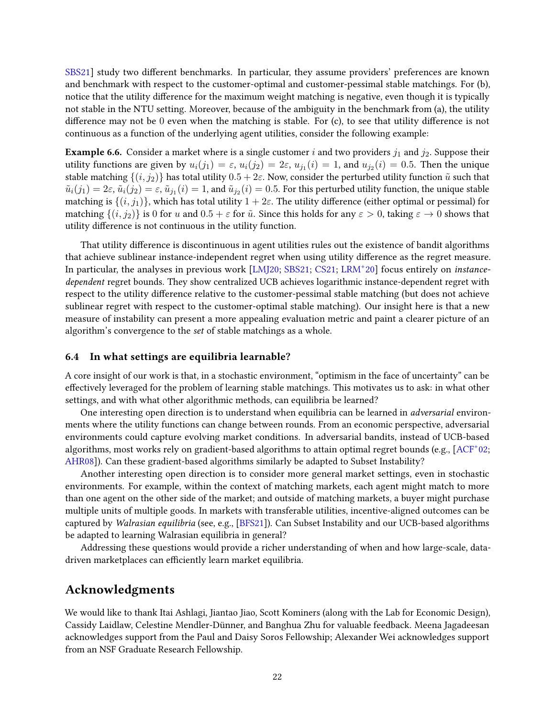[SBS21\]](#page-24-3) study two different benchmarks. In particular, they assume providers' preferences are known and benchmark with respect to the customer-optimal and customer-pessimal stable matchings. For (b), notice that the utility difference for the maximum weight matching is negative, even though it is typically not stable in the NTU setting. Moreover, because of the ambiguity in the benchmark from (a), the utility difference may not be  $0$  even when the matching is stable. For (c), to see that utility difference is not continuous as a function of the underlying agent utilities, consider the following example:

**Example 6.6.** Consider a market where is a single customer i and two providers  $j_1$  and  $j_2$ . Suppose their utility functions are given by  $u_i(j_1) = \varepsilon$ ,  $u_i(j_2) = 2\varepsilon$ ,  $u_{j_1}(i) = 1$ , and  $u_{j_2}(i) = 0.5$ . Then the unique stable matching  $\{(i, j_2)\}$  has total utility  $0.5 + 2\varepsilon$ . Now, consider the perturbed utility function  $\tilde{u}$  such that  $\tilde{u}_i(j_1)=2\varepsilon,$   $\tilde{u}_i(j_2)=\varepsilon,$   $\tilde{u}_{j_1}(i)=1,$  and  $\tilde{u}_{j_2}(i)=0.5.$  For this perturbed utility function, the unique stable matching is  $\{(i, j_1)\}\$ , which has total utility  $1 + 2\varepsilon$ . The utility difference (either optimal or pessimal) for matching  $\{(i, j_2)\}\$ is 0 for u and  $0.5 + \varepsilon$  for  $\tilde{u}$ . Since this holds for any  $\varepsilon > 0$ , taking  $\varepsilon \to 0$  shows that utility difference is not continuous in the utility function.

That utility difference is discontinuous in agent utilities rules out the existence of bandit algorithms that achieve sublinear instance-independent regret when using utility difference as the regret measure. In particular, the analyses in previous work [LMI20; [SBS21;](#page-24-3) [CS21;](#page-22-2) [LRM](#page-23-1)+20] focus entirely on *instance*dependent regret bounds. They show centralized UCB achieves logarithmic instance-dependent regret with respect to the utility difference relative to the customer-pessimal stable matching (but does not achieve sublinear regret with respect to the customer-optimal stable matching). Our insight here is that a new measure of instability can present a more appealing evaluation metric and paint a clearer picture of an algorithm's convergence to the set of stable matchings as a whole.

### 6.4 In what settings are equilibria learnable?

A core insight of our work is that, in a stochastic environment, "optimism in the face of uncertainty" can be effectively leveraged for the problem of learning stable matchings. This motivates us to ask: in what other settings, and with what other algorithmic methods, can equilibria be learned?

One interesting open direction is to understand when equilibria can be learned in *adversarial* environments where the utility functions can change between rounds. From an economic perspective, adversarial environments could capture evolving market conditions. In adversarial bandits, instead of UCB-based algorithms, most works rely on gradient-based algorithms to attain optimal regret bounds (e.g., [\[ACF](#page-22-13)<sup>+</sup>02; [AHR08\]](#page-22-14)). Can these gradient-based algorithms similarly be adapted to Subset Instability?

Another interesting open direction is to consider more general market settings, even in stochastic environments. For example, within the context of matching markets, each agent might match to more than one agent on the other side of the market; and outside of matching markets, a buyer might purchase multiple units of multiple goods. In markets with transferable utilities, incentive-aligned outcomes can be captured by Walrasian equilibria (see, e.g., [\[BFS21\]](#page-22-15)). Can Subset Instability and our UCB-based algorithms be adapted to learning Walrasian equilibria in general?

Addressing these questions would provide a richer understanding of when and how large-scale, datadriven marketplaces can efficiently learn market equilibria.

# Acknowledgments

We would like to thank Itai Ashlagi, Jiantao Jiao, Scott Kominers (along with the Lab for Economic Design), Cassidy Laidlaw, Celestine Mendler-Dünner, and Banghua Zhu for valuable feedback. Meena Jagadeesan acknowledges support from the Paul and Daisy Soros Fellowship; Alexander Wei acknowledges support from an NSF Graduate Research Fellowship.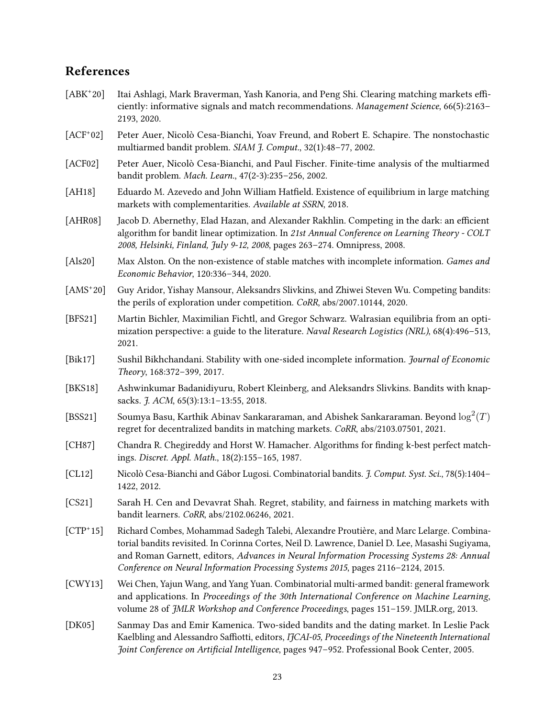# References

- <span id="page-22-4"></span> $[ABK^+20]$ Itai Ashlagi, Mark Braverman, Yash Kanoria, and Peng Shi. Clearing matching markets efficiently: informative signals and match recommendations. Management Science, 66(5):2163– 2193, 2020.
- <span id="page-22-13"></span> $[ACF+02]$ 02] Peter Auer, Nicolò Cesa-Bianchi, Yoav Freund, and Robert E. Schapire. The nonstochastic multiarmed bandit problem. SIAM J. Comput., 32(1):48–77, 2002.
- <span id="page-22-1"></span>[ACF02] Peter Auer, Nicolò Cesa-Bianchi, and Paul Fischer. Finite-time analysis of the multiarmed bandit problem. Mach. Learn., 47(2-3):235–256, 2002.
- <span id="page-22-12"></span>[AH18] Eduardo M. Azevedo and John William Hatfield. Existence of equilibrium in large matching markets with complementarities. Available at SSRN, 2018.
- <span id="page-22-14"></span>[AHR08] Jacob D. Abernethy, Elad Hazan, and Alexander Rakhlin. Competing in the dark: an efficient algorithm for bandit linear optimization. In 21st Annual Conference on Learning Theory - COLT 2008, Helsinki, Finland, July 9-12, 2008, pages 263–274. Omnipress, 2008.
- <span id="page-22-6"></span>[Als20] Max Alston. On the non-existence of stable matches with incomplete information. *Games and* Economic Behavior, 120:336–344, 2020.
- <span id="page-22-11"></span> $[AMS^+20]$ 20] Guy Aridor, Yishay Mansour, Aleksandrs Slivkins, and Zhiwei Steven Wu. Competing bandits: the perils of exploration under competition. CoRR, abs/2007.10144, 2020.
- <span id="page-22-15"></span>[BFS21] Martin Bichler, Maximilian Fichtl, and Gregor Schwarz. Walrasian equilibria from an optimization perspective: a guide to the literature. Naval Research Logistics (NRL), 68(4):496–513, 2021.
- <span id="page-22-5"></span>[Bik17] Sushil Bikhchandani. Stability with one-sided incomplete information. Journal of Economic Theory, 168:372–399, 2017.
- <span id="page-22-10"></span>[BKS18] Ashwinkumar Badanidiyuru, Robert Kleinberg, and Aleksandrs Slivkins. Bandits with knapsacks. *J. ACM*, 65(3):13:1-13:55, 2018.
- <span id="page-22-3"></span>[BSS21] Soumya Basu, Karthik Abinav Sankararaman, and Abishek Sankararaman. Beyond  $\log^2(T)$ regret for decentralized bandits in matching markets. CoRR, abs/2103.07501, 2021.
- <span id="page-22-16"></span>[CH87] Chandra R. Chegireddy and Horst W. Hamacher. Algorithms for finding k-best perfect matchings. Discret. Appl. Math., 18(2):155–165, 1987.
- <span id="page-22-7"></span>[CL12] Nicolò Cesa-Bianchi and Gábor Lugosi. Combinatorial bandits. J. Comput. Syst. Sci., 78(5):1404– 1422, 2012.
- <span id="page-22-2"></span>[CS21] Sarah H. Cen and Devavrat Shah. Regret, stability, and fairness in matching markets with bandit learners. CoRR, abs/2102.06246, 2021.
- <span id="page-22-9"></span> $[CTP^+15]$ 15] Richard Combes, Mohammad Sadegh Talebi, Alexandre Proutière, and Marc Lelarge. Combinatorial bandits revisited. In Corinna Cortes, Neil D. Lawrence, Daniel D. Lee, Masashi Sugiyama, and Roman Garnett, editors, Advances in Neural Information Processing Systems 28: Annual Conference on Neural Information Processing Systems 2015, pages 2116–2124, 2015.
- <span id="page-22-8"></span>[CWY13] Wei Chen, Yajun Wang, and Yang Yuan. Combinatorial multi-armed bandit: general framework and applications. In Proceedings of the 30th International Conference on Machine Learning, volume 28 of JMLR Workshop and Conference Proceedings, pages 151–159. JMLR.org, 2013.
- <span id="page-22-0"></span>[DK05] Sanmay Das and Emir Kamenica. Two-sided bandits and the dating market. In Leslie Pack Kaelbling and Alessandro Saffiotti, editors, IJCAI-05, Proceedings of the Nineteenth International Joint Conference on Artificial Intelligence, pages 947-952. Professional Book Center, 2005.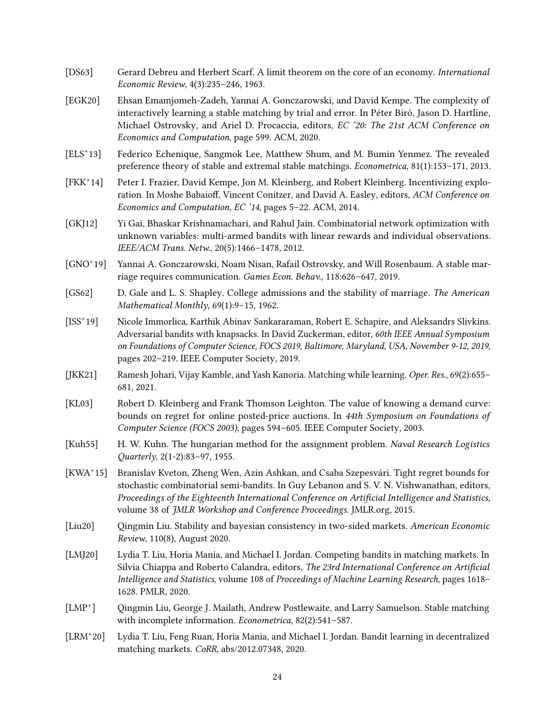- <span id="page-23-13"></span>[DS63] Gerard Debreu and Herbert Scarf. A limit theorem on the core of an economy. International Economic Review, 4(3):235–246, 1963.
- <span id="page-23-4"></span>[EGK20] Ehsan Emamjomeh-Zadeh, Yannai A. Gonczarowski, and David Kempe. The complexity of interactively learning a stable matching by trial and error. In Péter Biró, Jason D. Hartline, Michael Ostrovsky, and Ariel D. Procaccia, editors, EC '20: The 21st ACM Conference on Economics and Computation, page 599. ACM, 2020.
- <span id="page-23-14"></span> $[ELS^+13]$ Federico Echenique, Sangmok Lee, Matthew Shum, and M. Bumin Yenmez. The revealed preference theory of stable and extremal stable matchings. Econometrica, 81(1):153–171, 2013.
- <span id="page-23-10"></span> $[FKK^+14]$ Peter I. Frazier, David Kempe, Jon M. Kleinberg, and Robert Kleinberg. Incentivizing exploration. In Moshe Babaioff, Vincent Conitzer, and David A. Easley, editors, ACM Conference on Economics and Computation, EC '14, pages 5–22. ACM, 2014.
- <span id="page-23-7"></span>[GKJ12] Yi Gai, Bhaskar Krishnamachari, and Rahul Jain. Combinatorial network optimization with unknown variables: multi-armed bandits with linear rewards and individual observations. IEEE/ACM Trans. Netw., 20(5):1466–1478, 2012.
- <span id="page-23-3"></span> $\left[\text{GNO}^+\text{19}\right]$ 19] Yannai A. Gonczarowski, Noam Nisan, Rafail Ostrovsky, and Will Rosenbaum. A stable marriage requires communication. Games Econ. Behav., 118:626–647, 2019.
- <span id="page-23-2"></span>[GS62] D. Gale and L. S. Shapley. College admissions and the stability of marriage. The American Mathematical Monthly, 69(1):9–15, 1962.
- <span id="page-23-12"></span> $[ISS^+19]$ 19] Nicole Immorlica, Karthik Abinav Sankararaman, Robert E. Schapire, and Aleksandrs Slivkins. Adversarial bandits with knapsacks. In David Zuckerman, editor, 60th IEEE Annual Symposium on Foundations of Computer Science, FOCS 2019, Baltimore, Maryland, USA, November 9-12, 2019, pages 202–219. IEEE Computer Society, 2019.
- <span id="page-23-11"></span>[JKK21] Ramesh Johari, Vijay Kamble, and Yash Kanoria. Matching while learning. Oper. Res., 69(2):655– 681, 2021.
- <span id="page-23-9"></span>[KL03] Robert D. Kleinberg and Frank Thomson Leighton. The value of knowing a demand curve: bounds on regret for online posted-price auctions. In 44th Symposium on Foundations of Computer Science (FOCS 2003), pages 594–605. IEEE Computer Society, 2003.
- <span id="page-23-15"></span>[Kuh55] H. W. Kuhn. The hungarian method for the assignment problem. Naval Research Logistics Quarterly, 2(1-2):83–97, 1955.
- <span id="page-23-8"></span> $[KWA^+15]$ 15] Branislav Kveton, Zheng Wen, Azin Ashkan, and Csaba Szepesvári. Tight regret bounds for stochastic combinatorial semi-bandits. In Guy Lebanon and S. V. N. Vishwanathan, editors, Proceedings of the Eighteenth International Conference on Artificial Intelligence and Statistics, volume 38 of JMLR Workshop and Conference Proceedings. JMLR.org, 2015.
- <span id="page-23-6"></span>[Liu20] Qingmin Liu. Stability and bayesian consistency in two-sided markets. American Economic Review, 110(8), August 2020.
- <span id="page-23-0"></span>[LMJ20] Lydia T. Liu, Horia Mania, and Michael I. Jordan. Competing bandits in matching markets. In Silvia Chiappa and Roberto Calandra, editors, The 23rd International Conference on Artificial Intelligence and Statistics, volume 108 of Proceedings of Machine Learning Research, pages 1618– 1628. PMLR, 2020.
- <span id="page-23-5"></span> $[LMP^+]$ ] Qingmin Liu, George J. Mailath, Andrew Postlewaite, and Larry Samuelson. Stable matching with incomplete information. Econometrica, 82(2):541–587.
- <span id="page-23-1"></span> $[LRM^+20]$ 20] Lydia T. Liu, Feng Ruan, Horia Mania, and Michael I. Jordan. Bandit learning in decentralized matching markets. CoRR, abs/2012.07348, 2020.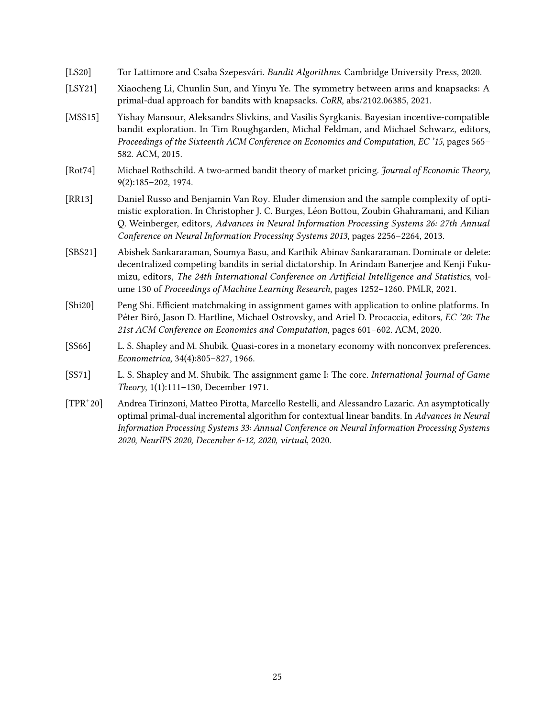<span id="page-24-1"></span>

| [LS20] | Tor Lattimore and Csaba Szepesvári. Bandit Algorithms. Cambridge University Press, 2020. |  |  |
|--------|------------------------------------------------------------------------------------------|--|--|
|        |                                                                                          |  |  |

- <span id="page-24-8"></span>[LSY21] Xiaocheng Li, Chunlin Sun, and Yinyu Ye. The symmetry between arms and knapsacks: A primal-dual approach for bandits with knapsacks. CoRR, abs/2102.06385, 2021.
- <span id="page-24-6"></span>[MSS15] Yishay Mansour, Aleksandrs Slivkins, and Vasilis Syrgkanis. Bayesian incentive-compatible bandit exploration. In Tim Roughgarden, Michal Feldman, and Michael Schwarz, editors, Proceedings of the Sixteenth ACM Conference on Economics and Computation, EC '15, pages 565– 582. ACM, 2015.
- <span id="page-24-5"></span>[Rot74] Michael Rothschild. A two-armed bandit theory of market pricing. Journal of Economic Theory, 9(2):185–202, 1974.
- <span id="page-24-9"></span>[RR13] Daniel Russo and Benjamin Van Roy. Eluder dimension and the sample complexity of optimistic exploration. In Christopher J. C. Burges, Léon Bottou, Zoubin Ghahramani, and Kilian Q. Weinberger, editors, Advances in Neural Information Processing Systems 26: 27th Annual Conference on Neural Information Processing Systems 2013, pages 2256–2264, 2013.
- <span id="page-24-3"></span>[SBS21] Abishek Sankararaman, Soumya Basu, and Karthik Abinav Sankararaman. Dominate or delete: decentralized competing bandits in serial dictatorship. In Arindam Banerjee and Kenji Fukumizu, editors, The 24th International Conference on Artificial Intelligence and Statistics, volume 130 of Proceedings of Machine Learning Research, pages 1252–1260. PMLR, 2021.
- <span id="page-24-4"></span>[Shi20] Peng Shi. Efficient matchmaking in assignment games with application to online platforms. In Péter Biró, Jason D. Hartline, Michael Ostrovsky, and Ariel D. Procaccia, editors, EC '20: The 21st ACM Conference on Economics and Computation, pages 601–602. ACM, 2020.
- <span id="page-24-2"></span>[SS66] L. S. Shapley and M. Shubik. Quasi-cores in a monetary economy with nonconvex preferences. Econometrica, 34(4):805–827, 1966.
- <span id="page-24-0"></span>[SS71] L. S. Shapley and M. Shubik. The assignment game I: The core. *International fournal of Game* Theory, 1(1):111–130, December 1971.
- <span id="page-24-7"></span> $[TPR^+20]$ 20] Andrea Tirinzoni, Matteo Pirotta, Marcello Restelli, and Alessandro Lazaric. An asymptotically optimal primal-dual incremental algorithm for contextual linear bandits. In Advances in Neural Information Processing Systems 33: Annual Conference on Neural Information Processing Systems 2020, NeurIPS 2020, December 6-12, 2020, virtual, 2020.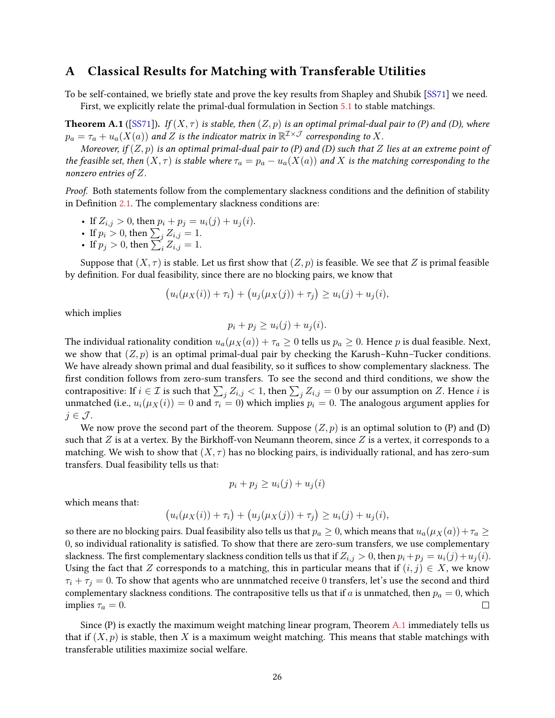# <span id="page-25-0"></span>A Classical Results for Matching with Transferable Utilities

To be self-contained, we briefly state and prove the key results from Shapley and Shubik [\[SS71\]](#page-24-0) we need.

First, we explicitly relate the primal-dual formulation in Section [5.1](#page-12-1) to stable matchings.

<span id="page-25-1"></span>**Theorem A.1** ([\[SS71\]](#page-24-0)). If  $(X, \tau)$  is stable, then  $(Z, p)$  is an optimal primal-dual pair to (P) and (D), where  $p_a=\tau_a+u_a(X(a))$  and  $Z$  is the indicator matrix in  $\mathbb{R}^{\mathcal{I} \times \mathcal{J}}$  corresponding to  $X.$ 

Moreover, if  $(Z, p)$  is an optimal primal-dual pair to (P) and (D) such that Z lies at an extreme point of the feasible set, then  $(X, \tau)$  is stable where  $\tau_a = p_a - u_a(X(a))$  and X is the matching corresponding to the nonzero entries of Z.

Proof. Both statements follow from the complementary slackness conditions and the definition of stability in Definition  $2.1$ . The complementary slackness conditions are:

- If  $Z_{i,j} > 0$ , then  $p_i + p_j = u_i(j) + u_j(i)$ .
- If  $p_i > 0$ , then  $\sum_j Z_{i,j} = 1$ .
- If  $p_j > 0$ , then  $\sum_{i=1}^{j} Z_{i,j} = 1$ .

Suppose that  $(X, \tau)$  is stable. Let us first show that  $(Z, p)$  is feasible. We see that Z is primal feasible by definition. For dual feasibility, since there are no blocking pairs, we know that

$$
(u_i(\mu_X(i)) + \tau_i) + (u_j(\mu_X(j)) + \tau_j) \ge u_i(j) + u_j(i),
$$

which implies

$$
p_i + p_j \ge u_i(j) + u_j(i).
$$

The individual rationality condition  $u_a(\mu_X(a)) + \tau_a \geq 0$  tells us  $p_a \geq 0$ . Hence p is dual feasible. Next, we show that  $(Z, p)$  is an optimal primal-dual pair by checking the Karush–Kuhn–Tucker conditions. We have already shown primal and dual feasibility, so it suffices to show complementary slackness. The first condition follows from zero-sum transfers. To see the second and third conditions, we show the contrapositive: If  $i \in \mathcal{I}$  is such that  $\sum_j Z_{i,j} < 1$ , then  $\sum_j Z_{i,j} = 0$  by our assumption on  $Z$ . Hence  $i$  is unmatched (i.e.,  $u_i(\mu_X(i)) = 0$  and  $\tau_i = 0$ ) which implies  $p_i = 0$ . The analogous argument applies for  $j \in \mathcal{J}$ .

We now prove the second part of the theorem. Suppose  $(Z, p)$  is an optimal solution to (P) and (D) such that  $Z$  is at a vertex. By the Birkhoff-von Neumann theorem, since  $Z$  is a vertex, it corresponds to a matching. We wish to show that  $(X, \tau)$  has no blocking pairs, is individually rational, and has zero-sum transfers. Dual feasibility tells us that:

$$
p_i + p_j \ge u_i(j) + u_j(i)
$$

which means that:

$$
(u_i(\mu_X(i)) + \tau_i) + (u_j(\mu_X(j)) + \tau_j) \ge u_i(j) + u_j(i),
$$

so there are no blocking pairs. Dual feasibility also tells us that  $p_a \ge 0$ , which means that  $u_a(\mu_X(a)) + \tau_a \ge 0$ 0, so individual rationality is satised. To show that there are zero-sum transfers, we use complementary slackness. The first complementary slackness condition tells us that if  $Z_{i,j} > 0$ , then  $p_i + p_j = u_i(j) + u_j(i)$ . Using the fact that Z corresponds to a matching, this in particular means that if  $(i, j) \in X$ , we know  $\tau_i + \tau_j = 0$ . To show that agents who are unnmatched receive 0 transfers, let's use the second and third complementary slackness conditions. The contrapositive tells us that if a is unmatched, then  $p_a = 0$ , which implies  $\tau_a = 0$ . П

Since  $(P)$  is exactly the maximum weight matching linear program, Theorem [A.1](#page-25-1) immediately tells us that if  $(X, p)$  is stable, then X is a maximum weight matching. This means that stable matchings with transferable utilities maximize social welfare.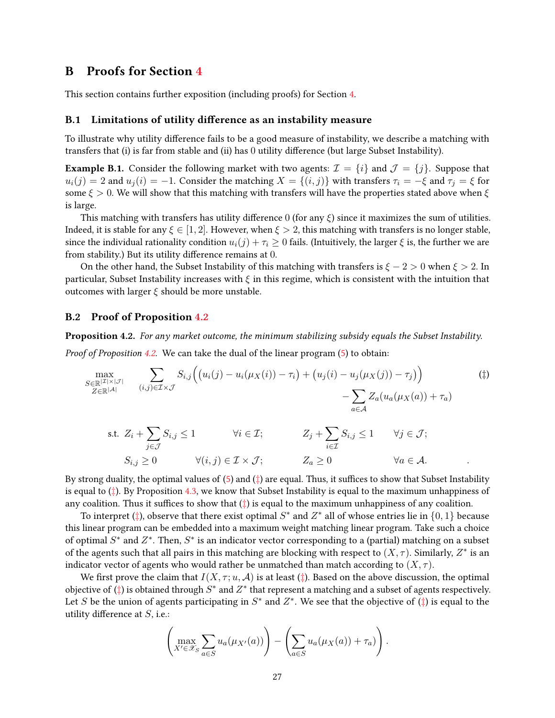# B Proofs for Section [4](#page-6-0)

This section contains further exposition (including proofs) for Section [4.](#page-6-0)

### <span id="page-26-0"></span>B.1 Limitations of utility difference as an instability measure

To illustrate why utility difference fails to be a good measure of instability, we describe a matching with transfers that (i) is far from stable and (ii) has 0 utility difference (but large Subset Instability).

**Example B.1.** Consider the following market with two agents:  $\mathcal{I} = \{i\}$  and  $\mathcal{J} = \{j\}$ . Suppose that  $u_i(j) = 2$  and  $u_j(i) = -1$ . Consider the matching  $X = \{(i, j)\}\$  with transfers  $\tau_i = -\xi$  and  $\tau_j = \xi$  for some  $\xi > 0$ . We will show that this matching with transfers will have the properties stated above when  $\xi$ is large.

This matching with transfers has utility difference 0 (for any  $\xi$ ) since it maximizes the sum of utilities. Indeed, it is stable for any  $\xi \in [1,2]$ . However, when  $\xi > 2$ , this matching with transfers is no longer stable, since the individual rationality condition  $u_i(j) + \tau_i \geq 0$  fails. (Intuitively, the larger  $\xi$  is, the further we are from stability.) But its utility difference remains at  $0$ .

On the other hand, the Subset Instability of this matching with transfers is  $\xi - 2 > 0$  when  $\xi > 2$ . In particular, Subset Instability increases with  $\xi$  in this regime, which is consistent with the intuition that outcomes with larger  $\xi$  should be more unstable.

### <span id="page-26-1"></span>B.2 Proof of Proposition [4.2](#page-8-4)

Proposition 4.2. For any market outcome, the minimum stabilizing subsidy equals the Subset Instability.

Proof of Proposition [4.2.](#page-8-4) We can take the dual of the linear program [\(5\)](#page-8-1) to obtain:

$$
\max_{\substack{S \in \mathbb{R}^{|\mathcal{I}| \times |\mathcal{J}|} \\ Z \in \mathbb{R}^{|\mathcal{A}|}}} \sum_{(i,j) \in \mathcal{I} \times \mathcal{J}} S_{i,j} \Big( \big( u_i(j) - u_i(\mu_X(i)) - \tau_i \big) + \big( u_j(i) - u_j(\mu_X(j)) - \tau_j \big) \Big) \qquad \qquad (†)
$$

<span id="page-26-2"></span>s.t. 
$$
Z_i + \sum_{j \in \mathcal{J}} S_{i,j} \le 1
$$
  $\forall i \in \mathcal{I};$   $Z_j + \sum_{i \in \mathcal{I}} S_{i,j} \le 1$   $\forall j \in \mathcal{J};$   
 $S_{i,j} \ge 0$   $\forall (i,j) \in \mathcal{I} \times \mathcal{J};$   $Z_a \ge 0$   $\forall a \in \mathcal{A}.$ 

By strong duality, the optimal values of  $(5)$  and  $(‡)$  $(‡)$  $(‡)$  are equal. Thus, it suffices to show that Subset Instability is equal to  $(\ddagger)$ . By Proposition [4.3,](#page-9-0) we know that Subset Instability is equal to the maximum unhappiness of any coalition. Thus it suffices to show that  $(\ddagger)$  is equal to the maximum unhappiness of any coalition.

To interpret ([‡](#page-26-2)), observe that there exist optimal  $S^*$  and  $Z^*$  all of whose entries lie in  $\{0,1\}$  because this linear program can be embedded into a maximum weight matching linear program. Take such a choice of optimal  $S^*$  and  $Z^*$ . Then,  $S^*$  is an indicator vector corresponding to a (partial) matching on a subset of the agents such that all pairs in this matching are blocking with respect to  $(X, \tau)$ . Similarly,  $Z^*$  is an indicator vector of agents who would rather be unmatched than match according to  $(X, \tau)$ .

We first prove the claim that  $I(X, \tau; u, \mathcal{A})$  is at least ( $\ddagger$ ). Based on the above discussion, the optimal objective of  $(\ddagger)$  is obtained through  $S^*$  and  $Z^*$  that represent a matching and a subset of agents respectively. Let S be the union of agents participating in  $S^*$  and  $Z^*$ . We see that the objective of  $(\ddagger)$  is equal to the utility difference at  $S$ , i.e.:

$$
\left(\max_{X' \in \mathscr{X}_S} \sum_{a \in S} u_a(\mu_{X'}(a))\right) - \left(\sum_{a \in S} u_a(\mu_X(a)) + \tau_a)\right).
$$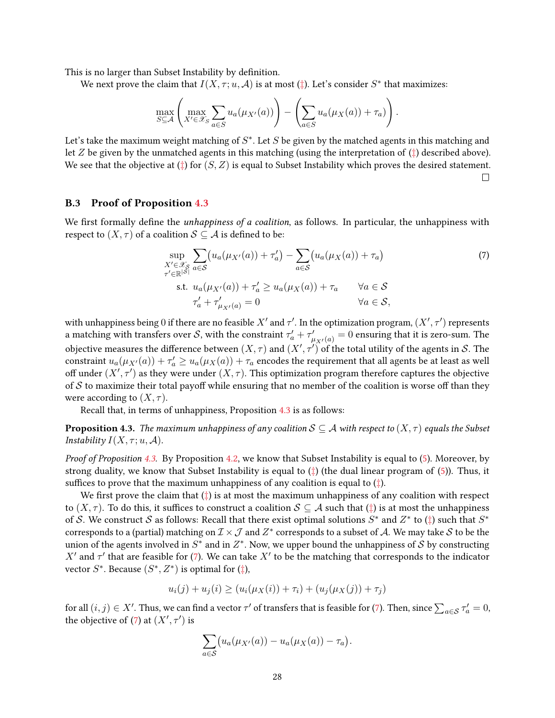This is no larger than Subset Instability by definition.

We next prove the claim that  $I(X, \tau; u, \mathcal{A})$  is at most ( $\ddagger$ ). Let's consider  $S^*$  that maximizes:

$$
\max_{S \subseteq \mathcal{A}} \left( \max_{X' \in \mathcal{X}_S} \sum_{a \in S} u_a(\mu_{X'}(a)) \right) - \left( \sum_{a \in S} u_a(\mu_X(a)) + \tau_a) \right).
$$

Let's take the maximum weight matching of  $S^*$ . Let  $S$  be given by the matched agents in this matching and let Z be given by the unmatched agents in this matching (using the interpretation of  $(\ddagger)$  described above). We see that the objective at  $(\ddagger)$  for  $(S, Z)$  is equal to Subset Instability which proves the desired statement.  $\Box$ 

### <span id="page-27-0"></span>B.3 Proof of Proposition [4.3](#page-9-0)

We first formally define the *unhappiness of a coalition*, as follows. In particular, the unhappiness with respect to  $(X, \tau)$  of a coalition  $S \subseteq A$  is defined to be:

<span id="page-27-1"></span>
$$
\sup_{X' \in \mathcal{X}_{\mathcal{S}}} \sum_{a \in \mathcal{S}} \left( u_a(\mu_{X'}(a)) + \tau'_a \right) - \sum_{a \in \mathcal{S}} \left( u_a(\mu_X(a)) + \tau_a \right) \tag{7}
$$
\n
$$
\text{s.t. } u_a(\mu_{X'}(a)) + \tau'_a \ge u_a(\mu_X(a)) + \tau_a \qquad \forall a \in \mathcal{S}
$$
\n
$$
\tau'_a + \tau'_{\mu_{X'}(a)} = 0 \qquad \qquad \forall a \in \mathcal{S},
$$

with unhappiness being 0 if there are no feasible  $X'$  and  $\tau'$ . In the optimization program,  $(X', \tau')$  represents a matching with transfers over  $S$ , with the constraint  $\tau'_a + \tau'_{\mu_{X'}(a)} = 0$  ensuring that it is zero-sum. The objective measures the difference between  $(X,\tau)$  and  $(X',\tau')$  of the total utility of the agents in  ${\cal S}.$  The constraint  $u_a(\mu_{X'}(a)) + \tau_a' \ge u_a(\mu_X(a)) + \tau_a$  encodes the requirement that all agents be at least as well off under  $(X', \tau')$  as they were under  $(X, \tau)$ . This optimization program therefore captures the objective of S to maximize their total payoff while ensuring that no member of the coalition is worse off than they were according to  $(X, \tau)$ .

Recall that, in terms of unhappiness, Proposition [4.3](#page-9-0) is as follows:

**Proposition 4.3.** The maximum unhappiness of any coalition  $S \subseteq A$  with respect to  $(X, \tau)$  equals the Subset Instability  $I(X, \tau; u, \mathcal{A})$ .

Proof of Proposition [4.3.](#page-9-0) By Proposition [4.2,](#page-8-4) we know that Subset Instability is equal to [\(5\)](#page-8-1). Moreover, by strong duality, we know that Subset Instability is equal to  $(\dagger)$  (the dual linear program of [\(5\)](#page-8-1)). Thus, it suffices to prove that the maximum unhappiness of any coalition is equal to  $(\dagger)$ .

We first prove the claim that  $(\dagger)$  is at most the maximum unhappiness of any coalition with respect to  $(X, \tau)$ . To do this, it suffices to construct a coalition  $S \subseteq A$  such that ( $\ddagger$ ) is at most the unhappiness of S. We construct S as follows: Recall that there exist optimal solutions  $S^*$  and  $Z^*$  to  $(\ddagger)$  such that  $S^*$ corresponds to a (partial) matching on  $\mathcal{I}\times\mathcal{J}$  and  $Z^*$  corresponds to a subset of  $\mathcal{A}.$  We may take  $\mathcal S$  to be the union of the agents involved in  $S^*$  and in  $Z^*$ . Now, we upper bound the unhappiness of  $\mathcal S$  by constructing X' and  $\tau'$  that are feasible for [\(7\)](#page-27-1). We can take X' to be the matching that corresponds to the indicator vector  $S^*$ . Because  $(S^*, Z^*)$  is optimal for  $(\dagger)$ ,

$$
u_i(j) + u_j(i) \ge (u_i(\mu_X(i)) + \tau_i) + (u_j(\mu_X(j)) + \tau_j)
$$

for all  $(i,j)\in X'$ . Thus, we can find a vector  $\tau'$  of transfers that is feasible for [\(7\)](#page-27-1). Then, since  $\sum_{a\in\mathcal{S}}\tau'_a=0$ , the objective of [\(7\)](#page-27-1) at  $(X', \tau')$  is

$$
\sum_{a\in S} \bigl(u_a(\mu_{X'}(a))-u_a(\mu_X(a)) - \tau_a\bigr).
$$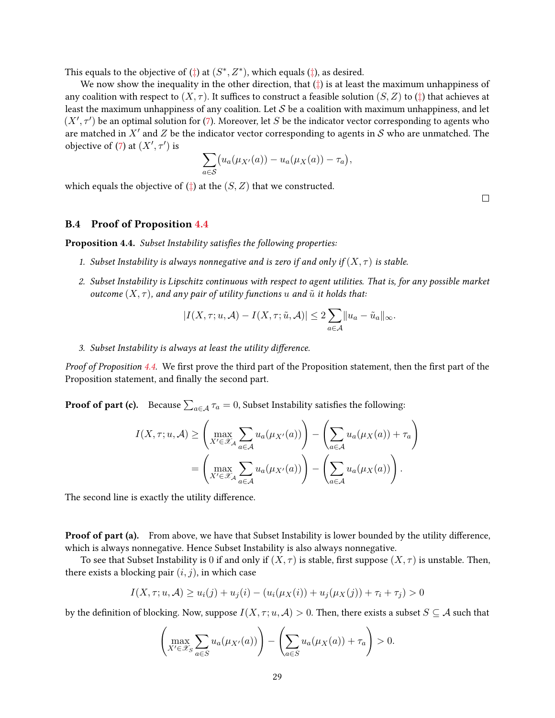This equals to the objective of  $(\ddagger)$  at  $(S^*, Z^*)$ , which equals  $(\ddagger)$ , as desired.

We now show the inequality in the other direction, that  $(\dagger)$  is at least the maximum unhappiness of any coalition with respect to  $(X, \tau)$ . It suffices to construct a feasible solution  $(S, Z)$  to ( $\ddagger$ ) that achieves at least the maximum unhappiness of any coalition. Let  $S$  be a coalition with maximum unhappiness, and let  $(X', \tau')$  be an optimal solution for [\(7\)](#page-27-1). Moreover, let S be the indicator vector corresponding to agents who are matched in  $X'$  and  $Z$  be the indicator vector corresponding to agents in  $S$  who are unmatched. The objective of [\(7\)](#page-27-1) at  $(X', \tau')$  is

$$
\sum_{a \in S} \bigl( u_a(\mu_{X'}(a)) - u_a(\mu_X(a)) - \tau_a \bigr),
$$

which equals the objective of  $(\pm)$  at the  $(S, Z)$  that we constructed.

 $\Box$ 

### <span id="page-28-0"></span>B.4 Proof of Proposition [4.4](#page-10-1)

Proposition 4.4. Subset Instability satisfies the following properties:

- 1. Subset Instability is always nonnegative and is zero if and only if  $(X, \tau)$  is stable.
- 2. Subset Instability is Lipschitz continuous with respect to agent utilities. That is, for any possible market outcome  $(X, \tau)$ , and any pair of utility functions u and  $\tilde{u}$  it holds that:

$$
|I(X,\tau;u,\mathcal{A}) - I(X,\tau;\tilde{u},\mathcal{A})| \leq 2 \sum_{a \in \mathcal{A}} ||u_a - \tilde{u}_a||_{\infty}.
$$

3. Subset Instability is always at least the utility difference.

Proof of Proposition [4.4.](#page-10-1) We first prove the third part of the Proposition statement, then the first part of the Proposition statement, and finally the second part.

**Proof of part (c).** Because  $\sum_{a \in \mathcal{A}} \tau_a = 0$ , Subset Instability satisfies the following:

$$
I(X, \tau; u, \mathcal{A}) \geq \left( \max_{X' \in \mathcal{X}_{\mathcal{A}}} \sum_{a \in \mathcal{A}} u_a(\mu_{X'}(a)) \right) - \left( \sum_{a \in \mathcal{A}} u_a(\mu_X(a)) + \tau_a \right)
$$
  
= 
$$
\left( \max_{X' \in \mathcal{X}_{\mathcal{A}}} \sum_{a \in \mathcal{A}} u_a(\mu_{X'}(a)) \right) - \left( \sum_{a \in \mathcal{A}} u_a(\mu_X(a)) \right).
$$

The second line is exactly the utility difference.

**Proof of part (a).** From above, we have that Subset Instability is lower bounded by the utility difference, which is always nonnegative. Hence Subset Instability is also always nonnegative.

To see that Subset Instability is 0 if and only if  $(X, \tau)$  is stable, first suppose  $(X, \tau)$  is unstable. Then, there exists a blocking pair  $(i, j)$ , in which case

$$
I(X, \tau; u, \mathcal{A}) \ge u_i(j) + u_j(i) - (u_i(\mu_X(i)) + u_j(\mu_X(j)) + \tau_i + \tau_j) > 0
$$

by the definition of blocking. Now, suppose  $I(X, \tau; u, \mathcal{A}) > 0$ . Then, there exists a subset  $S \subseteq \mathcal{A}$  such that

$$
\left(\max_{X' \in \mathcal{X}_S} \sum_{a \in S} u_a(\mu_{X'}(a))\right) - \left(\sum_{a \in S} u_a(\mu_X(a)) + \tau_a\right) > 0.
$$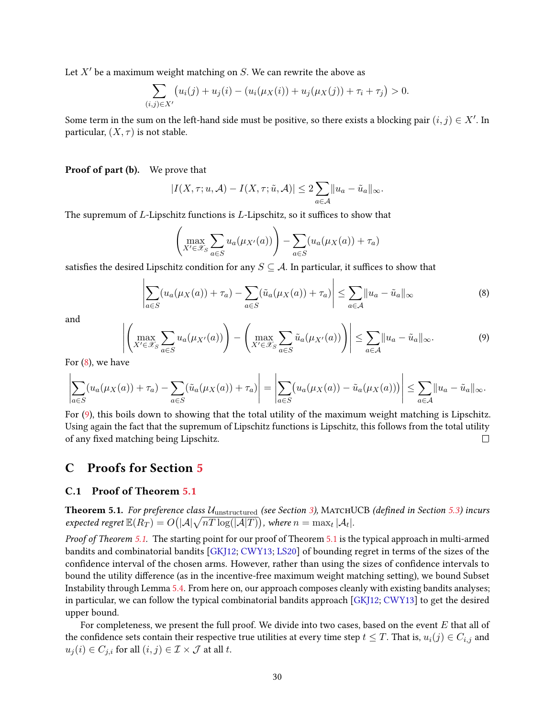Let  $X^\prime$  be a maximum weight matching on  $S.$  We can rewrite the above as

$$
\sum_{(i,j)\in X'} \bigl(u_i(j) + u_j(i) - (u_i(\mu_X(i)) + u_j(\mu_X(j)) + \tau_i + \tau_j\bigr) > 0.
$$

Some term in the sum on the left-hand side must be positive, so there exists a blocking pair  $(i, j) \in X'$ . In particular,  $(X, \tau)$  is not stable.

Proof of part (b). We prove that

$$
|I(X,\tau;u,\mathcal{A})-I(X,\tau;\tilde{u},\mathcal{A})|\leq 2\sum_{a\in\mathcal{A}}||u_a-\tilde{u}_a||_{\infty}.
$$

The supremum of  $L$ -Lipschitz functions is  $L$ -Lipschitz, so it suffices to show that

$$
\left(\max_{X' \in \mathcal{X}_S} \sum_{a \in S} u_a(\mu_{X'}(a))\right) - \sum_{a \in S} (u_a(\mu_X(a)) + \tau_a)
$$

satisfies the desired Lipschitz condition for any  $S \subseteq A$ . In particular, it suffices to show that

<span id="page-29-1"></span>
$$
\left| \sum_{a \in S} (u_a(\mu_X(a)) + \tau_a) - \sum_{a \in S} (\tilde{u}_a(\mu_X(a)) + \tau_a) \right| \leq \sum_{a \in \mathcal{A}} ||u_a - \tilde{u}_a||_{\infty}
$$
 (8)

and

<span id="page-29-2"></span>
$$
\left| \left( \max_{X' \in \mathcal{X}_S} \sum_{a \in S} u_a(\mu_{X'}(a)) \right) - \left( \max_{X' \in \mathcal{X}_S} \sum_{a \in S} \tilde{u}_a(\mu_{X'}(a)) \right) \right| \leq \sum_{a \in \mathcal{A}} \|u_a - \tilde{u}_a\|_{\infty}.
$$
\n(9)

For [\(8\)](#page-29-1), we have

$$
\left|\sum_{a\in S}(u_a(\mu_X(a))+\tau_a)-\sum_{a\in S}(\tilde{u}_a(\mu_X(a))+\tau_a)\right|=\left|\sum_{a\in S}(u_a(\mu_X(a))-\tilde{u}_a(\mu_X(a)))\right|\leq \sum_{a\in \mathcal{A}}\|u_a-\tilde{u}_a\|_{\infty}.
$$

For [\(9\)](#page-29-2), this boils down to showing that the total utility of the maximum weight matching is Lipschitz. Using again the fact that the supremum of Lipschitz functions is Lipschitz, this follows from the total utility of any fixed matching being Lipschitz.  $\Box$ 

# C Proofs for Section [5](#page-11-3)

## <span id="page-29-0"></span>C.1 Proof of Theorem [5.1](#page-11-2)

**Theorem 5.1.** For preference class  $U_{\text{unstructured}}$  (see Section [3\)](#page-5-1), MATCHUCB (defined in Section [5.3\)](#page-14-0) incurs expected regret  $\mathbb{E}(R_T) = O\big(|\mathcal{A}|\sqrt{nT\log(|\mathcal{A}|T)}\big)$ , where  $n = \max_t |\mathcal{A}_t|.$ 

Proof of Theorem [5.1.](#page-11-2) The starting point for our proof of Theorem [5.1](#page-11-2) is the typical approach in multi-armed bandits and combinatorial bandits [\[GKJ12;](#page-23-7) [CWY13;](#page-22-8) [LS20\]](#page-24-1) of bounding regret in terms of the sizes of the confidence interval of the chosen arms. However, rather than using the sizes of confidence intervals to bound the utility difference (as in the incentive-free maximum weight matching setting), we bound Subset Instability through Lemma [5.4.](#page-12-0) From here on, our approach composes cleanly with existing bandits analyses; in particular, we can follow the typical combinatorial bandits approach [\[GKJ12;](#page-23-7) [CWY13\]](#page-22-8) to get the desired upper bound.

For completeness, we present the full proof. We divide into two cases, based on the event E that all of the confidence sets contain their respective true utilities at every time step  $t \leq T$ . That is,  $u_i(j) \in C_{i,j}$  and  $u_j(i) \in C_{j,i}$  for all  $(i, j) \in \mathcal{I} \times \mathcal{J}$  at all t.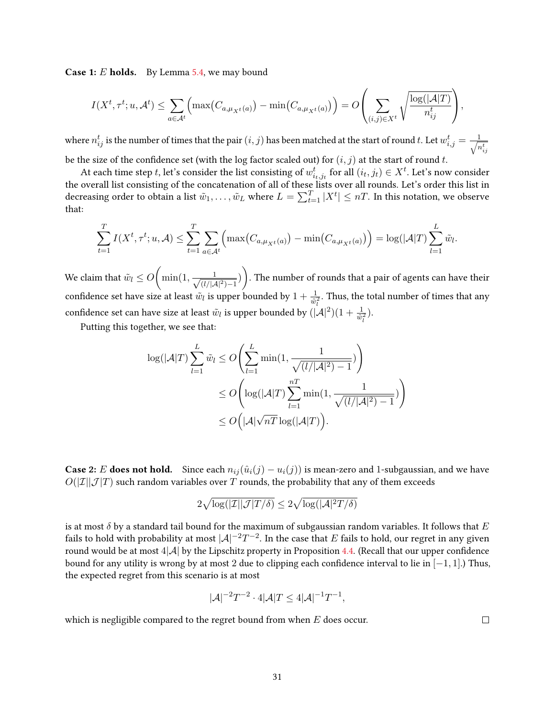Case 1: E holds. By Lemma [5.4,](#page-12-0) we may bound

$$
I(X^t, \tau^t; u, \mathcal{A}^t) \leq \sum_{a \in \mathcal{A}^t} \left( \max(C_{a,\mu_{X^t}(a)}) - \min(C_{a,\mu_{X^t}(a)}) \right) = O\left(\sum_{(i,j) \in X^t} \sqrt{\frac{\log(|\mathcal{A}|T)}{n_{ij}^t}}\right),
$$

where  $n_{ij}^t$  is the number of times that the pair  $(i, j)$  has been matched at the start of round t. Let  $w_{i,j}^t = \frac{1}{\sqrt{n}}$  $n_{ij}^t$ be the size of the confidence set (with the log factor scaled out) for  $(i, j)$  at the start of round t.

At each time step  $t$ , let's consider the list consisting of  $w_{i_t,j_t}^t$  for all  $(i_t,j_t)\in X^t$ . Let's now consider the overall list consisting of the concatenation of all of these lists over all rounds. Let's order this list in decreasing order to obtain a list  $\tilde w_1,\dots,\tilde w_L$  where  $L=\sum_{t=1}^T|X^t|\le nT.$  In this notation, we observe that:

$$
\sum_{t=1}^T I(X^t, \tau^t; u, \mathcal{A}) \leq \sum_{t=1}^T \sum_{a \in \mathcal{A}^t} \left( \max\left( C_{a, \mu_{X^t}(a)} \right) - \min\left( C_{a, \mu_{X^t}(a)} \right) \right) = \log(|\mathcal{A}|T) \sum_{l=1}^L \tilde{w}_l.
$$

We claim that  $\tilde{w}_l \leq O\Big(\min(1, \frac{1}{\sqrt{a^{1/d}}})\Big)$  $\frac{1}{(l/|{\cal A}|^2)-1})$ ). The number of rounds that a pair of agents can have their confidence set have size at least  $\tilde{w}_l$  is upper bounded by  $1+\frac{1}{\tilde{w}_l^2}$ . Thus, the total number of times that any confidence set can have size at least  $\tilde{w}_l$  is upper bounded by  $(|A|^2)(1 + \frac{1}{\tilde{w}_l^2})$ .

Putting this together, we see that:

$$
\log(|\mathcal{A}|T) \sum_{l=1}^{L} \tilde{w}_l \le O\left(\sum_{l=1}^{L} \min(1, \frac{1}{\sqrt{(l/|\mathcal{A}|^2) - 1}})\right)
$$
  

$$
\le O\left(\log(|\mathcal{A}|T) \sum_{l=1}^{nT} \min(1, \frac{1}{\sqrt{(l/|\mathcal{A}|^2) - 1}})\right)
$$
  

$$
\le O\left(|\mathcal{A}|\sqrt{nT}\log(|\mathcal{A}|T)\right).
$$

**Case 2:** E **does not hold.** Since each  $n_{ii}(\hat{u}_i(j) - u_i(j))$  is mean-zero and 1-subgaussian, and we have  $O(|\mathcal{I}||\mathcal{J}|T)$  such random variables over T rounds, the probability that any of them exceeds

$$
2\sqrt{\log(|\mathcal I| |\mathcal J| T/\delta)} \leq 2\sqrt{\log(|\mathcal A|^2T/\delta)}
$$

is at most  $\delta$  by a standard tail bound for the maximum of subgaussian random variables. It follows that E fails to hold with probability at most  $|{\cal A}|^{-2}T^{-2}.$  In the case that  $E$  fails to hold, our regret in any given round would be at most  $4|\mathcal{A}|$  by the Lipschitz property in Proposition [4.4.](#page-10-1) (Recall that our upper confidence bound for any utility is wrong by at most 2 due to clipping each confidence interval to lie in  $[-1, 1]$ .) Thus, the expected regret from this scenario is at most

$$
|\mathcal{A}|^{-2}T^{-2} \cdot 4|\mathcal{A}|T \le 4|\mathcal{A}|^{-1}T^{-1},
$$

which is negligible compared to the regret bound from when  $E$  does occur.

 $\Box$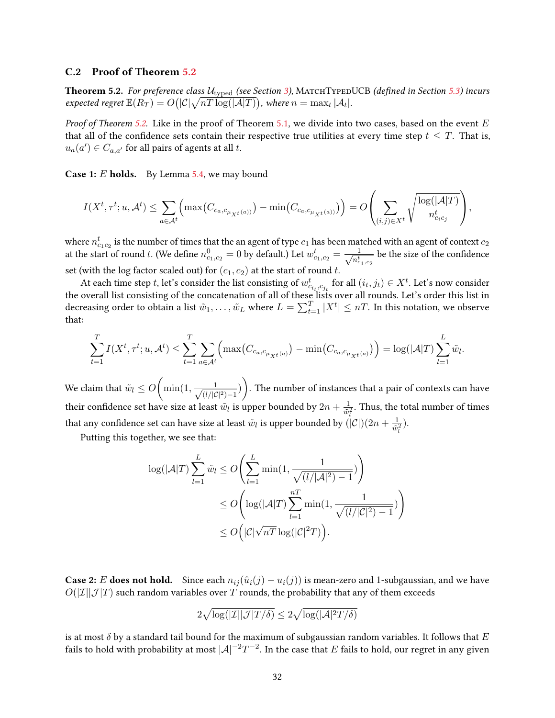### <span id="page-31-0"></span>C.2 Proof of Theorem [5.2](#page-11-0)

**Theorem 5.2.** For preference class  $U_{\text{typed}}$  (see Section [3\)](#page-5-1), MATCHTYPEDUCB (defined in Section [5.3\)](#page-14-0) incurs expected regret  $\mathbb{E}(R_T)=O\big(|\mathcal{C}|\sqrt{nT\log(|\mathcal{A}|T)}\big)$ , where  $n=\max_t|\mathcal{A}_t|.$ 

*Proof of Theorem [5.2.](#page-11-0)* Like in the proof of Theorem [5.1,](#page-11-2) we divide into two cases, based on the event  $E$ that all of the confidence sets contain their respective true utilities at every time step  $t \leq T$ . That is,  $u_a(a') \in C_{a,a'}$  for all pairs of agents at all t.

**Case 1:** *E* holds. By Lemma [5.4,](#page-12-0) we may bound

$$
I(X^t, \tau^t; u, \mathcal{A}^t) \leq \sum_{a \in \mathcal{A}^t} \Big( \max\big(C_{c_a, c_{\mu_{X^t}(a))}}\big) - \min\big(C_{c_a, c_{\mu_{X^t}(a))}}\big)\Big) = O\Bigg(\sum_{(i,j) \in X^t} \sqrt{\frac{\log(|\mathcal{A}|T)}{n_{c_ic_j}^t}}\Bigg),
$$

where  $n_{c_1c_2}^t$  is the number of times that the an agent of type  $c_1$  has been matched with an agent of context  $c_2$ at the start of round t. (We define  $n_{c_1,c_2}^0 = 0$  by default.) Let  $w_{c_1,c_2}^t = \frac{1}{\sqrt{n^t}}$  $\overline{n_{c_{1},c_{2}}^{t}}$ be the size of the confidence set (with the log factor scaled out) for  $(c_1, c_2)$  at the start of round t.

At each time step t, let's consider the list consisting of  $w_{c_{i_t}, c_{j_t}}^t$  for all  $(i_t, j_t) \in X^t$ . Let's now consider the overall list consisting of the concatenation of all of these lists over all rounds. Let's order this list in decreasing order to obtain a list  $\tilde w_1,\dots,\tilde w_L$  where  $L=\sum_{t=1}^T |X^t|\le nT.$  In this notation, we observe that:

$$
\sum_{t=1}^{T} I(X^{t}, \tau^{t}; u, \mathcal{A}^{t}) \leq \sum_{t=1}^{T} \sum_{a \in \mathcal{A}^{t}} \Big( \max \big(C_{c_{a}, c_{\mu_{X^{t}}(a)}} \big) - \min \big(C_{c_{a}, c_{\mu_{X^{t}}(a)}} \big) \Big) = \log(|\mathcal{A}|T) \sum_{l=1}^{L} \tilde{w}_{l}.
$$

We claim that  $\tilde{w}_l \leq O\left(\min(1, \frac{1}{\sqrt{d/lc}}\right)$  $\frac{1}{(l/|{\cal C}|^2)-1})$ ). The number of instances that a pair of contexts can have their confidence set have size at least  $\tilde{w}_l$  is upper bounded by  $2n + \frac{1}{\tilde{w}_l}$  $\overline{\tilde{w}_l^2}$ . Thus, the total number of times that any confidence set can have size at least  $\tilde{w}_l$  is upper bounded by  $(|\mathcal{C}|)(2n+\frac{1}{\tilde{w}^2})$  $\frac{1}{\tilde{w}_l^2}$ ).

Putting this together, we see that:

$$
\log(|\mathcal{A}|T) \sum_{l=1}^{L} \tilde{w}_l \le O\left(\sum_{l=1}^{L} \min(1, \frac{1}{\sqrt{(l/|\mathcal{A}|^2) - 1}})\right)
$$
  

$$
\le O\left(\log(|\mathcal{A}|T) \sum_{l=1}^{nT} \min(1, \frac{1}{\sqrt{(l/|\mathcal{C}|^2) - 1}})\right)
$$
  

$$
\le O\left(|\mathcal{C}|\sqrt{nT}\log(|\mathcal{C}|^2T)\right).
$$

**Case 2:** E does not hold. Since each  $n_{ij}(\hat{u}_i(j) - u_i(j))$  is mean-zero and 1-subgaussian, and we have  $O(|\mathcal{I}||\mathcal{J}|T)$  such random variables over T rounds, the probability that any of them exceeds

$$
2\sqrt{\log(|\mathcal I| |\mathcal J| T/\delta)} \leq 2\sqrt{\log(|\mathcal A|^2T/\delta)}
$$

is at most  $\delta$  by a standard tail bound for the maximum of subgaussian random variables. It follows that  $E$ fails to hold with probability at most  $|{\cal A}|^{-2}T^{-2}.$  In the case that  $E$  fails to hold, our regret in any given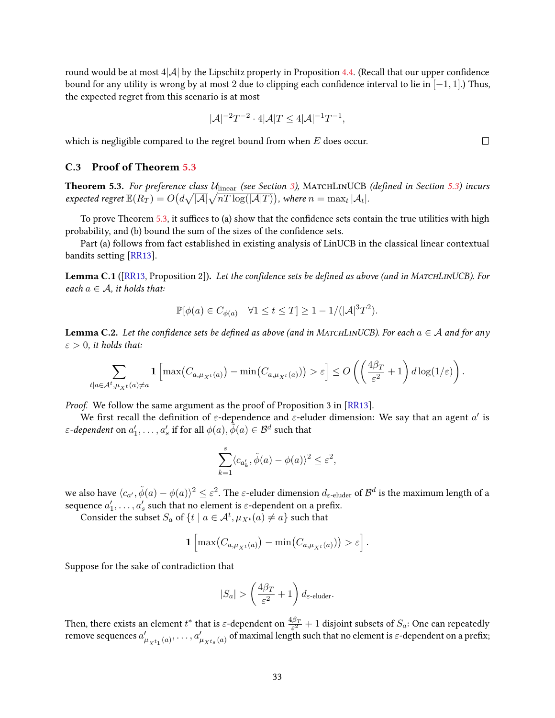round would be at most  $4|\mathcal{A}|$  by the Lipschitz property in Proposition [4.4.](#page-10-1) (Recall that our upper confidence bound for any utility is wrong by at most 2 due to clipping each confidence interval to lie in  $[-1, 1]$ .) Thus, the expected regret from this scenario is at most

$$
|\mathcal{A}|^{-2}T^{-2} \cdot 4|\mathcal{A}|T \le 4|\mathcal{A}|^{-1}T^{-1},
$$

which is negligible compared to the regret bound from when  $E$  does occur.

## <span id="page-32-0"></span>C.3 Proof of Theorem [5.3](#page-11-1)

Theorem 5.3. For preference class  $U_{\text{linear}}$  (see Section [3\)](#page-5-1), MATCHLINUCB (defined in Section [5.3\)](#page-14-0) incurs expected regret  $\mathbb{E}(R_T)=O\big(d\sqrt{|\mathcal{A}|}\sqrt{nT\log(|\mathcal{A}|T)}\big)$ , where  $n=\max_t|\mathcal{A}_t|.$ 

To prove Theorem [5.3,](#page-11-1) it suffices to (a) show that the confidence sets contain the true utilities with high probability, and (b) bound the sum of the sizes of the confidence sets.

Part (a) follows from fact established in existing analysis of LinUCB in the classical linear contextual bandits setting [\[RR13\]](#page-24-9).

<span id="page-32-2"></span>Lemma C.1 ([\[RR13,](#page-24-9) Proposition 2]). Let the confidence sets be defined as above (and in MATCHLINUCB). For each  $a \in \mathcal{A}$ , it holds that:

$$
\mathbb{P}[\phi(a) \in C_{\phi(a)} \quad \forall 1 \le t \le T] \ge 1 - 1/(|\mathcal{A}|^3 T^2).
$$

<span id="page-32-1"></span>**Lemma C.2.** Let the confidence sets be defined as above (and in MATCHLINUCB). For each  $a \in A$  and for any  $\varepsilon > 0$ , it holds that:

$$
\sum_{t|a\in\mathcal{A}^t,\mu_{X^t}(a)\neq a} \mathbf{1}\left[\max(C_{a,\mu_{X^t}(a)})-\min(C_{a,\mu_{X^t}(a)})\right] > \varepsilon\right] \leq O\left(\left(\frac{4\beta_T}{\varepsilon^2}+1\right)d\log(1/\varepsilon)\right).
$$

Proof. We follow the same argument as the proof of Proposition 3 in [\[RR13\]](#page-24-9).

We first recall the definition of  $\varepsilon$ -dependence and  $\varepsilon$ -eluder dimension: We say that an agent  $a'$  is  $\varepsilon$ -dependent on  $a'_1,\ldots,a'_s$  if for all  $\phi(a),\tilde{\tilde{\phi}}(a)\in\mathcal{B}^d$  such that

$$
\sum_{k=1}^s \langle c_{a'_k}, \tilde{\phi}(a) - \phi(a) \rangle^2 \le \varepsilon^2,
$$

we also have  $\langle c_{a'},\tilde{\phi}(a)-\phi(a)\rangle^2\leq\varepsilon^2.$  The  $\varepsilon$ -eluder dimension  $d_{\varepsilon\text{-eluder}}$  of  $\mathcal{B}^d$  is the maximum length of a sequence  $a'_1, \ldots, a'_s$  such that no element is  $\varepsilon$ -dependent on a prefix.

Consider the subset  $S_a$  of  $\{t \mid a \in \mathcal{A}^t, \mu_{X^t}(a) \neq a\}$  such that

$$
\mathbf{1}\left[\max\big(C_{a,\mu_{X^t}(a)}\big)-\min\big(C_{a,\mu_{X^t}(a)}\big)\big)>\varepsilon\right].
$$

Suppose for the sake of contradiction that

$$
|S_a| > \left(\frac{4\beta_T}{\varepsilon^2} + 1\right) d_{\varepsilon\text{-eluder}}.
$$

Then, there exists an element  $t^*$  that is  $\varepsilon$ -dependent on  $\frac{4\beta_T}{\varepsilon^2}+1$  disjoint subsets of  $S_a$ : One can repeatedly remove sequences  $a'_{\mu_{X^{t_1}}(a)},\ldots,a'_{\mu_{X^{t_s}}(a)}$  of maximal length such that no element is  $\varepsilon$ -dependent on a prefix;

 $\Box$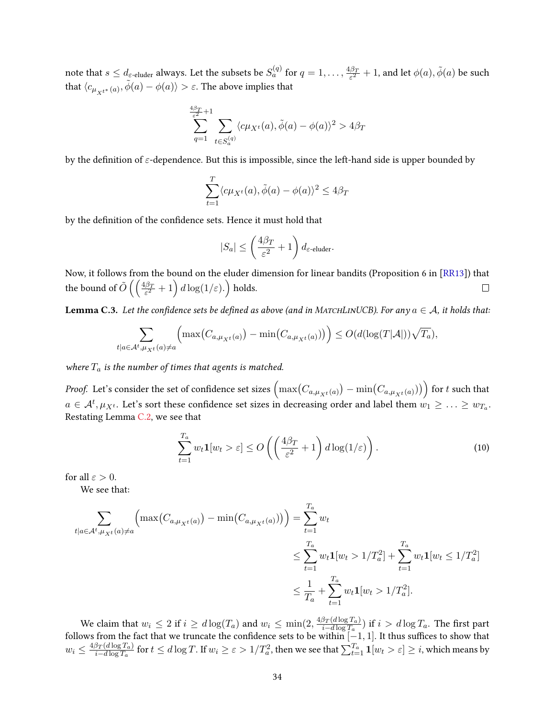note that  $s\leq d_{\varepsilon\text{-eluder}}$  always. Let the subsets be  $S_a^{(q)}$  for  $q=1,\ldots,\frac{4\beta_T}{\varepsilon^2}$  $\frac{\beta_T}{\varepsilon^2}+1$ , and let  $\phi(a),\tilde\phi(a)$  be such that  $\langle c_{\mu_{X^{t^*}}(a)}, \tilde{\phi}(a) - \phi(a) \rangle > \varepsilon.$  The above implies that

$$
\sum_{q=1}^{\frac{4\beta_T}{\varepsilon^2}+1}\sum_{t\in S_a^{(q)}}\langle c\mu_{X^t}(a),\tilde{\phi}(a)-\phi(a)\rangle^2>4\beta_T
$$

by the definition of  $\varepsilon$ -dependence. But this is impossible, since the left-hand side is upper bounded by

$$
\sum_{t=1}^{T} \langle c\mu_{X^t}(a), \tilde{\phi}(a) - \phi(a) \rangle^2 \le 4\beta_T
$$

by the definition of the confidence sets. Hence it must hold that

$$
|S_a| \le \left(\frac{4\beta_T}{\varepsilon^2} + 1\right) d_{\varepsilon\text{-eluder}}.
$$

Now, it follows from the bound on the eluder dimension for linear bandits (Proposition 6 in [\[RR13\]](#page-24-9)) that the bound of  $\tilde{O}\left(\left(\frac{4\beta_T}{\varepsilon^2}+1\right)d\log(1/\varepsilon).\right)$  holds.  $\Box$ 

<span id="page-33-1"></span>**Lemma C.3.** Let the confidence sets be defined as above (and in MATCHLINUCB). For any  $a \in A$ , it holds that:

$$
\sum_{t|a\in\mathcal{A}^t,\mu_X(t|a)\neq a} \left( \max\left( C_{a,\mu_{X^t}(a)} \right) - \min\left( C_{a,\mu_{X^t}(a)} \right) \right) \leq O(d(\log(T|\mathcal{A}|))\sqrt{T_a}),
$$

where  $T_a$  is the number of times that agents is matched.

*Proof.* Let's consider the set of confidence set sizes  $\left(\max(C_{a,\mu_{X^t}(a)})-\min(C_{a,\mu_{X^t}(a)})\right)$  for  $t$  such that  $a\in\mathcal{A}^t, \mu_{X^t}.$  Let's sort these confidence set sizes in decreasing order and label them  $w_1\geq\ldots\geq w_{T_a}.$ Restating Lemma [C.2,](#page-32-1) we see that

<span id="page-33-0"></span>
$$
\sum_{t=1}^{T_a} w_t \mathbf{1}[w_t > \varepsilon] \le O\left(\left(\frac{4\beta_T}{\varepsilon^2} + 1\right) d \log(1/\varepsilon)\right). \tag{10}
$$

for all  $\varepsilon > 0$ .

We see that:

$$
\sum_{t|a\in\mathcal{A}^t, \mu_X(t|a)\neq a} \left( \max(C_{a,\mu_{X^t}(a)}) - \min(C_{a,\mu_{X^t}(a)}) \right) = \sum_{t=1}^{T_a} w_t
$$
\n
$$
\leq \sum_{t=1}^{T_a} w_t \mathbf{1}[w_t > 1/T_a^2] + \sum_{t=1}^{T_a} w_t \mathbf{1}[w_t \leq 1/T_a^2]
$$
\n
$$
\leq \frac{1}{T_a} + \sum_{t=1}^{T_a} w_t \mathbf{1}[w_t > 1/T_a^2].
$$

We claim that  $w_i \leq 2$  if  $i \geq d \log(T_a)$  and  $w_i \leq \min(2, \frac{4\beta_T(d \log T_a)}{i - d \log T_a})$  $\frac{\beta_T(d\log T_a)}{d- d\log T_a}$ ) if  $i>d\log T_a.$  The first part follows from the fact that we truncate the confidence sets to be within  $[-1, 1]$ . It thus suffices to show that  $w_i \leq \frac{4\beta_T(d\log T_a)}{i-d\log T_a}$  $\frac{\beta_T(d\log T_a)}{d-d\log T_a}$  for  $t\leq d\log T.$  If  $w_i\geq \varepsilon>1/T_a^2,$  then we see that  $\sum_{t=1}^{T_a}\mathbf{1}[w_t>\varepsilon]\geq i,$  which means by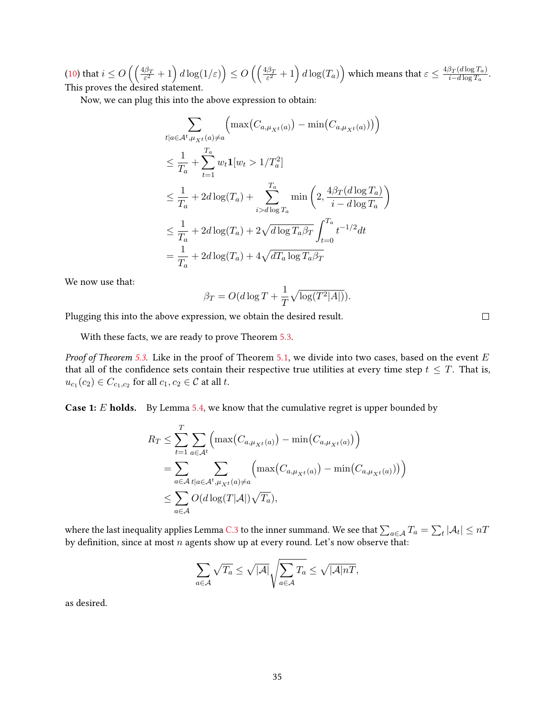$\text{(10) that } i \leq O\left(\left(\frac{4\beta_T}{\varepsilon^2}+1\right)d\log(1/\varepsilon)\right) \leq O\left(\left(\frac{4\beta_T}{\varepsilon^2}+1\right)d\log(T_a)\right) \text{ which means that } \varepsilon \leq \frac{4\beta_T(d\log T_a)}{i-d\log T_a}$  $\text{(10) that } i \leq O\left(\left(\frac{4\beta_T}{\varepsilon^2}+1\right)d\log(1/\varepsilon)\right) \leq O\left(\left(\frac{4\beta_T}{\varepsilon^2}+1\right)d\log(T_a)\right) \text{ which means that } \varepsilon \leq \frac{4\beta_T(d\log T_a)}{i-d\log T_a}$  $\text{(10) that } i \leq O\left(\left(\frac{4\beta_T}{\varepsilon^2}+1\right)d\log(1/\varepsilon)\right) \leq O\left(\left(\frac{4\beta_T}{\varepsilon^2}+1\right)d\log(T_a)\right) \text{ which means that } \varepsilon \leq \frac{4\beta_T(d\log T_a)}{i-d\log T_a}$  $\frac{\beta_T(d\log T_a)}{i-d\log T_a}.$ This proves the desired statement.

Now, we can plug this into the above expression to obtain:

$$
\sum_{t|a\in\mathcal{A}^t,\mu_{X^t}(a)\neq a} \left( \max(C_{a,\mu_{X^t}(a)}) - \min(C_{a,\mu_{X^t}(a)}) \right)
$$
\n
$$
\leq \frac{1}{T_a} + \sum_{t=1}^{T_a} w_t \mathbf{1}[w_t > 1/T_a^2]
$$
\n
$$
\leq \frac{1}{T_a} + 2d \log(T_a) + \sum_{i>d \log T_a}^{T_a} \min\left(2, \frac{4\beta_T(d \log T_a)}{i - d \log T_a}\right)
$$
\n
$$
\leq \frac{1}{T_a} + 2d \log(T_a) + 2\sqrt{d \log T_a \beta_T} \int_{t=0}^{T_a} t^{-1/2} dt
$$
\n
$$
= \frac{1}{T_a} + 2d \log(T_a) + 4\sqrt{d T_a \log T_a \beta_T}
$$

We now use that:

$$
\beta_T = O(d \log T + \frac{1}{T} \sqrt{\log(T^2|A|)}).
$$

Plugging this into the above expression, we obtain the desired result.

With these facts, we are ready to prove Theorem [5.3.](#page-11-1)

*Proof of Theorem [5.3.](#page-11-1)* Like in the proof of Theorem [5.1,](#page-11-2) we divide into two cases, based on the event  $E$ that all of the confidence sets contain their respective true utilities at every time step  $t \leq T$ . That is,  $u_{c_1}(c_2) \in C_{c_1,c_2}$  for all  $c_1, c_2 \in \mathcal{C}$  at all t.

**Case 1:** E **holds.** By Lemma [5.4,](#page-12-0) we know that the cumulative regret is upper bounded by

$$
R_T \leq \sum_{t=1}^T \sum_{a \in \mathcal{A}^t} \left( \max(C_{a,\mu_{X^t}(a)}) - \min(C_{a,\mu_{X^t}(a)}) \right)
$$
  
= 
$$
\sum_{a \in \mathcal{A}} \sum_{t | a \in \mathcal{A}^t, \mu_{X^t}(a) \neq a} \left( \max(C_{a,\mu_{X^t}(a)}) - \min(C_{a,\mu_{X^t}(a)}) \right)
$$
  

$$
\leq \sum_{a \in \mathcal{A}} O(d \log(T|\mathcal{A}|) \sqrt{T_a}),
$$

where the last inequality applies Lemma [C.3](#page-33-1) to the inner summand. We see that  $\sum_{a\in\mathcal{A}}T_a=\sum_t|\mathcal{A}_t|\leq nT$ by definition, since at most  $n$  agents show up at every round. Let's now observe that:

$$
\sum_{a \in \mathcal{A}} \sqrt{T_a} \le \sqrt{|\mathcal{A}|} \sqrt{\sum_{a \in \mathcal{A}} T_a} \le \sqrt{|\mathcal{A}| nT},
$$

as desired.

 $\Box$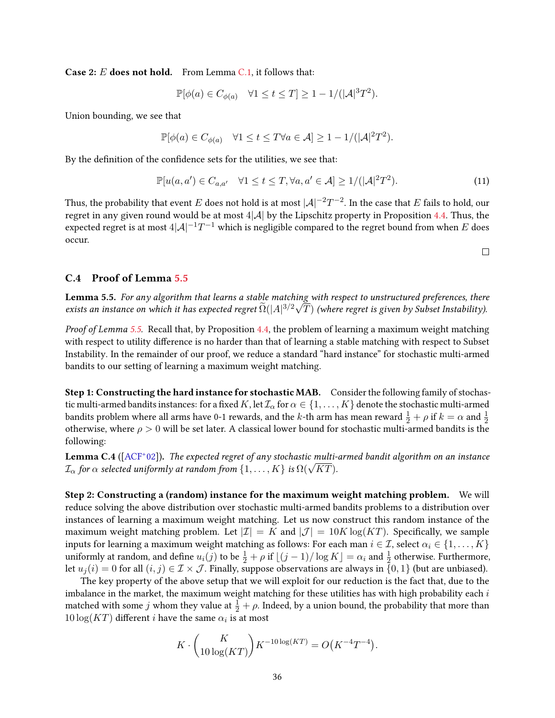**Case 2:**  $E$  **does not hold.** From Lemma [C.1,](#page-32-2) it follows that:

$$
\mathbb{P}[\phi(a) \in C_{\phi(a)} \quad \forall 1 \le t \le T] \ge 1 - 1/(|\mathcal{A}|^3 T^2).
$$

Union bounding, we see that

$$
\mathbb{P}[\phi(a) \in C_{\phi(a)} \quad \forall 1 \le t \le T \forall a \in \mathcal{A}] \ge 1 - 1/(|\mathcal{A}|^2 T^2).
$$

By the definition of the confidence sets for the utilities, we see that:

$$
\mathbb{P}[u(a, a') \in C_{a,a'} \quad \forall 1 \le t \le T, \forall a, a' \in \mathcal{A}] \ge 1/(|\mathcal{A}|^2 T^2). \tag{11}
$$

Thus, the probability that event  $E$  does not hold is at most  $|\mathcal{A}|^{-2}T^{-2}.$  In the case that  $E$  fails to hold, our regret in any given round would be at most  $4|\mathcal{A}|$  by the Lipschitz property in Proposition [4.4.](#page-10-1) Thus, the expected regret is at most 4 $|\mathcal{A}|^{-1}T^{-1}$  which is negligible compared to the regret bound from when  $E$  does occur.

 $\Box$ 

## C.4 Proof of Lemma [5.5](#page-16-0)

**Lemma 5.5.** For any algorithm that learns a stable matching with respect to unstructured preferences, there exists an instance on which it has expected regret  $\widetilde{\Omega}(|A|^{3/2}\sqrt{T})$  (where regret is given by Subset Instability).

Proof of Lemma [5.5.](#page-16-0) Recall that, by Proposition [4.4,](#page-10-1) the problem of learning a maximum weight matching with respect to utility difference is no harder than that of learning a stable matching with respect to Subset Instability. In the remainder of our proof, we reduce a standard "hard instance" for stochastic multi-armed bandits to our setting of learning a maximum weight matching.

Step 1: Constructing the hard instance for stochastic MAB. Consider the following family of stochastic multi-armed bandits instances: for a fixed K, let  $\mathcal{I}_\alpha$  for  $\alpha \in \{1, \dots, K\}$  denote the stochastic multi-armed bandits problem where all arms have 0-1 rewards, and the  $k$ -th arm has mean reward  $\frac{1}{2}+\rho$  if  $k=\alpha$  and  $\frac{1}{2}$ otherwise, where  $\rho > 0$  will be set later. A classical lower bound for stochastic multi-armed bandits is the following:

<span id="page-35-0"></span>**Lemma C.4** ([\[ACF](#page-22-13)<sup>+</sup>02]). The expected regret of any stochastic multi-armed bandit algorithm on an instance **Lemma C.4** ([ACF-02]). The expected regret of any stochastic multi-<br> $\mathcal{I}_{\alpha}$  for  $\alpha$  selected uniformly at random from  $\{1,\ldots,K\}$  is  $\Omega(\sqrt{KT})$ .

Step 2: Constructing a (random) instance for the maximum weight matching problem. We will reduce solving the above distribution over stochastic multi-armed bandits problems to a distribution over instances of learning a maximum weight matching. Let us now construct this random instance of the maximum weight matching problem. Let  $|\mathcal{I}| = K$  and  $|\mathcal{J}| = 10K \log(KT)$ . Specifically, we sample inputs for learning a maximum weight matching as follows: For each man  $i \in \mathcal{I}$ , select  $\alpha_i \in \{1, \ldots, K\}$ uniformly at random, and define  $u_i(j)$  to be  $\frac{1}{2}+\rho$  if  $\lfloor (j-1)/\log K\rfloor=\alpha_i$  and  $\frac{1}{2}$  otherwise. Furthermore, let  $u_i(i) = 0$  for all  $(i, j) \in \mathcal{I} \times \mathcal{J}$ . Finally, suppose observations are always in  $\{0, 1\}$  (but are unbiased).

The key property of the above setup that we will exploit for our reduction is the fact that, due to the imbalance in the market, the maximum weight matching for these utilities has with high probability each  $i$ matched with some  $j$  whom they value at  $\frac{1}{2} + \rho$ . Indeed, by a union bound, the probability that more than  $10\log(KT)$  different *i* have the same  $\alpha_i$  is at most

$$
K \cdot {K \choose 10 \log(KT)} K^{-10 \log(KT)} = O(K^{-4}T^{-4}).
$$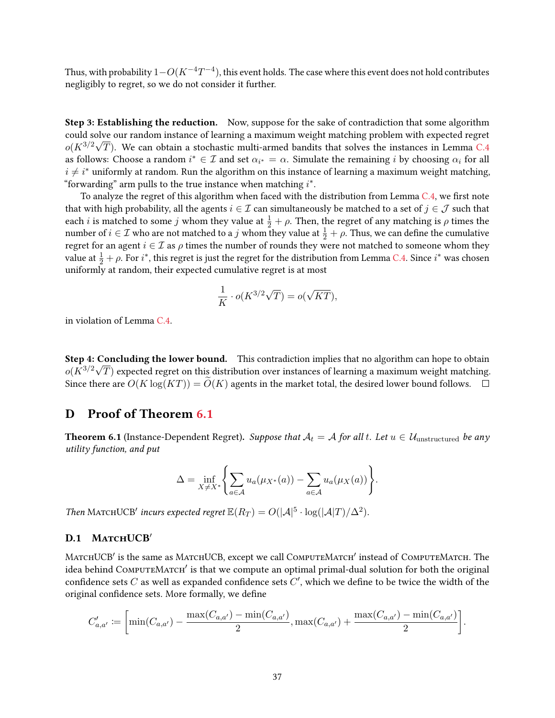Thus, with probability  $1{-}O(K^{-4}T^{-4})$ , this event holds. The case where this event does not hold contributes negligibly to regret, so we do not consider it further.

Step 3: Establishing the reduction. Now, suppose for the sake of contradiction that some algorithm could solve our random instance of learning a maximum weight matching problem with expected regret  $o(K^{3/2}\sqrt{T})$ . We can obtain a stochastic multi-armed bandits that solves the instances in Lemma [C.4](#page-35-0) as follows: Choose a random  $i^* \in \mathcal{I}$  and set  $\alpha_{i^*} = \alpha$ . Simulate the remaining  $i$  by choosing  $\alpha_i$  for all  $i \neq i^*$  uniformly at random. Run the algorithm on this instance of learning a maximum weight matching, "forwarding" arm pulls to the true instance when matching  $i^*$ .

To analyze the regret of this algorithm when faced with the distribution from Lemma  $C.4$ , we first note that with high probability, all the agents  $i \in \mathcal{I}$  can simultaneously be matched to a set of  $j \in \mathcal{J}$  such that each i is matched to some j whom they value at  $\frac{1}{2} + \rho$ . Then, the regret of any matching is  $\rho$  times the number of  $i \in \mathcal{I}$  who are not matched to a  $j$  whom they value at  $\frac{1}{2} + \rho$ . Thus, we can define the cumulative regret for an agent  $i \in \mathcal{I}$  as  $\rho$  times the number of rounds they were not matched to someone whom they value at  $\frac{1}{2}+\rho$ . For  $i^*$ , this regret is just the regret for the distribution from Lemma [C.4.](#page-35-0) Since  $i^*$  was chosen uniformly at random, their expected cumulative regret is at most

$$
\frac{1}{K} \cdot o(K^{3/2}\sqrt{T}) = o(\sqrt{KT}),
$$

in violation of Lemma [C.4.](#page-35-0)

Step 4: Concluding the lower bound. This contradiction implies that no algorithm can hope to obtain  $o(\bar{K}^{3/2}\sqrt{T})$  expected regret on this distribution over instances of learning a maximum weight matching. Since there are  $O(K \log(KT)) = O(K)$  agents in the market total, the desired lower bound follows.  $\square$ 

# <span id="page-36-0"></span>D Proof of Theorem [6.1](#page-17-2)

**Theorem 6.1** (Instance-Dependent Regret). Suppose that  $A_t = A$  for all t. Let  $u \in \mathcal{U}_{unstructured}$  be any utility function, and put

$$
\Delta = \inf_{X \neq X^*} \left\{ \sum_{a \in \mathcal{A}} u_a(\mu_{X^*}(a)) - \sum_{a \in \mathcal{A}} u_a(\mu_X(a)) \right\}.
$$

Then MATCHUCB' incurs expected regret  $\mathbb{E}(R_T) = O(|A|^5 \cdot \log(|A|T)/\Delta^2)$ .

### D.1 MATCHUCB

MATCHUCB' is the same as MATCHUCB, except we call COMPUTEMATCH' instead of COMPUTEMATCH. The idea behind ComputeMatch<sup>'</sup> is that we compute an optimal primal-dual solution for both the original confidence sets  $C$  as well as expanded confidence sets  $C'$ , which we define to be twice the width of the original confidence sets. More formally, we define

$$
C'_{a,a'} := \left[ \min(C_{a,a'}) - \frac{\max(C_{a,a'}) - \min(C_{a,a'})}{2}, \max(C_{a,a'}) + \frac{\max(C_{a,a'}) - \min(C_{a,a'})}{2} \right].
$$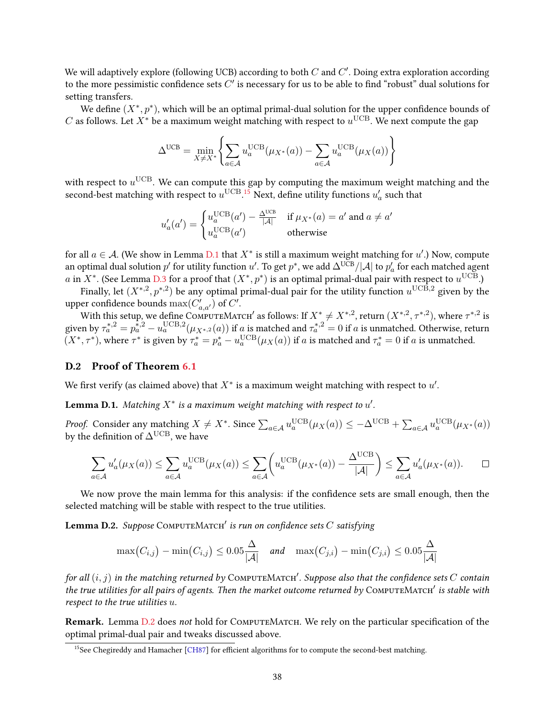We will adaptively explore (following UCB) according to both  $C$  and  $C^{\prime}$ . Doing extra exploration according to the more pessimistic confidence sets  $C'$  is necessary for us to be able to find "robust" dual solutions for setting transfers.

We define  $(X^*, p^*)$ , which will be an optimal primal-dual solution for the upper confidence bounds of C as follows. Let  $X^*$  be a maximum weight matching with respect to  $u^{\text{UCB}}$ . We next compute the gap

$$
\Delta^{\text{UCB}} = \min_{X \neq X^*} \left\{ \sum_{a \in \mathcal{A}} u_a^{\text{UCB}}(\mu_{X^*}(a)) - \sum_{a \in \mathcal{A}} u_a^{\text{UCB}}(\mu_X(a)) \right\}
$$

with respect to  $u^{\text{UCB}}$ . We can compute this gap by computing the maximum weight matching and the second-best matching with respect to  $u^{\text{UCB}}$ .<sup>[15](#page-37-0)</sup> Next, define utility functions  $u'_a$  such that

$$
u'_a(a') = \begin{cases} u_a^{\text{UCB}}(a') - \frac{\Delta^{\text{UCB}}}{|\mathcal{A}|} & \text{if } \mu_{X^*}(a) = a' \text{ and } a \neq a' \\ u_a^{\text{UCB}}(a') & \text{otherwise} \end{cases}
$$

for all  $a \in \mathcal{A}$ . (We show in Lemma [D.1](#page-37-1) that  $X^*$  is still a maximum weight matching for  $u'$ .) Now, compute an optimal dual solution  $p'$  for utility function  $u'$ . To get  $p^*$ , we add  $\Delta^{\rm U\bar C B}/|{\cal A}|$  to  $p'_a$  for each matched agent  $a$  in  $X^*$ . (See Lemma [D.3](#page-42-1) for a proof that  $(X^*,p^*)$  is an optimal primal-dual pair with respect to  $u^{\mathrm{UCB}}$ .)

Finally, let  $(X^{*,2}, p^{*,2})$  be any optimal primal-dual pair for the utility function  $u^{\text{UCB},2}$  given by the upper confidence bounds  $\max(C'_{a,a'})$  of  $C'.$ 

With this setup, we define COMPUTEMATCH' as follows: If  $X^* \neq X^{*,2}$ , return  $(X^{*,2}, \tau^{*,2})$ , where  $\tau^{*,2}$  is given by  $\tau_a^{*,2} = p_a^{\tilde*,2} - u_a^{\mathrm{UCB},2}(\mu_{X^{*,2}}(a))$  if  $a$  is matched and  $\tau_a^{*,2} = 0$  if  $a$  is unmatched. Otherwise, return  $(X^*, \tau^*)$ , where  $\tau^*$  is given by  $\tau_a^* = p_a^* - u_a^{\text{UCB}}(\mu_X(a))$  if  $a$  is matched and  $\tau_a^* = 0$  if  $a$  is unmatched.

### D.2 Proof of Theorem [6.1](#page-17-2)

We first verify (as claimed above) that  $X^*$  is a maximum weight matching with respect to  $u'$ .

<span id="page-37-1"></span>**Lemma D.1.** Matching  $X^*$  is a maximum weight matching with respect to  $u'$ .

*Proof.* Consider any matching  $X \neq X^*$ . Since  $\sum_{a \in \mathcal{A}} u_a^{\text{UCB}}(\mu_X(a)) \leq -\Delta^{\text{UCB}} + \sum_{a \in \mathcal{A}} u_a^{\text{UCB}}(\mu_{X^*}(a))$ by the definition of  $\Delta^{\text{UCB}}$ , we have

$$
\sum_{a \in \mathcal{A}} u_a'(\mu_X(a)) \le \sum_{a \in \mathcal{A}} u_a^{\text{UCB}}(\mu_X(a)) \le \sum_{a \in \mathcal{A}} \left( u_a^{\text{UCB}}(\mu_{X^*}(a)) - \frac{\Delta^{\text{UCB}}}{|\mathcal{A}|} \right) \le \sum_{a \in \mathcal{A}} u_a'(\mu_{X^*}(a)). \qquad \Box
$$

We now prove the main lemma for this analysis: if the confidence sets are small enough, then the selected matching will be stable with respect to the true utilities.

<span id="page-37-2"></span>**Lemma D.2.** Suppose COMPUTEMATCH' is run on confidence sets  $C$  satisfying

$$
\max(C_{i,j}) - \min(C_{i,j}) \le 0.05 \frac{\Delta}{|\mathcal{A}|} \quad \text{and} \quad \max(C_{j,i}) - \min(C_{j,i}) \le 0.05 \frac{\Delta}{|\mathcal{A}|}
$$

for all  $(i, j)$  in the matching returned by COMPUTEMATCH'. Suppose also that the confidence sets  $C$  contain the true utilities for all pairs of agents. Then the market outcome returned by  $\text{ComputerMENT}^{\prime}$  is stable with respect to the true utilities u.

Remark. Lemma [D.2](#page-37-2) does not hold for COMPUTEMATCH. We rely on the particular specification of the optimal primal-dual pair and tweaks discussed above.

<span id="page-37-0"></span> $<sup>15</sup>$ See Chegireddy and Hamacher [\[CH87\]](#page-22-16) for efficient algorithms for to compute the second-best matching.</sup>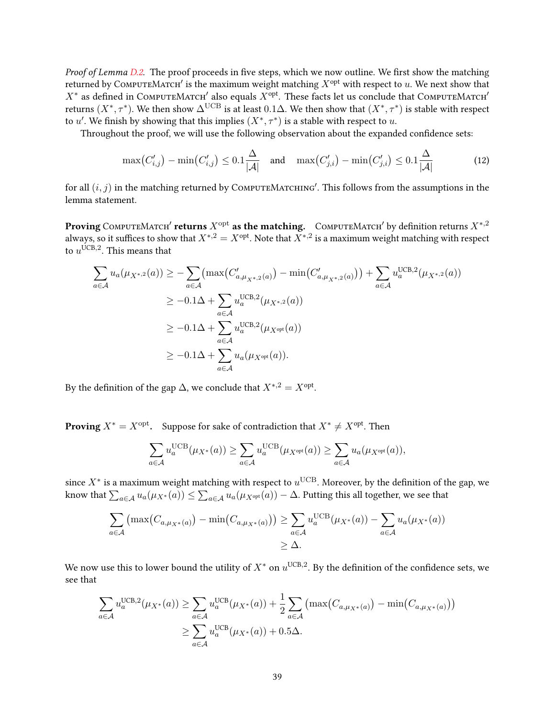Proof of Lemma [D.2.](#page-37-2) The proof proceeds in five steps, which we now outline. We first show the matching returned by COMPUTEMATCH' is the maximum weight matching  $X^{opt}$  with respect to u. We next show that  $X^*$  as defined in COMPUTEMATCH' also equals  $X^{\text{opt}}$ . These facts let us conclude that COMPUTEMATCH' returns  $(X^*,\tau^*)$ . We then show  $\Delta^{\text{UCB}}$  is at least  $0.1\Delta$ . We then show that  $(X^*,\tau^*)$  is stable with respect to u'. We finish by showing that this implies  $(X^*, \tau^*)$  is a stable with respect to u.

Throughout the proof, we will use the following observation about the expanded confidence sets:

<span id="page-38-0"></span>
$$
\max(C'_{i,j}) - \min(C'_{i,j}) \le 0.1 \frac{\Delta}{|\mathcal{A}|} \quad \text{and} \quad \max(C'_{j,i}) - \min(C'_{j,i}) \le 0.1 \frac{\Delta}{|\mathcal{A}|} \tag{12}
$$

for all  $(i, j)$  in the matching returned by  $\overline{\text{COMPUTEMACTCHING}}'$ . This follows from the assumptions in the lemma statement.

Proving ComputeMatch $^\prime$  returns  $X^\mathrm{opt}$  as the matching.  $\,$  ComputeMatch $^\prime$  by definition returns  $X^{*,2}$ always, so it suffices to show that  $X^{*,2} = X^{\text{opt}}$ . Note that  $X^{*,2}$  is a maximum weight matching with respect to  $u^{\text{UCB},2}$ . This means that

$$
\sum_{a \in A} u_a(\mu_{X^{*,2}}(a)) \ge -\sum_{a \in A} (\max(C'_{a,\mu_{X^{*,2}}(a)}) - \min(C'_{a,\mu_{X^{*,2}}(a)})) + \sum_{a \in A} u_a^{\text{UCB},2}(\mu_{X^{*,2}}(a))
$$
  
\n
$$
\ge -0.1\Delta + \sum_{a \in A} u_a^{\text{UCB},2}(\mu_{X^{*,2}}(a))
$$
  
\n
$$
\ge -0.1\Delta + \sum_{a \in A} u_a^{\text{UCB},2}(\mu_{X^{\text{opt}}}(a))
$$
  
\n
$$
\ge -0.1\Delta + \sum_{a \in A} u_a(\mu_{X^{\text{opt}}}(a)).
$$

By the definition of the gap  $\Delta$ , we conclude that  $X^{*,2} = X^{\text{opt}}$ .

**Proving**  $X^* = X^{\text{opt}}$ . Suppose for sake of contradiction that  $X^* \neq X^{\text{opt}}$ . Then

$$
\sum_{a \in \mathcal{A}} u_a^{\text{UCB}}(\mu_{X^*}(a)) \ge \sum_{a \in \mathcal{A}} u_a^{\text{UCB}}(\mu_{X^{\text{opt}}}(a)) \ge \sum_{a \in \mathcal{A}} u_a(\mu_{X^{\text{opt}}}(a)),
$$

since  $X^*$  is a maximum weight matching with respect to  $u^{\mathrm{UCB}}$ . Moreover, by the definition of the gap, we know that  $\sum_{a\in\mathcal{A}}u_a(\mu_{X^*}(a))\leq \sum_{a\in\mathcal{A}}u_a(\mu_{X^{\text{opt}}}(a))-\Delta.$  Putting this all together, we see that

$$
\sum_{a \in \mathcal{A}} (\max(C_{a,\mu_{X^*}(a)}) - \min(C_{a,\mu_{X^*}(a)})) \ge \sum_{a \in \mathcal{A}} u_a^{\text{UCB}}(\mu_{X^*}(a)) - \sum_{a \in \mathcal{A}} u_a(\mu_{X^*}(a))
$$
  
 
$$
\ge \Delta.
$$

We now use this to lower bound the utility of  $X^*$  on  $u^{\mathrm{UCB}, 2}.$  By the definition of the confidence sets, we see that

$$
\sum_{a \in \mathcal{A}} u_a^{\text{UCB},2}(\mu_{X^*}(a)) \ge \sum_{a \in \mathcal{A}} u_a^{\text{UCB}}(\mu_{X^*}(a)) + \frac{1}{2} \sum_{a \in \mathcal{A}} \left( \max(C_{a,\mu_{X^*}(a)}) - \min(C_{a,\mu_{X^*}(a)}) \right) \n\ge \sum_{a \in \mathcal{A}} u_a^{\text{UCB}}(\mu_{X^*}(a)) + 0.5\Delta.
$$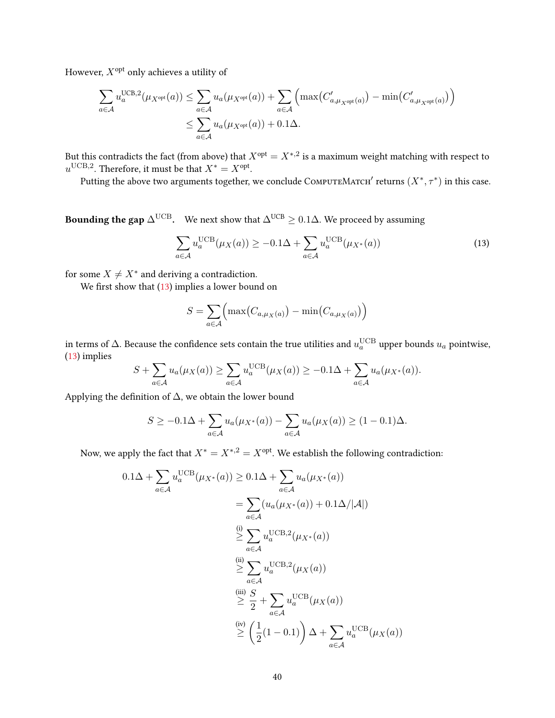However,  $X^{\mathrm{opt}}$  only achieves a utility of

$$
\sum_{a \in \mathcal{A}} u_a^{\text{UCB},2}(\mu_{X^{\text{opt}}}(a)) \le \sum_{a \in \mathcal{A}} u_a(\mu_{X^{\text{opt}}}(a)) + \sum_{a \in \mathcal{A}} \left( \max(C'_{a,\mu_{X^{\text{opt}}}(a)}) - \min(C'_{a,\mu_{X^{\text{opt}}}(a)}) \right)
$$

$$
\le \sum_{a \in \mathcal{A}} u_a(\mu_{X^{\text{opt}}}(a)) + 0.1\Delta.
$$

But this contradicts the fact (from above) that  $X^{\rm opt} = X^{*,2}$  is a maximum weight matching with respect to  $u^{\text{UCB},2}$ . Therefore, it must be that  $X^* = X^{\text{opt}}$ .

Putting the above two arguments together, we conclude  $\text{ComputerMACT}{}'$  returns  $(X^*, \tau^*)$  in this case.

**Bounding the gap**  $\Delta^{\text{UCB}}$ . We next show that  $\Delta^{\text{UCB}} \geq 0.1\Delta$ . We proceed by assuming

<span id="page-39-0"></span>
$$
\sum_{a \in \mathcal{A}} u_a^{\text{UCB}}(\mu_X(a)) \ge -0.1\Delta + \sum_{a \in \mathcal{A}} u_a^{\text{UCB}}(\mu_{X^*}(a)) \tag{13}
$$

for some  $X \neq X^*$  and deriving a contradiction.

We first show that  $(13)$  implies a lower bound on

$$
S = \sum_{a \in \mathcal{A}} \left( \max(C_{a,\mu_X(a)}) - \min(C_{a,\mu_X(a)}) \right)
$$

in terms of  $\Delta$ . Because the confidence sets contain the true utilities and  $u_a^{\rm UCB}$  upper bounds  $u_a$  pointwise, [\(13\)](#page-39-0) implies

$$
S + \sum_{a \in \mathcal{A}} u_a(\mu_X(a)) \ge \sum_{a \in \mathcal{A}} u_a^{\text{UCB}}(\mu_X(a)) \ge -0.1\Delta + \sum_{a \in \mathcal{A}} u_a(\mu_{X^*}(a)).
$$

Applying the definition of  $\Delta$ , we obtain the lower bound

$$
S \ge -0.1\Delta + \sum_{a \in \mathcal{A}} u_a(\mu_{X^*}(a)) - \sum_{a \in \mathcal{A}} u_a(\mu_X(a)) \ge (1 - 0.1)\Delta.
$$

Now, we apply the fact that  $X^* = X^{*,2} = X^{\text{opt}}$ . We establish the following contradiction:

$$
0.1\Delta + \sum_{a \in \mathcal{A}} u_a^{\text{UCB}}(\mu_{X^*}(a)) \ge 0.1\Delta + \sum_{a \in \mathcal{A}} u_a(\mu_{X^*}(a))
$$
  
= 
$$
\sum_{a \in \mathcal{A}} (u_a(\mu_{X^*}(a)) + 0.1\Delta/|\mathcal{A}|)
$$
  

$$
\stackrel{\text{(i)}}{\geq} \sum_{a \in \mathcal{A}} u_a^{\text{UCB},2}(\mu_{X^*}(a))
$$
  

$$
\stackrel{\text{(ii)}}{\geq} \sum_{a \in \mathcal{A}} u_a^{\text{UCB},2}(\mu_X(a))
$$
  

$$
\stackrel{\text{(iii)}}{\geq} \frac{S}{2} + \sum_{a \in \mathcal{A}} u_a^{\text{UCB}}(\mu_X(a))
$$
  

$$
\stackrel{\text{(iv)}}{\geq} \left(\frac{1}{2}(1-0.1)\right)\Delta + \sum_{a \in \mathcal{A}} u_a^{\text{UCB}}(\mu_X(a))
$$

 $)$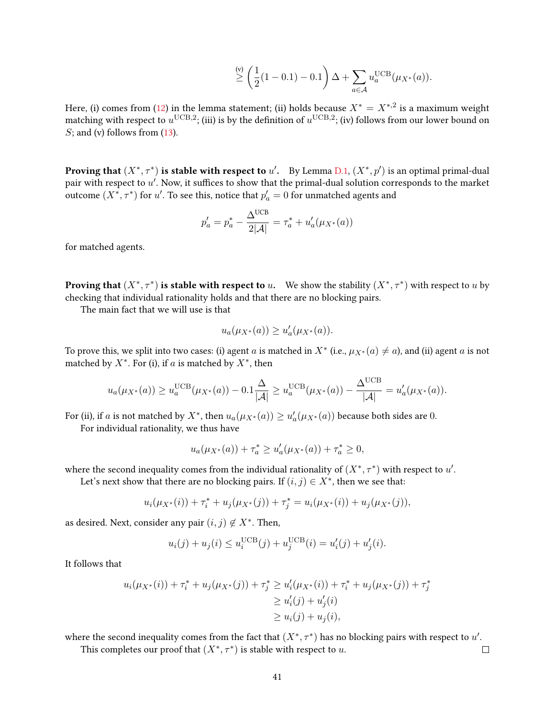$$
\stackrel{\text{(v)}}{\geq} \left(\frac{1}{2}(1-0.1)-0.1\right)\Delta + \sum_{a \in \mathcal{A}} u_a^{\text{UCB}}(\mu_{X^*}(a)).
$$

Here, (i) comes from [\(12\)](#page-38-0) in the lemma statement; (ii) holds because  $X^* = X^{*,2}$  is a maximum weight matching with respect to  $u^{\rm UCB,2}$ ; (iii) is by the definition of  $u^{\rm UCB,2}$ ; (iv) follows from our lower bound on  $S$ ; and (v) follows from  $(13)$ .

**Proving that**  $(X^*, \tau^*)$  is stable with respect to u'. By Lemma [D.1,](#page-37-1)  $(X^*, p')$  is an optimal primal-dual pair with respect to  $u'$ . Now, it suffices to show that the primal-dual solution corresponds to the market outcome  $(X^*, \tau^*)$  for  $u'.$  To see this, notice that  $p'_a = 0$  for unmatched agents and

$$
p'_a = p^*_a - \frac{\Delta^{UCB}}{2|{\cal A}|} = \tau^*_a + u'_a(\mu_{X^*}(a))
$$

for matched agents.

**Proving that**  $(X^*, \tau^*)$  is stable with respect to u. We show the stability  $(X^*, \tau^*)$  with respect to u by checking that individual rationality holds and that there are no blocking pairs.

The main fact that we will use is that

$$
u_a(\mu_{X^*}(a)) \ge u'_a(\mu_{X^*}(a)).
$$

To prove this, we split into two cases: (i) agent  $a$  is matched in  $X^*$  (i.e.,  $\mu_{X^*}(a) \neq a$ ), and (ii) agent  $a$  is not matched by  $X^*$ . For (i), if a is matched by  $X^*$ , then

$$
u_a(\mu_{X^*}(a)) \ge u_a^{\text{UCB}}(\mu_{X^*}(a)) - 0.1 \frac{\Delta}{|\mathcal{A}|} \ge u_a^{\text{UCB}}(\mu_{X^*}(a)) - \frac{\Delta^{\text{UCB}}}{|\mathcal{A}|} = u'_a(\mu_{X^*}(a)).
$$

For (ii), if a is not matched by  $X^*$ , then  $u_a(\mu_{X^*}(a)) \ge u'_a(\mu_{X^*}(a))$  because both sides are 0.

For individual rationality, we thus have

$$
u_a(\mu_{X^*}(a)) + \tau_a^* \ge u'_a(\mu_{X^*}(a)) + \tau_a^* \ge 0,
$$

where the second inequality comes from the individual rationality of  $(X^*, \tau^*)$  with respect to  $u'$ .

Let's next show that there are no blocking pairs. If  $(i, j) \in X^*$ , then we see that:

$$
u_i(\mu_{X^*}(i)) + \tau_i^* + u_j(\mu_{X^*}(j)) + \tau_j^* = u_i(\mu_{X^*}(i)) + u_j(\mu_{X^*}(j)),
$$

as desired. Next, consider any pair  $(i, j) \notin X^*$ . Then,

$$
u_i(j) + u_j(i) \le u_i^{UCB}(j) + u_j^{UCB}(i) = u'_i(j) + u'_j(i).
$$

It follows that

$$
u_i(\mu_{X^*}(i)) + \tau_i^* + u_j(\mu_{X^*}(j)) + \tau_j^* \ge u'_i(\mu_{X^*}(i)) + \tau_i^* + u_j(\mu_{X^*}(j)) + \tau_j^* \ge u'_i(j) + u'_j(i) \ge u_i(j) + u_j(i),
$$

where the second inequality comes from the fact that  $(X^*, \tau^*)$  has no blocking pairs with respect to  $u'$ .

 $\Box$ 

This completes our proof that  $(X^*, \tau^*)$  is stable with respect to u.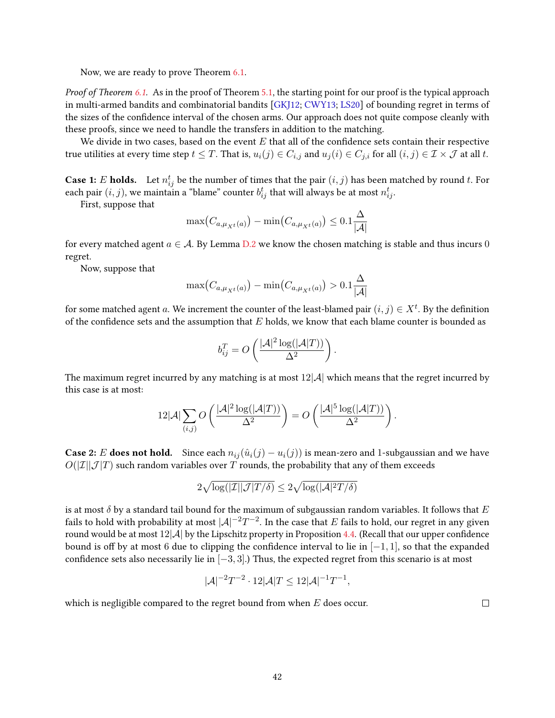Now, we are ready to prove Theorem [6.1.](#page-17-2)

Proof of Theorem [6.1.](#page-17-2) As in the proof of Theorem [5.1,](#page-11-2) the starting point for our proof is the typical approach in multi-armed bandits and combinatorial bandits [\[GKJ12;](#page-23-7) [CWY13;](#page-22-8) [LS20\]](#page-24-1) of bounding regret in terms of the sizes of the confidence interval of the chosen arms. Our approach does not quite compose cleanly with these proofs, since we need to handle the transfers in addition to the matching.

We divide in two cases, based on the event  $E$  that all of the confidence sets contain their respective true utilities at every time step  $t \leq T$ . That is,  $u_i(j) \in C_{i,j}$  and  $u_j(i) \in C_{j,i}$  for all  $(i,j) \in \mathcal{I} \times \mathcal{J}$  at all t.

**Case 1:**  $E$  **holds.** Let  $n_{ij}^t$  be the number of times that the pair  $(i, j)$  has been matched by round  $t$ . For each pair  $(i, j)$ , we maintain a "blame" counter  $b_{ij}^t$  that will always be at most  $n_{ij}^t$ .

First, suppose that

$$
\max(C_{a,\mu_{X^t}(a)}) - \min(C_{a,\mu_{X^t}(a)}) \le 0.1 \frac{\Delta}{|\mathcal{A}|}
$$

for every matched agent  $a \in \mathcal{A}$ . By Lemma [D.2](#page-37-2) we know the chosen matching is stable and thus incurs 0 regret.

Now, suppose that

$$
\max\bigl(C_{a,\mu_{X^t}(a)}\bigr) - \min\bigl(C_{a,\mu_{X^t}(a)}\bigr) > 0.1\frac{\Delta}{|\mathcal{A}|}
$$

for some matched agent  $a$ . We increment the counter of the least-blamed pair  $(i, j) \in X^t$ . By the definition of the confidence sets and the assumption that  $E$  holds, we know that each blame counter is bounded as

$$
b_{ij}^T = O\left(\frac{|\mathcal{A}|^2 \log(|\mathcal{A}|T))}{\Delta^2}\right).
$$

The maximum regret incurred by any matching is at most  $12|\mathcal{A}|$  which means that the regret incurred by this case is at most:

$$
12|\mathcal{A}|\sum_{(i,j)} O\left(\frac{|\mathcal{A}|^2\log(|\mathcal{A}|T))}{\Delta^2}\right)=O\left(\frac{|\mathcal{A}|^5\log(|\mathcal{A}|T))}{\Delta^2}\right).
$$

**Case 2:** E does not hold. Since each  $n_{ij}(\hat{u}_i(j) - u_i(j))$  is mean-zero and 1-subgaussian and we have  $O(|\mathcal{I}||\mathcal{J}|T)$  such random variables over T rounds, the probability that any of them exceeds

$$
2\sqrt{\log(|\mathcal I| |\mathcal J| T/\delta)} \leq 2\sqrt{\log(|\mathcal A|^2T/\delta)}
$$

is at most  $\delta$  by a standard tail bound for the maximum of subgaussian random variables. It follows that E fails to hold with probability at most  $|{\cal A}|^{-2}T^{-2}.$  In the case that  $E$  fails to hold, our regret in any given round would be at most  $12|\mathcal{A}|$  by the Lipschitz property in Proposition [4.4.](#page-10-1) (Recall that our upper confidence bound is off by at most 6 due to clipping the confidence interval to lie in  $[-1, 1]$ , so that the expanded confidence sets also necessarily lie in  $[-3, 3]$ .) Thus, the expected regret from this scenario is at most

$$
|\mathcal{A}|^{-2}T^{-2} \cdot 12|\mathcal{A}|T \le 12|\mathcal{A}|^{-1}T^{-1},
$$

which is negligible compared to the regret bound from when  $E$  does occur.

 $\Box$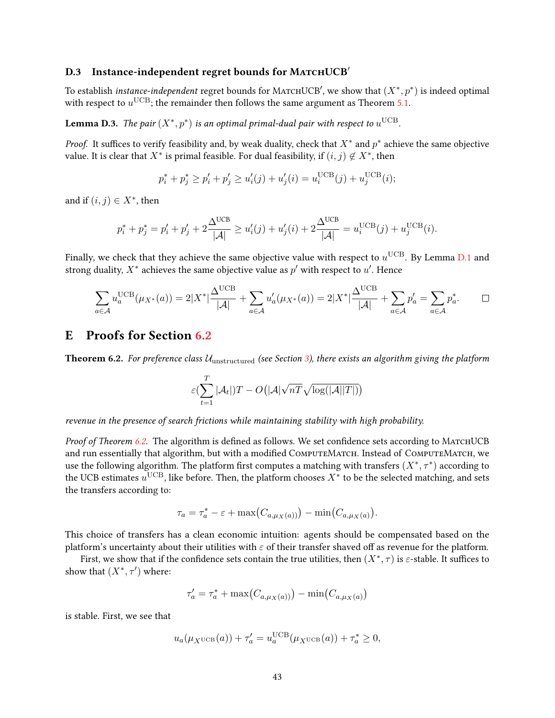### D.3 Instance-independent regret bounds for MATCHUCB'

To establish *instance-independent* regret bounds for MATCHUCB', we show that  $(X^*, p^*)$  is indeed optimal with respect to  $u^{\text{UCB}}$ ; the remainder then follows the same argument as Theorem [5.1.](#page-11-2)

<span id="page-42-1"></span>**Lemma D.3.** The pair  $(X^*, p^*)$  is an optimal primal-dual pair with respect to  $u^{\text{UCB}}$ .

*Proof.* It suffices to verify feasibility and, by weak duality, check that  $X^*$  and  $p^*$  achieve the same objective value. It is clear that  $X^*$  is primal feasible. For dual feasibility, if  $(i, j) \notin X^*$ , then

$$
p_i^* + p_j^* \ge p_i' + p_j' \ge u_i'(j) + u_j'(i) = u_i^{\text{UCB}}(j) + u_j^{\text{UCB}}(i);
$$

and if  $(i, j) \in X^*$ , then

$$
p_i^* + p_j^* = p_i' + p_j' + 2\frac{\Delta^{UCB}}{|\mathcal{A}|} \ge u_i'(j) + u_j'(i) + 2\frac{\Delta^{UCB}}{|\mathcal{A}|} = u_i^{UCB}(j) + u_j^{UCB}(i).
$$

Finally, we check that they achieve the same objective value with respect to  $u^{\mathrm{UCB}}$ . By Lemma [D.1](#page-37-1) and strong duality,  $X^*$  achieves the same objective value as  $p'$  with respect to  $u'$ . Hence

$$
\sum_{a\in\mathcal{A}} u_a^{\text{UCB}}(\mu_{X^*}(a)) = 2|X^*| \frac{\Delta^{\text{UCB}}}{|\mathcal{A}|} + \sum_{a\in\mathcal{A}} u'_a(\mu_{X^*}(a)) = 2|X^*| \frac{\Delta^{\text{UCB}}}{|\mathcal{A}|} + \sum_{a\in\mathcal{A}} p'_a = \sum_{a\in\mathcal{A}} p_a^*.
$$

# <span id="page-42-0"></span>E Proofs for Section [6.2](#page-18-0)

**Theorem 6.2.** For preference class  $U_{\text{unstructured}}$  (see Section [3\)](#page-5-1), there exists an algorithm giving the platform

$$
\varepsilon(\sum_{t=1}^T |\mathcal{A}_t|)T - O\big(|\mathcal{A}|\sqrt{nT}\sqrt{\log(|\mathcal{A}||T|)}\big)
$$

revenue in the presence of search frictions while maintaining stability with high probability.

*Proof of Theorem [6.2.](#page-19-1)* The algorithm is defined as follows. We set confidence sets according to MATCHUCB and run essentially that algorithm, but with a modified COMPUTEMATCH. Instead of COMPUTEMATCH, we use the following algorithm. The platform first computes a matching with transfers  $(X^*, \tau^*)$  according to the UCB estimates  $u^{\mathrm{UCB}}$ , like before. Then, the platform chooses  $X^*$  to be the selected matching, and sets the transfers according to:

$$
\tau_a = \tau_a^* - \varepsilon + \max(C_{a,\mu_X(a)}) - \min(C_{a,\mu_X(a)}).
$$

This choice of transfers has a clean economic intuition: agents should be compensated based on the platform's uncertainty about their utilities with  $\varepsilon$  of their transfer shaved off as revenue for the platform.

First, we show that if the confidence sets contain the true utilities, then  $(X^*, \tau)$  is  $\varepsilon$ -stable. It suffices to show that  $(X^*, \tau')$  where:

$$
\tau'_a = \tau_a^* + \max(C_{a,\mu_X(a))}) - \min(C_{a,\mu_X(a)})
$$

is stable. First, we see that

$$
u_a(\mu_X \text{UCB}(a)) + \tau'_a = u_a^{\text{UCB}}(\mu_X \text{UCB}(a)) + \tau_a^* \ge 0,
$$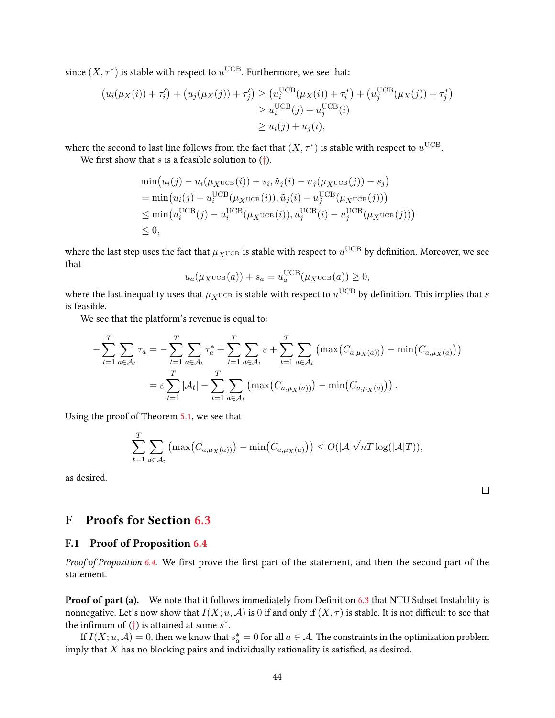since  $(X, \tau^*)$  is stable with respect to  $u^{\text{UCB}}$ . Furthermore, we see that:

$$
(u_i(\mu_X(i)) + \tau'_i) + (u_j(\mu_X(j)) + \tau'_j) \ge (u_i^{UCB}(\mu_X(i)) + \tau_i^*) + (u_j^{UCB}(\mu_X(j)) + \tau_j^*)
$$
  
\n
$$
\ge u_i^{UCB}(j) + u_j^{UCB}(i)
$$
  
\n
$$
\ge u_i(j) + u_j(i),
$$

where the second to last line follows from the fact that  $(X, \tau^*)$  is stable with respect to  $u^{\text{UCB}}$ .

We first show that s is a feasible solution to  $(\dagger)$ .

$$
\min(u_i(j) - u_i(\mu_X \text{UCB}(i)) - s_i, \tilde{u}_j(i) - u_j(\mu_X \text{UCB}(j)) - s_j)
$$
\n
$$
= \min(u_i(j) - u_i^{\text{UCB}}(\mu_X \text{UCB}(i)), \tilde{u}_j(i) - u_j^{\text{UCB}}(\mu_X \text{UCB}(j)))
$$
\n
$$
\leq \min(u_i^{\text{UCB}}(j) - u_i^{\text{UCB}}(\mu_X \text{UCB}(i)), u_j^{\text{UCB}}(i) - u_j^{\text{UCB}}(\mu_X \text{UCB}(j)))
$$
\n
$$
\leq 0,
$$

where the last step uses the fact that  $\mu_{X^{\text{UCB}}}$  is stable with respect to  $u^{\text{UCB}}$  by definition. Moreover, we see that

$$
u_a(\mu_X \text{UCB}(a)) + s_a = u_a^{\text{UCB}}(\mu_X \text{UCB}(a)) \ge 0,
$$

where the last inequality uses that  $\mu_{X^{\text{UCB}}}$  is stable with respect to  $u^{\text{UCB}}$  by definition. This implies that  $s$ is feasible.

We see that the platform's revenue is equal to:

$$
-\sum_{t=1}^{T} \sum_{a \in A_t} \tau_a = -\sum_{t=1}^{T} \sum_{a \in A_t} \tau_a^* + \sum_{t=1}^{T} \sum_{a \in A_t} \varepsilon + \sum_{t=1}^{T} \sum_{a \in A_t} (\max(C_{a,\mu_X(a)})) - \min(C_{a,\mu_X(a)}))
$$
  
=  $\varepsilon \sum_{t=1}^{T} |\mathcal{A}_t| - \sum_{t=1}^{T} \sum_{a \in \mathcal{A}_t} (\max(C_{a,\mu_X(a)})) - \min(C_{a,\mu_X(a)})).$ 

Using the proof of Theorem [5.1,](#page-11-2) we see that

$$
\sum_{t=1}^T \sum_{a \in \mathcal{A}_t} \left( \max(C_{a,\mu_X(a))} \right) - \min(C_{a,\mu_X(a)}) \right) \le O(|\mathcal{A}| \sqrt{n} \log(|\mathcal{A}|T)),
$$

as desired.

 $\Box$ 

# <span id="page-43-0"></span>F Proofs for Section [6.3](#page-19-0)

### F.1 Proof of Proposition [6.4](#page-19-3)

Proof of Proposition [6.4.](#page-19-3) We first prove the first part of the statement, and then the second part of the statement.

**Proof of part (a).** We note that it follows immediately from Definition [6.3](#page-19-4) that NTU Subset Instability is nonnegative. Let's now show that  $I(X; u, \mathcal{A})$  is 0 if and only if  $(X, \tau)$  is stable. It is not difficult to see that the infimum of  $(\dagger)$  is attained at some  $s^*$ .

If  $I(X; u, \mathcal{A}) = 0$ , then we know that  $s_a^* = 0$  for all  $a \in \mathcal{A}$ . The constraints in the optimization problem imply that  $X$  has no blocking pairs and individually rationality is satisfied, as desired.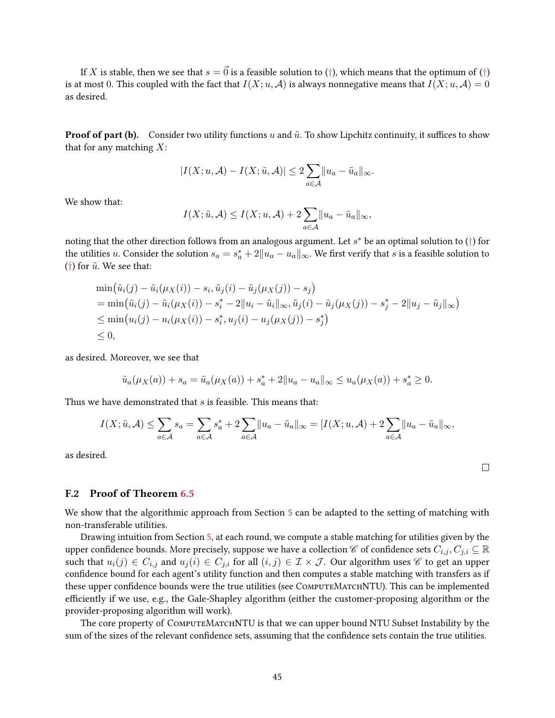If X is stable, then we see that  $s = \vec{0}$  is a feasible solution to ([†](#page-19-2)), which means that the optimum of (†) is at most 0. This coupled with the fact that  $I(X; u, \mathcal{A})$  is always nonnegative means that  $I(X; u, \mathcal{A}) = 0$ as desired.

**Proof of part (b).** Consider two utility functions u and  $\tilde{u}$ . To show Lipchitz continuity, it suffices to show that for any matching  $X$ :

$$
|I(X; u, \mathcal{A}) - I(X; \tilde{u}, \mathcal{A})| \leq 2 \sum_{a \in \mathcal{A}} ||u_a - \tilde{u}_a||_{\infty}.
$$

We show that:

$$
I(X; \tilde{u}, \mathcal{A}) \leq I(X; u, \mathcal{A}) + 2 \sum_{a \in \mathcal{A}} ||u_a - \tilde{u}_a||_{\infty},
$$

noting that the other direction follows from an analogous argument. Let  $s^*$  be an optimal solution to  $(\dagger)$  for the utilities  $u$ . Consider the solution  $s_a = s^*_a + 2\|u_a-u_a\|_\infty$ . We first verify that  $s$  is a feasible solution to ([†](#page-19-2)) for  $\tilde{u}$ . We see that:

$$
\begin{aligned}\n&\min(\tilde{u}_i(j) - \tilde{u}_i(\mu_X(i)) - s_i, \tilde{u}_j(i) - \tilde{u}_j(\mu_X(j)) - s_j) \\
&= \min(\tilde{u}_i(j) - \tilde{u}_i(\mu_X(i)) - s_i^* - 2\|u_i - \tilde{u}_i\|_{\infty}, \tilde{u}_j(i) - \tilde{u}_j(\mu_X(j)) - s_j^* - 2\|u_j - \tilde{u}_j\|_{\infty}) \\
&\le \min(u_i(j) - u_i(\mu_X(i)) - s_i^*, u_j(i) - u_j(\mu_X(j)) - s_j^* \\
&\le 0,\n\end{aligned}
$$

as desired. Moreover, we see that

$$
\tilde{u}_a(\mu_X(a)) + s_a = \tilde{u}_a(\mu_X(a)) + s_a^* + 2||u_a - u_a||_{\infty} \le u_a(\mu_X(a)) + s_a^* \ge 0.
$$

Thus we have demonstrated that s is feasible. This means that:

$$
I(X; \tilde{u}, \mathcal{A}) \le \sum_{a \in \mathcal{A}} s_a = \sum_{a \in \mathcal{A}} s_a^* + 2 \sum_{a \in \mathcal{A}} ||u_a - \tilde{u}_a||_{\infty} = [I(X; u, \mathcal{A}) + 2 \sum_{a \in \mathcal{A}} ||u_a - \tilde{u}_a||_{\infty},
$$

as desired.

### F.2 Proof of Theorem [6.5](#page-20-1)

We show that the algorithmic approach from Section [5](#page-11-3) can be adapted to the setting of matching with non-transferable utilities.

Drawing intuition from Section [5,](#page-11-3) at each round, we compute a stable matching for utilities given by the upper confidence bounds. More precisely, suppose we have a collection  $\mathscr C$  of confidence sets  $C_{i,j}, C_{j,i} \subseteq \mathbb R$ such that  $u_i(j) \in C_{i,j}$  and  $u_j(i) \in C_{j,i}$  for all  $(i,j) \in \mathcal{I} \times \mathcal{J}$ . Our algorithm uses  $\mathscr{C}$  to get an upper confidence bound for each agent's utility function and then computes a stable matching with transfers as if these upper confidence bounds were the true utilities (see COMPUTEMATCHNTU). This can be implemented efficiently if we use, e.g., the Gale-Shapley algorithm (either the customer-proposing algorithm or the provider-proposing algorithm will work).

<span id="page-44-0"></span>The core property of COMPUTEMATCHNTU is that we can upper bound NTU Subset Instability by the sum of the sizes of the relevant confidence sets, assuming that the confidence sets contain the true utilities.

 $\Box$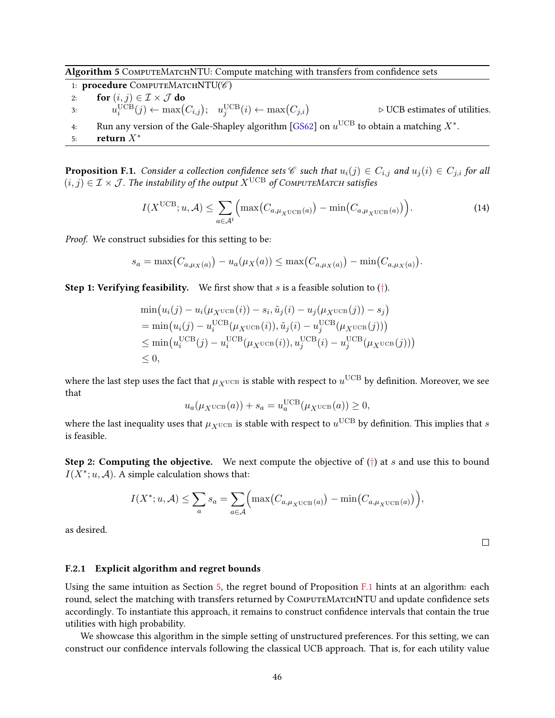Algorithm 5 COMPUTEMATCHNTU: Compute matching with transfers from confidence sets

1: procedure COMPUTEMATCHNTU(%) 2: for  $(i, j) \in \mathcal{I} \times \mathcal{J}$  do 3:  $u_i^{\text{UCB}}(j) \leftarrow \max(C_{i,j}); \quad u_j^{\text{UCB}}(i) \leftarrow \max(C_{j,i})$  $\triangleright$  UCB estimates of utilities. 4: Run any version of the Gale-Shapley algorithm [\[GS62\]](#page-23-2) on  $u^{\mathrm{UCB}}$  to obtain a matching  $X^*.$ 5: return  $X^*$ 

**Proposition F.1.** Consider a collection confidence sets C such that  $u_i(j) \in C_{i,j}$  and  $u_j(i) \in C_{j,i}$  for all (i, j)  $\in \mathcal{I} \times \mathcal{J}$ . The instability of the output  $X^{\text{UCB}}$  of COMPUTEMATCH satisfies

$$
I(X^{\text{UCB}}; u, \mathcal{A}) \le \sum_{a \in \mathcal{A}^t} \Big( \max\big(C_{a, \mu_X \cup \text{CB}}(a)\big) - \min\big(C_{a, \mu_X \cup \text{CB}}(a)\big) \Big). \tag{14}
$$

Proof. We construct subsidies for this setting to be:

$$
s_a = \max(C_{a,\mu_X(a)}) - u_a(\mu_X(a)) \le \max(C_{a,\mu_X(a)}) - \min(C_{a,\mu_X(a)})
$$
.

**Step 1: Verifying feasibility.** We first show that s is a feasible solution to  $(†)$  $(†)$  $(†)$ .

$$
\min(u_i(j) - u_i(\mu_X \text{UCB}(i)) - s_i, \tilde{u}_j(i) - u_j(\mu_X \text{UCB}(j)) - s_j)
$$
\n
$$
= \min(u_i(j) - u_i^{\text{UCB}}(\mu_X \text{UCB}(i)), \tilde{u}_j(i) - u_j^{\text{UCB}}(\mu_X \text{UCB}(j)))
$$
\n
$$
\leq \min(u_i^{\text{UCB}}(j) - u_i^{\text{UCB}}(\mu_X \text{UCB}(i)), u_j^{\text{UCB}}(i) - u_j^{\text{UCB}}(\mu_X \text{UCB}(j)))
$$
\n
$$
\leq 0,
$$

where the last step uses the fact that  $\mu_{X^{\text{UCB}}}$  is stable with respect to  $u^{\text{UCB}}$  by definition. Moreover, we see that

$$
u_a(\mu_X \text{uCB}(a)) + s_a = u_a^{\text{UCB}}(\mu_X \text{uCB}(a)) \ge 0,
$$

where the last inequality uses that  $\mu_{X^{\text{UCB}}}$  is stable with respect to  $u^{\text{UCB}}$  by definition. This implies that  $s$ is feasible.

**Step 2: Computing the objective.** We next compute the objective of  $(†)$  $(†)$  $(†)$  at s and use this to bound  $I(X^*; u, \mathcal{A})$ . A simple calculation shows that:

$$
I(X^*; u, A) \leq \sum_a s_a = \sum_{a \in A} \Big( \max\big(C_{a,\mu_X \cup CB}(a)\big) - \min\big(C_{a,\mu_X \cup CB}(a)\big) \Big),
$$

as desired.

### F.2.1 Explicit algorithm and regret bounds

Using the same intuition as Section [5,](#page-11-3) the regret bound of Proposition [F.1](#page-44-0) hints at an algorithm: each round, select the matching with transfers returned by COMPUTEMATCHNTU and update confidence sets accordingly. To instantiate this approach, it remains to construct condence intervals that contain the true utilities with high probability.

We showcase this algorithm in the simple setting of unstructured preferences. For this setting, we can construct our condence intervals following the classical UCB approach. That is, for each utility value

 $\Box$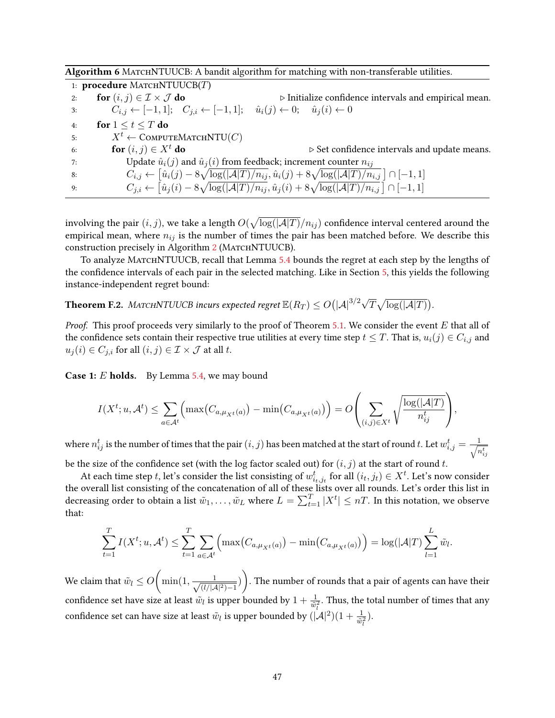|    | 1: <b>procedure</b> MATCHNTUUCB $(T)$                                                                                          |                                                                                                                                            |
|----|--------------------------------------------------------------------------------------------------------------------------------|--------------------------------------------------------------------------------------------------------------------------------------------|
| 2: | for $(i, j) \in \mathcal{I} \times \mathcal{J}$ do                                                                             | $\triangleright$ Initialize confidence intervals and empirical mean.                                                                       |
| 3: | $C_{i,j} \leftarrow [-1,1]; \quad C_{j,i} \leftarrow [-1,1]; \quad \hat{u}_i(j) \leftarrow 0; \quad \hat{u}_j(i) \leftarrow 0$ |                                                                                                                                            |
| 4: | for $1 \le t \le T$ do                                                                                                         |                                                                                                                                            |
| 5: | $X^t \leftarrow$ COMPUTEMATCHNTU(C)                                                                                            |                                                                                                                                            |
| 6: | for $(i, j) \in X^t$ do                                                                                                        | $\triangleright$ Set confidence intervals and update means.                                                                                |
| 7: |                                                                                                                                | Update $\hat{u}_i(j)$ and $\hat{u}_j(i)$ from feedback; increment counter $n_{ij}$                                                         |
| 8: |                                                                                                                                | $C_{i,j} \leftarrow [\hat{u}_i(j) - 8\sqrt{\log( \mathcal{A} T)/n_{ij}}, \hat{u}_i(j) + 8\sqrt{\log( \mathcal{A} T)/n_{i,j}}] \cap [-1,1]$ |
| 9: |                                                                                                                                | $C_{j,i} \leftarrow [\hat{u}_j(i) - 8\sqrt{\log( \mathcal{A} T)/n_{ij}}, \hat{u}_j(i) + 8\sqrt{\log( \mathcal{A} T)/n_{i,j}}] \cap [-1,1]$ |

Algorithm 6 MATCHNTUUCB: A bandit algorithm for matching with non-transferable utilities.

involving the pair  $(i,j)$ , we take a length  $O(\sqrt{\log(|\mathcal{A}|T)}/n_{ij})$  confidence interval centered around the empirical mean, where  $n_{ij}$  is the number of times the pair has been matched before. We describe this construction precisely in Algorithm [2](#page-14-1) (MATCHNTUUCB).

To analyze MATCHNTUUCB, recall that Lemma [5.4](#page-12-0) bounds the regret at each step by the lengths of the confidence intervals of each pair in the selected matching. Like in Section [5,](#page-11-3) this yields the following instance-independent regret bound:

**Theorem F.2.** MATCHNTUUCB incurs expected regret  $\mathbb{E}(R_T) \leq O(|\mathcal{A}|^{3/2}\sqrt{T}\sqrt{\log(|\mathcal{A}|T)})$ .

*Proof.* This proof proceeds very similarly to the proof of Theorem [5.1.](#page-11-2) We consider the event  $E$  that all of the confidence sets contain their respective true utilities at every time step  $t \leq T$ . That is,  $u_i(j) \in C_{i,j}$  and  $u_j(i) \in C_{j,i}$  for all  $(i,j) \in \mathcal{I} \times \mathcal{J}$  at all t.

Case 1: E holds. By Lemma [5.4,](#page-12-0) we may bound

$$
I(X^t; u, \mathcal{A}^t) \leq \sum_{a \in \mathcal{A}^t} \Big( \max\big(C_{a,\mu_{X^t}(a)}\big) - \min\big(C_{a,\mu_{X^t}(a)}\big) \Big) = O\left(\sum_{(i,j) \in X^t} \sqrt{\frac{\log(|\mathcal{A}|T)}{n_{ij}^t}}\right),
$$

where  $n_{ij}^t$  is the number of times that the pair  $(i, j)$  has been matched at the start of round t. Let  $w_{i,j}^t = \frac{1}{\sqrt{n}}$  $n_{ij}^t$ 

be the size of the confidence set (with the log factor scaled out) for  $(i, j)$  at the start of round t.

At each time step  $t$ , let's consider the list consisting of  $w_{i_t,j_t}^t$  for all  $(i_t,j_t)\in X^t$ . Let's now consider the overall list consisting of the concatenation of all of these lists over all rounds. Let's order this list in decreasing order to obtain a list  $\tilde w_1,\dots,\tilde w_L$  where  $L=\sum_{t=1}^T|X^t|\le nT.$  In this notation, we observe that:

$$
\sum_{t=1}^T I(X^t; u, \mathcal{A}^t) \leq \sum_{t=1}^T \sum_{a \in \mathcal{A}^t} \left( \max(C_{a,\mu_{X^t}(a)}) - \min(C_{a,\mu_{X^t}(a)}) \right) = \log(|\mathcal{A}|T) \sum_{l=1}^L \tilde{w}_l.
$$

We claim that  $\tilde{w}_l \leq O\Big(\min(1, \frac{1}{\sqrt{a^{l-1}}}\Big)$  $\frac{1}{(l/|{\cal A}|^2)-1})$ ). The number of rounds that a pair of agents can have their confidence set have size at least  $\tilde{w}_l$  is upper bounded by  $1+\frac{1}{\tilde{w}_l^2}$ . Thus, the total number of times that any confidence set can have size at least  $\tilde{w}_l$  is upper bounded by  $(|A|^2)(1+\frac{1}{\tilde{w}_l^2}).$